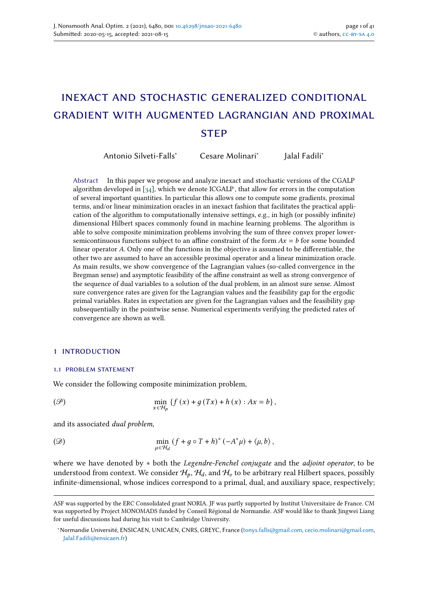Jalal Fadili<sup>∗</sup>

# inexact and stochastic generalized conditional gradient with augmented lagrangian and proximal **STEP**

Antonio Silveti-Falls<sup>∗</sup> Cesare Molinari<sup>∗</sup>

Abstract In this paper we propose and analyze inexact and stochastic versions of the CGALP algorithm developed in  $[34]$ , which we denote ICGALP, that allow for errors in the computation of several important quantities. In particular this allows one to compute some gradients, proximal terms, and/or linear minimization oracles in an inexact fashion that facilitates the practical application of the algorithm to computationally intensive settings, e.g., in high (or possibly infinite) dimensional Hilbert spaces commonly found in machine learning problems. The algorithm is able to solve composite minimization problems involving the sum of three convex proper lowersemicontinuous functions subject to an affine constraint of the form  $Ax = b$  for some bounded linear operator  $A$ . Only one of the functions in the objective is assumed to be differentiable, the other two are assumed to have an accessible proximal operator and a linear minimization oracle. As main results, we show convergence of the Lagrangian values (so-called convergence in the Bregman sense) and asymptotic feasibility of the affine constraint as well as strong convergence of the sequence of dual variables to a solution of the dual problem, in an almost sure sense. Almost sure convergence rates are given for the Lagrangian values and the feasibility gap for the ergodic primal variables. Rates in expectation are given for the Lagrangian values and the feasibility gap subsequentially in the pointwise sense. Numerical experiments verifying the predicted rates of convergence are shown as well.

#### 1 introduction

#### 1.1 problem statement

We consider the following composite minimization problem,

<span id="page-0-0"></span>
$$
\text{(P)} \qquad \qquad \min_{x \in \mathcal{H}_b} \left\{ f\left(x\right) + g\left(Tx\right) + h\left(x\right) : Ax = b \right\},
$$

and its associated dual problem,

<span id="page-0-1"></span>
$$
\lim_{\mu \in \mathcal{H}_d} \left( f + g \circ T + h \right)^* \left( -A^* \mu \right) + \langle \mu, b \rangle,
$$

where we have denoted by \* both the *Legendre-Fenchel conjugate* and the *adjoint operator*, to be understood from context. We consider  $H_p$ ,  $H_d$ , and  $H_v$  to be arbitrary real Hilbert spaces, possibly infinite-dimensional, whose indices correspond to a primal, dual, and auxiliary space, respectively;

ASF was supported by the ERC Consolidated grant NORIA. JF was partly supported by Institut Universitaire de France. CM was supported by Project MONOMADS funded by Conseil Régional de Normandie. ASF would like to thank Jingwei Liang for useful discussions had during his visit to Cambridge University.

<sup>∗</sup>Normandie Université, ENSICAEN, UNICAEN, CNRS, GREYC, France [\(tonys.falls@gmail.com,](mailto:tonys.falls@gmail.com) [cecio.molinari@gmail.com,](mailto:cecio.molinari@gmail.com) [Jalal.Fadili@ensicaen.fr\)](mailto:Jalal.Fadili@ensicaen.fr)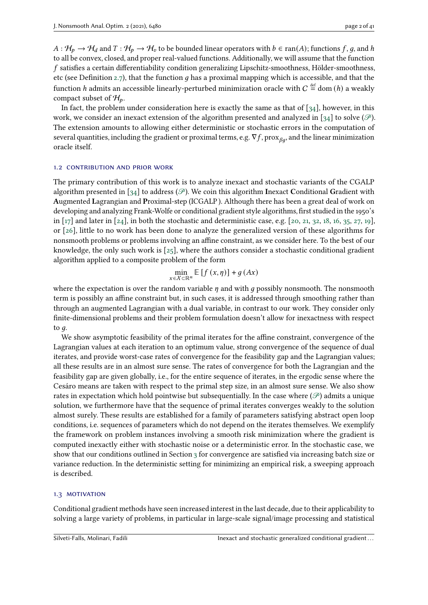$A: H_p \to H_d$  and  $T: H_p \to H_v$  to be bounded linear operators with  $b \in \text{ran}(A)$ ; functions f, q, and h to all be convex, closed, and proper real-valued functions. Additionally, we will assume that the function  $f$  satisfies a certain differentiability condition generalizing Lipschitz-smoothness, Hölder-smoothness, etc (see Definition [2.7\)](#page-5-0), that the function  $q$  has a proximal mapping which is accessible, and that the function  $h$  admits an accessible linearly-perturbed minimization oracle with  $C\stackrel{\scriptscriptstyle\rm def}{=}$  dom  $(h)$  a weakly compact subset of  $\mathcal{H}_p$ .

In fact, the problem under consideration here is exactly the same as that of  $[34]$ , however, in this work, we consider an inexact extension of the algorithm presented and analyzed in [\[34\]](#page-40-0) to solve ( $\mathcal{P}$ ). The extension amounts to allowing either deterministic or stochastic errors in the computation of several quantities, including the gradient or proximal terms, e.g.  $\nabla f$ , prox $_{\beta q}$ , and the linear minimization oracle itself.

#### 1.2 CONTRIBUTION AND PRIOR WORK

The primary contribution of this work is to analyze inexact and stochastic variants of the CGALP algorithm presented in [\[34\]](#page-40-0) to address ( $\mathcal{P}$ ). We coin this algorithm Inexact Conditional Gradient with Augmented Lagrangian and Proximal-step (ICGALP ). Although there has been a great deal of work on developing and analyzing Frank-Wolfe or conditional gradient style algorithms, first studied in the 1950's in [\[17\]](#page-39-0) and later in [\[24\]](#page-39-1), in both the stochastic and deterministic case, e.g. [\[20,](#page-39-2) [21,](#page-39-3) [32,](#page-40-1) [18,](#page-39-4) [16,](#page-39-5) [35,](#page-40-2) [27,](#page-39-6) [19\]](#page-39-7), or [\[26\]](#page-39-8), little to no work has been done to analyze the generalized version of these algorithms for nonsmooth problems or problems involving an affine constraint, as we consider here. To the best of our knowledge, the only such work is  $[z_5]$ , where the authors consider a stochastic conditional gradient algorithm applied to a composite problem of the form

$$
\min_{x \in X \subset \mathbb{R}^n} \mathbb{E}\left[f\left(x, \eta\right)\right] + g\left(Ax\right)
$$

where the expectation is over the random variable  $\eta$  and with  $g$  possibly nonsmooth. The nonsmooth term is possibly an affine constraint but, in such cases, it is addressed through smoothing rather than through an augmented Lagrangian with a dual variable, in contrast to our work. They consider only finite-dimensional problems and their problem formulation doesn't allow for inexactness with respect to  $q$ .

We show asymptotic feasibility of the primal iterates for the affine constraint, convergence of the Lagrangian values at each iteration to an optimum value, strong convergence of the sequence of dual iterates, and provide worst-case rates of convergence for the feasibility gap and the Lagrangian values; all these results are in an almost sure sense. The rates of convergence for both the Lagrangian and the feasibility gap are given globally, i.e., for the entire sequence of iterates, in the ergodic sense where the Cesáro means are taken with respect to the primal step size, in an almost sure sense. We also show rates in expectation which hold pointwise but subsequentially. In the case where  $(\mathcal{P})$  admits a unique solution, we furthermore have that the sequence of primal iterates converges weakly to the solution almost surely. These results are established for a family of parameters satisfying abstract open loop conditions, i.e. sequences of parameters which do not depend on the iterates themselves. We exemplify the framework on problem instances involving a smooth risk minimization where the gradient is computed inexactly either with stochastic noise or a deterministic error. In the stochastic case, we show that our conditions outlined in Section [3](#page-6-0) for convergence are satisfied via increasing batch size or variance reduction. In the deterministic setting for minimizing an empirical risk, a sweeping approach is described.

### 1.3 MOTIVATION

Conditional gradient methods have seen increased interest in the last decade, due to their applicability to solving a large variety of problems, in particular in large-scale signal/image processing and statistical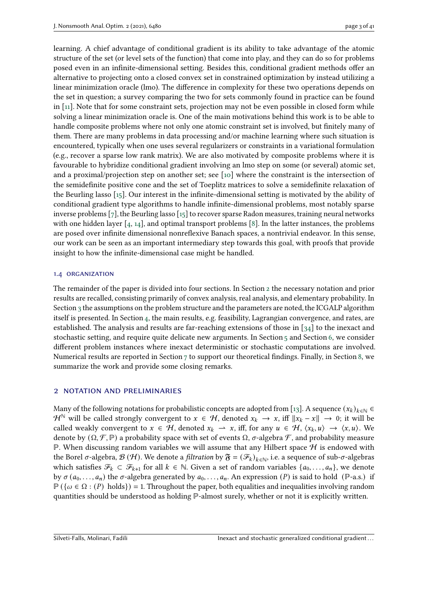learning. A chief advantage of conditional gradient is its ability to take advantage of the atomic structure of the set (or level sets of the function) that come into play, and they can do so for problems posed even in an infinite-dimensional setting. Besides this, conditional gradient methods offer an alternative to projecting onto a closed convex set in constrained optimization by instead utilizing a linear minimization oracle (lmo). The difference in complexity for these two operations depends on the set in question; a survey comparing the two for sets commonly found in practice can be found in [\[11\]](#page-38-0). Note that for some constraint sets, projection may not be even possible in closed form while solving a linear minimization oracle is. One of the main motivations behind this work is to be able to handle composite problems where not only one atomic constraint set is involved, but finitely many of them. There are many problems in data processing and/or machine learning where such situation is encountered, typically when one uses several regularizers or constraints in a variational formulation (e.g., recover a sparse low rank matrix). We are also motivated by composite problems where it is favourable to hybridize conditional gradient involving an lmo step on some (or several) atomic set, and a proximal/projection step on another set; see [\[10\]](#page-38-1) where the constraint is the intersection of the semidefinite positive cone and the set of Toeplitz matrices to solve a semidefinite relaxation of the Beurling lasso [\[15\]](#page-39-10). Our interest in the infinite-dimensional setting is motivated by the ability of conditional gradient type algorithms to handle infinite-dimensional problems, most notably sparse inverse problems [\[7\]](#page-38-2), the Beurling lasso [\[15\]](#page-39-10) to recover sparse Radon measures, training neural networks with one hidden layer  $[4, 14]$  $[4, 14]$  $[4, 14]$ , and optimal transport problems  $[8]$ . In the latter instances, the problems are posed over infinite dimensional nonreflexive Banach spaces, a nontrivial endeavor. In this sense, our work can be seen as an important intermediary step towards this goal, with proofs that provide insight to how the infinite-dimensional case might be handled.

#### 1.4 ORGANIZATION

The remainder of the paper is divided into four sections. In Section [2](#page-2-0) the necessary notation and prior results are recalled, consisting primarily of convex analysis, real analysis, and elementary probability. In Section [3](#page-6-0) the assumptions on the problem structure and the parameters are noted, the ICGALP algorithm itself is presented. In Section [4,](#page-10-0) the main results, e.g. feasibility, Lagrangian convergence, and rates, are established. The analysis and results are far-reaching extensions of those in [\[34\]](#page-40-0) to the inexact and stochastic setting, and require quite delicate new arguments. In Section [5](#page-26-0) and Section [6,](#page-31-0) we consider different problem instances where inexact deterministic or stochastic computations are involved. Numerical results are reported in Section [7](#page-34-0) to support our theoretical findings. Finally, in Section [8,](#page-37-0) we summarize the work and provide some closing remarks.

## <span id="page-2-0"></span>2 notation and preliminaries

Many of the following notations for probabilistic concepts are adopted from [\[13\]](#page-39-12). A sequence  $(x_k)_{k \in \mathbb{N}} \in$  $\mathcal{H}^{\mathbb{N}}$  will be called strongly convergent to  $x \in \mathcal{H}$ , denoted  $x_k \to x$ , iff  $||x_k - x|| \to 0$ ; it will be called weakly convergent to  $x \in \mathcal{H}$ , denoted  $x_k \to x$ , iff, for any  $u \in \mathcal{H}$ ,  $\langle x_k, u \rangle \to \langle x, u \rangle$ . We denote by  $(\Omega, \mathcal{F}, \mathbb{P})$  a probability space with set of events  $\Omega$ ,  $\sigma$ -algebra  $\mathcal{F}$ , and probability measure  $\mathbb P$ . When discussing random variables we will assume that any Hilbert space  $\mathcal H$  is endowed with the Borel  $\sigma$ -algebra,  $\mathcal{B}(\mathcal{H})$ . We denote a *filtration* by  $\mathfrak{F} = (\mathcal{F}_k)_{k \in \mathbb{N}}$ , i.e. a sequence of sub- $\sigma$ -algebras which satisfies  $\mathcal{F}_k \subset \mathcal{F}_{k+1}$  for all  $k \in \mathbb{N}$ . Given a set of random variables  $\{a_0, \ldots, a_n\}$ , we denote by  $\sigma(a_0, \ldots, a_n)$  the  $\sigma$ -algebra generated by  $a_0, \ldots, a_n$ . An expression (P) is said to hold (P-a.s.) if  $\mathbb{P}(\{\omega \in \Omega : (P) \text{ holds}\}) = 1$ . Throughout the paper, both equalities and inequalities involving random quantities should be understood as holding ℙ-almost surely, whether or not it is explicitly written.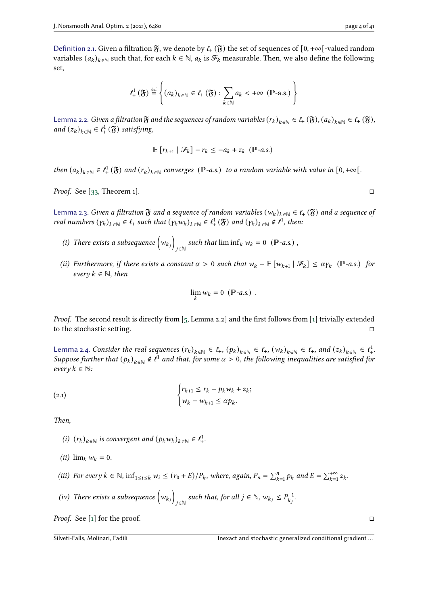Definition 2.1. Given a filtration  $\mathfrak{F}$ , we denote by  $\ell_{+}(\mathfrak{F})$  the set of sequences of  $[0, +\infty[$ -valued random variables  $(a_k)_{k \in \mathbb{N}}$  such that, for each  $k \in \mathbb{N}$ ,  $a_k$  is  $\mathcal{F}_k$  measurable. Then, we also define the following set,

$$
\ell^1_+\left(\mathfrak{F}\right) \stackrel{\text{def}}{=} \left\{ (a_k)_{k \in \mathbb{N}} \in \ell_+\left(\mathfrak{F}\right) : \sum_{k \in \mathbb{N}} a_k < +\infty \left(\mathbb{P}\text{-a.s.}\right) \right\}
$$

<span id="page-3-0"></span>Lemma 2.2. Given a filtration  $\mathfrak F$  and the sequences of random variables  $(r_k)_{k\in\mathbb N}\in\ell_+(\mathfrak F), (a_k)_{k\in\mathbb N}\in\ell_+(\mathfrak F)$ , and  $(z_k)_{k \in \mathbb{N}} \in \ell^1_+(\mathfrak{F})$  satisfying,

$$
\mathbb{E}\left[r_{k+1} | \mathcal{F}_k\right] - r_k \leq -a_k + z_k \quad (\mathbb{P}\text{-}a.s.)
$$

then  $(a_k)_{k \in \mathbb{N}} \in \ell^1_+(\mathfrak{F})$  and  $(r_k)_{k \in \mathbb{N}}$  converges ( $\mathbb{P}$ -a.s.) to a random variable with value in  $[0, +\infty)$ .

*Proof.* See [ $33$ , Theorem 1].  $\Box$ 

<span id="page-3-1"></span>Lemma 2.3. Given a filtration  $\mathfrak F$  and a sequence of random variables  $(w_k)_{k\in\mathbb N}\in\ell_+(\mathfrak F)$  and a sequence of real numbers  $(\gamma_k)_{k \in \mathbb{N}} \in \ell_+$  such that  $(\gamma_k w_k)_{k \in \mathbb{N}} \in \ell_+^1(\mathfrak{F})$  and  $(\gamma_k)_{k \in \mathbb{N}} \notin \ell^1$ , then:

- (i) There exists a subsequence  $(w_{k_i})$ such that  $\liminf_k w_k = 0$  ( $\mathbb{P}$ -a.s.),
- (ii) Furthermore, if there exists a constant  $\alpha > 0$  such that  $w_k \mathbb{E}[w_{k+1} | \mathcal{F}_k] \leq \alpha \gamma_k$  ( $\mathbb{P}$ -a.s.) for every  $k \in \mathbb{N}$ , then

$$
\lim_k w_k = 0 \ (\mathbb{P} - a.s.)
$$

Proof. The second result is directly from [\[5,](#page-38-5) Lemma 2.2] and the first follows from [\[1\]](#page-38-6) trivially extended to the stochastic setting.

<span id="page-3-2"></span>Lemma 2.4. Consider the real sequences  $(r_k)_{k \in \mathbb{N}} \in \ell_+$ ,  $(p_k)_{k \in \mathbb{N}} \in \ell_+$ ,  $(w_k)_{k \in \mathbb{N}} \in \ell_+$ , and  $(z_k)_{k \in \mathbb{N}} \in \ell_+^1$ . Suppose further that  $(p_k)_{k\in\mathbb{N}}\notin \ell^1$  and that, for some  $\alpha>0$ , the following inequalities are satisfied for every  $k \in \mathbb{N}$ :

(2.1) 
$$
\begin{cases} r_{k+1} \leq r_k - p_k w_k + z_k; \\ w_k - w_{k+1} \leq \alpha p_k. \end{cases}
$$

Then,

- (i)  $(r_k)_{k \in \mathbb{N}}$  is convergent and  $(p_k w_k)_{k \in \mathbb{N}} \in \ell^1_+$ .
- (*ii*)  $\lim_k w_k = 0$ .
- (iii) For every  $k \in \mathbb{N}$ ,  $\inf_{1 \le i \le k} w_i \le (r_0 + E)/P_k$ , where, again,  $P_n = \sum_{k=1}^n p_k$  and  $E = \sum_{k=1}^{+\infty} z_k$ .
- (iv) There exists a subsequence  $(w_{k_i})$ such that, for all  $j \in \mathbb{N}$ ,  $w_{k_j} \le P_{k_j}^{-1}$  $\frac{(-1)}{k_i}$ .

*Proof.* See [\[1\]](#page-38-6) for the proof.  $\Box$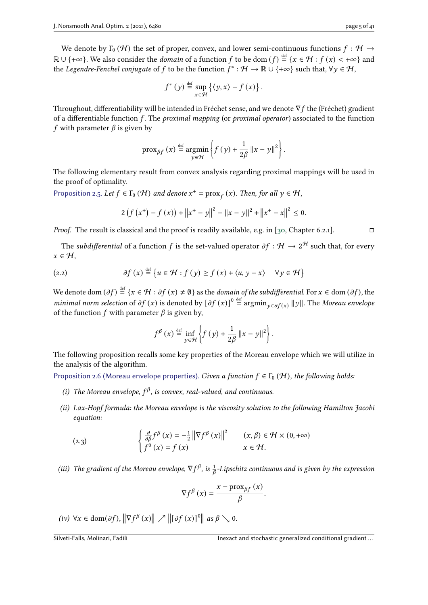We denote by  $\Gamma_0 (\mathcal{H})$  the set of proper, convex, and lower semi-continuous functions  $f : \mathcal{H} \to$  $\mathbb{R}\cup\{+\infty\}.$  We also consider the *domain* of a function  $f$  to be dom  $(f)\stackrel{\text{def}}{=} \{x\in\mathcal{H}: f(x)<+\infty\}$  and the Legendre-Fenchel conjugate of  $f$  to be the function  $f^*:\mathcal{H}\to\mathbb{R}\cup\{+\infty\}$  such that,  $\forall y\in\mathcal{H},$ 

$$
f^{*}(y) \stackrel{\text{def}}{=} \sup_{x \in \mathcal{H}} \left\{ \langle y, x \rangle - f(x) \right\}.
$$

Throughout, differentiability will be intended in Fréchet sense, and we denote  $\nabla f$  the (Fréchet) gradient of a differentiable function  $f$ . The *proximal mapping* (or *proximal operator*) associated to the function f with parameter  $\beta$  is given by

$$
\operatorname{prox}_{\beta f}(x) \stackrel{\text{def}}{=} \operatorname*{argmin}_{y \in \mathcal{H}} \left\{ f(y) + \frac{1}{2\beta} ||x - y||^2 \right\}.
$$

The following elementary result from convex analysis regarding proximal mappings will be used in the proof of optimality.

<span id="page-4-6"></span>Proposition 2.5. Let  $f \in \Gamma_0(\mathcal{H})$  and denote  $x^+ = \text{prox}_f(x)$ . Then, for all  $y \in \mathcal{H}$ ,

<span id="page-4-4"></span>
$$
2\left(f\left(x^{+}\right)-f\left(x\right)\right)+\left\|x^{+}-y\right\|^{2}-\left\|x-y\right\|^{2}+\left\|x^{+}-x\right\|^{2}\leq 0.
$$

*Proof.* The result is classical and the proof is readily available, e.g. in [\[30,](#page-40-4) Chapter 6.2.1].  $\square$ 

The subdifferential of a function  $f$  is the set-valued operator  $\partial f: \mathcal{H} \to 2^{\mathcal{H}}$  such that, for every  $x \in \mathcal{H}$ ,

(2.2) 
$$
\partial f(x) \stackrel{\text{def}}{=} \{u \in \mathcal{H} : f(y) \ge f(x) + \langle u, y - x \rangle \quad \forall y \in \mathcal{H}\}
$$

We denote dom  $(\partial f) \stackrel{\text{def}}{=} \{x \in \mathcal{H} : \partial f(x) \neq \emptyset\}$  as the *domain of the subdifferential*. For  $x \in \text{dom}(\partial f)$ , the *minimal norm selection* of  $\partial f(x)$  is denoted by  $[\partial f(x)]^0 \stackrel{\text{def}}{=} \operatorname{argmin}_{y \in \partial f(x)} ||y||$ . The Moreau envelope of the function  $f$  with parameter  $\beta$  is given by,

$$
f^{\beta}(x) \stackrel{\text{def}}{=} \inf_{y \in \mathcal{H}} \left\{ f(y) + \frac{1}{2\beta} ||x - y||^2 \right\}.
$$

The following proposition recalls some key properties of the Moreau envelope which we will utilize in the analysis of the algorithm.

<span id="page-4-5"></span>Proposition 2.6 (Moreau envelope properties). Given a function  $f \in \Gamma_0(\mathcal{H})$ , the following holds:

- <span id="page-4-0"></span>(i) The Moreau envelope,  $f^{\beta}$ , is convex, real-valued, and continuous.
- <span id="page-4-1"></span>(ii) Lax-Hopf formula: the Moreau envelope is the viscosity solution to the following Hamilton Jacobi equation:

(2.3) 
$$
\begin{cases} \frac{\partial}{\partial \beta} f^{\beta}(x) = -\frac{1}{2} ||\nabla f^{\beta}(x)||^{2} & (x, \beta) \in \mathcal{H} \times (0, +\infty) \\ f^{0}(x) = f(x) & x \in \mathcal{H}. \end{cases}
$$

<span id="page-4-2"></span>(iii) The gradient of the Moreau envelope,  $\nabla f^{\beta}$ , is  $\frac{1}{\beta}$ -Lipschitz continuous and is given by the expression

$$
\nabla f^{\beta}(x) = \frac{x - \operatorname{prox}_{\beta f}(x)}{\beta}.
$$

<span id="page-4-3"></span>(iv)  $\forall x \in \text{dom}(\partial f), \left\| \nabla f^{\beta}(x) \right\| \nearrow \left\| [\partial f(x)]^0 \right\| \text{ as } \beta \searrow 0.$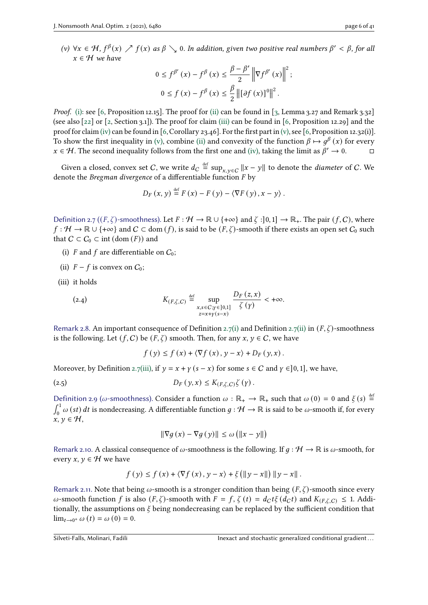<span id="page-5-1"></span>(v)  $\forall x \in \mathcal{H}, f^{\beta}(x) \nearrow f(x)$  as  $\beta \searrow 0$ . In addition, given two positive real numbers  $\beta' < \beta$ , for all  $x \in \mathcal{H}$  we have

$$
0 \le f^{\beta'}(x) - f^{\beta}(x) \le \frac{\beta - \beta'}{2} \left\| \nabla f^{\beta'}(x) \right\|^2;
$$
  

$$
0 \le f(x) - f^{\beta}(x) \le \frac{\beta}{2} \left\| [\partial f(x)]^0 \right\|^2.
$$

*Proof.* [\(i\):](#page-4-0) see [\[6,](#page-38-7) Proposition 12.15]. The proof for [\(ii\)](#page-4-1) can be found in [\[3,](#page-38-8) Lemma 3.27 and Remark 3.32] (see also [\[22\]](#page-39-13) or [\[2,](#page-38-9) Section 3.1]). The proof for claim [\(iii\)](#page-4-2) can be found in [\[6,](#page-38-7) Proposition 12.29] and the proof for claim [\(iv\)](#page-4-3) can be found in [\[6,](#page-38-7) Corollary 23.46]. For the first part in [\(v\),](#page-5-1) see [6, Proposition 12.32(i)]. To show the first inequality in [\(v\),](#page-5-1) combine [\(ii\)](#page-4-1) and convexity of the function  $\beta \mapsto g^{\beta}(x)$  for every  $x \in \mathcal{H}$ . The second inequality follows from the first one and [\(iv\),](#page-4-3) taking the limit as  $\beta' \to 0$ .

Given a closed, convex set  $C$ , we write  $d_C \stackrel{\text{def}}{=} \sup_{x,y \in C} \|x-y\|$  to denote the *diameter* of  $C$ . We denote the Bregman divergence of a differentiable function  $F$  by

$$
D_{F}(x, y) \stackrel{\text{def}}{=} F(x) - F(y) - \langle \nabla F(y), x - y \rangle.
$$

<span id="page-5-0"></span>Definition 2.7 ( $(F, \zeta)$ -smoothness). Let  $F : \mathcal{H} \to \mathbb{R} \cup \{+\infty\}$  and  $\zeta : [0,1] \to \mathbb{R}_+$ . The pair  $(f, C)$ , where  $f: H \to \mathbb{R} \cup \{+\infty\}$  and  $C \subset \text{dom}(f)$ , is said to be  $(F, \zeta)$ -smooth if there exists an open set  $C_0$  such that  $C \subset C_0 \subset \text{int } (\text{dom }(F))$  and

- <span id="page-5-2"></span>(i) F and f are differentiable on  $C_0$ ;
- <span id="page-5-3"></span>(ii)  $F - f$  is convex on  $C_0$ ;
- <span id="page-5-4"></span>(iii) it holds

(2.4) 
$$
K_{(F,\zeta,C)} \stackrel{\text{def}}{=} \sup_{\substack{x,s \in C; \gamma \in ]0,1] \\ z=x+y(s-x)}} \frac{D_F(z,x)}{\zeta(\gamma)} < +\infty.
$$

<span id="page-5-5"></span>Remark 2.8. An important consequence of Definition [2.7](#page-5-0)[\(i\)](#page-5-2) and Definition 2.7[\(ii\)](#page-5-3) in  $(F, \zeta)$ -smoothness is the following. Let  $(f, C)$  be  $(F, \zeta)$  smooth. Then, for any  $x, y \in C$ , we have

$$
f(y) \le f(x) + \langle \nabla f(x), y - x \rangle + D_F(y, x).
$$

Moreover, by Definition [2.7](#page-5-0)[\(iii\),](#page-5-4) if  $y = x + y$  ( $s - x$ ) for some  $s \in C$  and  $y \in ]0,1]$ , we have,

$$
(2.5) \t\t D_F(y,x) \leq K_{(F,\zeta,C)}\zeta(y).
$$

<span id="page-5-6"></span>Definition 2.9 ( $\omega$ -smoothness). Consider a function  $\omega : \mathbb{R}_+ \to \mathbb{R}_+$  such that  $\omega(0) = 0$  and  $\xi(s) \stackrel{\text{def}}{=}$  $\int_0^1 \omega(st) dt$  is nondecreasing. A differentiable function  $g : \mathcal{H} \to \mathbb{R}$  is said to be  $\omega$ -smooth if, for every  $x, y \in H$ ,

$$
\|\nabla g\left(x\right) - \nabla g\left(y\right)\| \le \omega \left(\|x - y\|\right)
$$

Remark 2.10. A classical consequence of  $\omega$ -smoothness is the following. If  $q : \mathcal{H} \to \mathbb{R}$  is  $\omega$ -smooth, for every  $x, y \in \mathcal{H}$  we have

$$
f(y) \le f(x) + \langle \nabla f(x), y - x \rangle + \xi \left( \|y - x\| \right) \|y - x\|.
$$

Remark 2.11. Note that being  $\omega$ -smooth is a stronger condition than being  $(F, \zeta)$ -smooth since every  $\omega$ -smooth function f is also  $(F, \zeta)$ -smooth with  $F = f, \zeta(t) = d_C t \xi(d_C t)$  and  $K_{(F, \zeta, C)} \leq 1$ . Additionally, the assumptions on  $\xi$  being nondecreasing can be replaced by the sufficient condition that  $\lim_{t \to 0^+} \omega(t) = \omega(0) = 0.$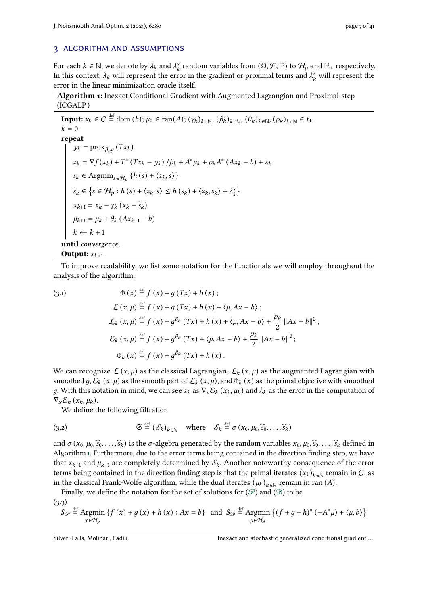# <span id="page-6-0"></span>3 algorithm and assumptions

For each  $k \in \mathbb{N}$ , we denote by  $\lambda_k$  and  $\lambda_k^s$  $\mathcal{F}_k$  random variables from  $(\Omega, \mathcal{F}, \mathbb{P})$  to  $\mathcal{H}_p$  and  $\mathbb{R}_+$  respectively. In this context,  $\lambda_k$  will represent the error in the gradient or proximal terms and  $\lambda_k^3$  $\frac{s}{k}$  will represent the error in the linear minimization oracle itself.

Algorithm 1: Inexact Conditional Gradient with Augmented Lagrangian and Proximal-step (ICGALP )

**Input:**  $x_0 \in C \stackrel{\text{def}}{=} \text{dom}(h); \mu_0 \in \text{ran}(A); (\gamma_k)_{k \in \mathbb{N}}, (\beta_k)_{k \in \mathbb{N}}, (\theta_k)_{k \in \mathbb{N}}, (\rho_k)_{k \in \mathbb{N}} \in \ell_+$  $k = 0$ repeat  $y_k = \text{prox}_{\beta_k g} (Tx_k)$  $z_k = \nabla f(x_k) + T^*(Tx_k - y_k) / \beta_k + A^* \mu_k + \rho_k A^* (Ax_k - b) + \lambda_k$  $s_k \in \text{Argmin}_{s \in \mathcal{H}_b} \{ h(s) + \langle z_k, s \rangle \}$  $\widehat{s_k} \in \left\{ s \in \mathcal{H}_p : h(s) + \langle z_k, s \rangle \le h(s_k) + \langle z_k, s_k \rangle + \lambda_k^s \right\}$  $\begin{matrix} s \\ k \end{matrix}$  $x_{k+1} = x_k - \gamma_k (x_k - \widehat{s}_k)$  $\mu_{k+1} = \mu_k + \theta_k (Ax_{k+1} - b)$  $k \leftarrow k + 1$ until convergence; Output:  $x_{k+1}$ .

<span id="page-6-1"></span>To improve readability, we list some notation for the functionals we will employ throughout the analysis of the algorithm,

(3.1)  $\Phi(x) \stackrel{\text{def}}{=} f(x) + g(Tx) + h(x);$  $\mathcal{L}(x, \mu) \stackrel{\text{def}}{=} f(x) + g(Tx) + h(x) + \langle \mu, Ax - b \rangle;$  $\mathcal{L}_k(x,\mu) \stackrel{\text{def}}{=} f(x) + g^{\beta_k}(Tx) + h(x) + \langle \mu, Ax - b \rangle + \frac{\rho_k}{g}$  $\frac{\partial k}{2}$  ||Ax – b||<sup>2</sup> ;  $\mathcal{E}_k(x, \mu) \stackrel{\text{def}}{=} f(x) + g^{\beta_k}(Tx) + \langle \mu, Ax - b \rangle + \frac{\rho_k}{g}$  $\frac{\partial k}{2} ||Ax - b||^2$ ;  $\Phi_k(x) \stackrel{\text{def}}{=} f(x) + g^{\beta_k}(Tx) + h(x)$ .

We can recognize  $\mathcal{L}(x, \mu)$  as the classical Lagrangian,  $\mathcal{L}_k(x, \mu)$  as the augmented Lagrangian with smoothed q,  $\mathcal{E}_k(x, \mu)$  as the smooth part of  $\mathcal{L}_k(x, \mu)$ , and  $\Phi_k(x)$  as the primal objective with smoothed g. With this notation in mind, we can see  $z_k$  as  $\nabla_x \mathcal{E}_k(x_k, \mu_k)$  and  $\lambda_k$  as the error in the computation of  $\nabla_x \mathcal{E}_k(x_k, \mu_k).$ 

<span id="page-6-2"></span>We define the following filtration

(3.2) 
$$
\mathfrak{S} \stackrel{\text{def}}{=} (\mathcal{S}_k)_{k \in \mathbb{N}} \quad \text{where} \quad \mathcal{S}_k \stackrel{\text{def}}{=} \sigma(x_0, \mu_0, \widehat{s}_0, \ldots, \widehat{s}_k)
$$

and  $\sigma(x_0, \mu_0, \widehat{s}_0, \ldots, \widehat{s}_k)$  is the  $\sigma$ -algebra generated by the random variables  $x_0, \mu_0, \widehat{s}_0, \ldots, \widehat{s}_k$  defined in Algorithm [1.](#page-6-1) Furthermore, due to the error terms being contained in the direction finding step, we have that  $x_{k+1}$  and  $\mu_{k+1}$  are completely determined by  $\mathcal{S}_k$ . Another noteworthy consequence of the error terms being contained in the direction finding step is that the primal iterates  $(x_k)_{k \in \mathbb{N}}$  remain in C, as in the classical Frank-Wolfe algorithm, while the dual iterates  $(\mu_k)_{k \in \mathbb{N}}$  remain in ran  $(A)$ .

Finally, we define the notation for the set of solutions for  $(\mathscr{P})$  and  $(\mathscr{D})$  to be

 $(3.3)$ 

<span id="page-6-3"></span>
$$
S_{\mathcal{P}} \stackrel{\text{def}}{=} \underset{x \in \mathcal{H}_p}{\text{Argmin}} \left\{ f(x) + g(x) + h(x) : Ax = b \right\} \text{ and } S_{\mathcal{D}} \stackrel{\text{def}}{=} \underset{\mu \in \mathcal{H}_d}{\text{Argmin}} \left\{ (f + g + h)^* \left( -A^* \mu \right) + \langle \mu, b \rangle \right\}
$$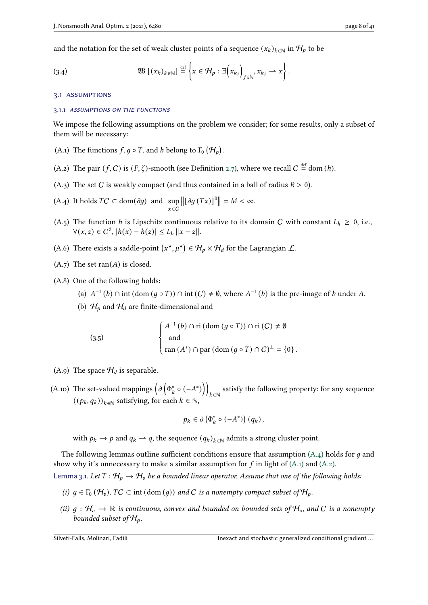and the notation for the set of weak cluster points of a sequence  $(x_k)_{k \in \mathbb{N}}$  in  $\mathcal{H}_p$  to be

<span id="page-7-10"></span>(3.4) 
$$
\mathfrak{W} \left[ (x_k)_{k \in \mathbb{N}} \right] \stackrel{\text{def}}{=} \left\{ x \in \mathcal{H}_p : \exists \left( x_{k_j} \right)_{j \in \mathbb{N}}, x_{k_j} \to x \right\}.
$$

#### 3.1 assumptions

#### 3.1.1 assumptions on the functions

We impose the following assumptions on the problem we consider; for some results, only a subset of them will be necessary:

- <span id="page-7-1"></span>(A.1) The functions  $f, g \circ T$ , and h belong to  $\Gamma_0 (\mathcal{H}_p)$ .
- <span id="page-7-2"></span>(A.2) The pair  $(f, C)$  is  $(F, \zeta)$ -smooth (see Definition [2.7\)](#page-5-0), where we recall  $C \stackrel{\text{def}}{=} \text{dom}(h)$ .
- <span id="page-7-6"></span>(A.3) The set C is weakly compact (and thus contained in a ball of radius  $R > 0$ ).
- <span id="page-7-0"></span> $(A.4)$  It holds  $TC \subset \text{dom}(\partial g)$  and sup  $x \in \overline{C}$  $\left\| \left[ \partial g\left( Tx\right) \right] ^{0}\right\| =M<\infty.$
- <span id="page-7-8"></span>(A.5) The function h is Lipschitz continuous relative to its domain C with constant  $L_h \ge 0$ , i.e.,  $\forall (x, z) \in C^2, |h(x) - h(z)| \le L_h \|x - z\|.$
- <span id="page-7-7"></span>(A.6) There exists a saddle-point  $(x^*, \mu^*) \in \mathcal{H}_b \times \mathcal{H}_d$  for the Lagrangian  $\mathcal{L}$ .
- $(A.7)$  The set ran $(A)$  is closed.
- <span id="page-7-12"></span><span id="page-7-9"></span>(A.8) One of the following holds:
	- (a)  $A^{-1}(b) \cap \text{int}(\text{dom}(g \circ T)) \cap \text{int}(C) \neq \emptyset$ , where  $A^{-1}(b)$  is the pre-image of b under A.
	- (b)  $\mathcal{H}_p$  and  $\mathcal{H}_d$  are finite-dimensional and

J.

(3.5) 
$$
\begin{cases} A^{-1}(b) \cap \text{ri}(\text{dom}(g \circ T)) \cap \text{ri}(C) \neq \emptyset \\ \text{and} \\ \text{ran}(A^*) \cap \text{par}(\text{dom}(g \circ T) \cap C)^{\perp} = \{0\}. \end{cases}
$$

<span id="page-7-11"></span>(A.9) The space  $\mathcal{H}_d$  is separable.

<span id="page-7-5"></span>(A.10) The set-valued mappings  $\left(\partial \left(\Phi^*_k \circ (-A^*)\right)\right)$  ∈ℕ satisfy the following property: for any sequence  $((p_k, q_k))_{k \in \mathbb{N}}$  satisfying, for each  $k \in \mathbb{N}$ ,

$$
p_k \in \partial \left( \Phi_k^* \circ (-A^*) \right) (q_k),
$$

with  $p_k \to p$  and  $q_k \to q$ , the sequence  $(q_k)_{k \in \mathbb{N}}$  admits a strong cluster point.

The following lemmas outline sufficient conditions ensure that assumption  $(A.4)$  holds for q and show why it's unnecessary to make a similar assumption for  $f$  in light of [\(A.1\)](#page-7-1) and [\(A.2\).](#page-7-2)

Lemma 3.1. Let  $T : H_D \to H_U$  be a bounded linear operator. Assume that one of the following holds:

- <span id="page-7-3"></span>(i)  $g \in \Gamma_0(\mathcal{H}_v)$ ,  $TC \subset \text{int}(\text{dom}(g))$  and C is a nonempty compact subset of  $\mathcal{H}_p$ .
- <span id="page-7-4"></span>(ii)  $g : H_0 \to \mathbb{R}$  is continuous, convex and bounded on bounded sets of  $H_0$ , and C is a nonempty bounded subset of  $\mathcal{H}_p$ .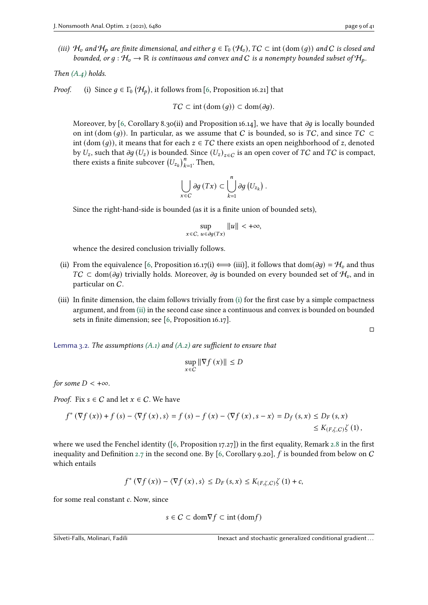(iii)  $H_v$  and  $H_p$  are finite dimensional, and either  $g \in \Gamma_0(H_v)$ ,  $TC \subset \text{int }(\text{dom }(g))$  and C is closed and bounded, or  $g : H_v \to \mathbb{R}$  is continuous and convex and C is a nonempty bounded subset of  $H_p$ .

Then [\(A.4\)](#page-7-0) holds.

*Proof.* (i) Since  $g \in \Gamma_0(\mathcal{H}_p)$ , it follows from [\[6,](#page-38-7) Proposition 16.21] that

$$
TC \subset \text{int}(\text{dom}(g)) \subset \text{dom}(\partial g).
$$

Moreover, by [\[6,](#page-38-7) Corollary 8.30(ii) and Proposition 16.14], we have that  $\partial q$  is locally bounded on int (dom (q)). In particular, as we assume that C is bounded, so is  $TC$ , and since  $TC \subset$ int (dom (*g*)), it means that for each  $z \in TC$  there exists an open neighborhood of z, denoted by  $U_z$ , such that  $\partial g(U_z)$  is bounded. Since  $(U_z)_{z \in C}$  is an open cover of TC and TC is compact, there exists a finite subcover  $(U_{z_k})_{k=1}^n$ . Then,

$$
\bigcup_{x \in C} \partial g(Tx) \subset \bigcup_{k=1}^n \partial g\left(U_{z_k}\right).
$$

Since the right-hand-side is bounded (as it is a finite union of bounded sets),

$$
\sup_{x \in C, \ u \in \partial g(Tx)} ||u|| < +\infty,
$$

whence the desired conclusion trivially follows.

- (ii) From the equivalence [\[6,](#page-38-7) Proposition 16.17(i)  $\iff$  (iii)], it follows that dom( $\partial g$ ) =  $\mathcal{H}_v$  and thus  $TC \subset \text{dom}(\partial g)$  trivially holds. Moreover,  $\partial g$  is bounded on every bounded set of  $\mathcal{H}_v$ , and in particular on C.
- (iii) In finite dimension, the claim follows trivially from [\(i\)](#page-7-3) for the first case by a simple compactness argument, and from [\(ii\)](#page-7-4) in the second case since a continuous and convex is bounded on bounded sets in finite dimension; see [\[6,](#page-38-7) Proposition 16.17].

□

<span id="page-8-0"></span>Lemma 3.2. The assumptions  $(A.1)$  and  $(A.2)$  are sufficient to ensure that

$$
\sup_{x \in C} \|\nabla f(x)\| \le D
$$

for some  $D < +\infty$ .

*Proof.* Fix  $s \in C$  and let  $x \in C$ . We have

$$
f^*(\nabla f(x)) + f(s) - \langle \nabla f(x), s \rangle = f(s) - f(x) - \langle \nabla f(x), s - x \rangle = D_f(s, x) \le D_F(s, x)
$$
  
\$\le K\_{(F,\zeta,C)} \zeta(1)\$,

where we used the Fenchel identity ( $[6,$  Proposition 17.27)) in the first equality, Remark [2.8](#page-5-5) in the first inequality and Definition [2.7](#page-5-0) in the second one. By [\[6,](#page-38-7) Corollary 9.20], f is bounded from below on C which entails

$$
f^*(\nabla f(x)) - \langle \nabla f(x), s \rangle \le D_F(s, x) \le K_{(F, \zeta, C)} \zeta(1) + c,
$$

for some real constant  $c$ . Now, since

$$
s \in C \subset \text{dom}\nabla f \subset \text{int}(\text{dom}f)
$$

Silveti-Falls, Molinari, Fadili **International gradient** Inexact and stochastic generalized conditional gradient...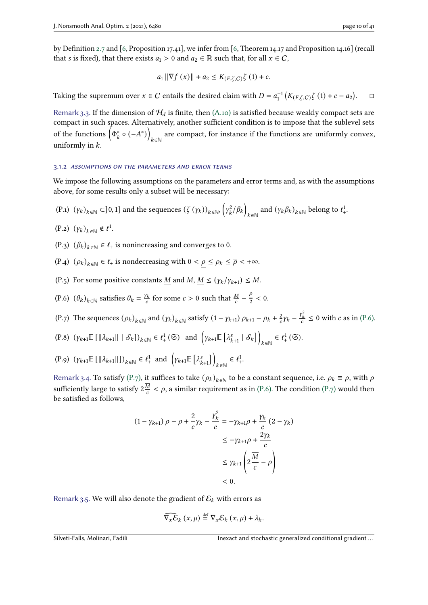by Definition [2.7](#page-5-0) and [\[6,](#page-38-7) Proposition 17.41], we infer from [\[6,](#page-38-7) Theorem 14.17 and Proposition 14.16] (recall that *s* is fixed), that there exists  $a_1 > 0$  and  $a_2 \in \mathbb{R}$  such that, for all  $x \in C$ ,

$$
a_1 \|\nabla f(x)\| + a_2 \le K_{(F,\zeta,C)} \zeta(1) + c.
$$

Taking the supremum over  $x \in C$  entails the desired claim with  $D = a_1^{-1} \left( K_{(F,\zeta,C)} \zeta(1) + c - a_2 \right)$  $\Box$ 

Remark 3.3. If the dimension of  $H_d$  is finite, then [\(A.10\)](#page-7-5) is satisfied because weakly compact sets are compact in such spaces. Alternatively, another sufficient condition is to impose that the sublevel sets of the functions  $\left(\Phi_k^* \circ (-A^*)\right)$  ∈ℕ are compact, for instance if the functions are uniformly convex, uniformly in  $k$ .

#### 3.1.2 assumptions on the parameters and error terms

We impose the following assumptions on the parameters and error terms and, as with the assumptions above, for some results only a subset will be necessary:

<span id="page-9-3"></span>(P.1)  $(y_k)_{k \in \mathbb{N}} \subset ]0,1]$  and the sequences  $(\zeta(y_k))_{k \in \mathbb{N}}$ ,  $(y_k^2)$  $\eta_k^2/\beta_k$  $_{k\in\mathbb{N}}$  and  $(\gamma_k\beta_k)_{k\in\mathbb{N}}$  belong to  $\ell^1_+$ .

 $(P.2)$   $(\gamma_k)_{k \in \mathbb{N}} \notin \ell^1$ .

- <span id="page-9-5"></span>(P.3)  $(\beta_k)_{k \in \mathbb{N}} \in \ell_+$  is nonincreasing and converges to 0.
- <span id="page-9-4"></span>(P.4)  $(\rho_k)_{k \in \mathbb{N}} \in \ell_+$  is nondecreasing with  $0 < \rho \le \rho_k \le \overline{\rho} < +\infty$ .
- <span id="page-9-6"></span>(P.5) For some positive constants M and  $\overline{M}$ ,  $M \leq (\gamma_k/\gamma_{k+1}) \leq \overline{M}$ .
- <span id="page-9-0"></span>(P.6)  $(\theta_k)_{k \in \mathbb{N}}$  satisfies  $\theta_k = \frac{y_k}{c}$  $\frac{f}{c}$  for some  $c > 0$  such that  $\frac{\overline{M}}{c} - \frac{\frac{c}{2}}{2}$  $\frac{\rho}{2}$  < 0.
- <span id="page-9-1"></span>(P.7) The sequences  $(\rho_k)_{k \in \mathbb{N}}$  and  $(\gamma_k)_{k \in \mathbb{N}}$  satisfy  $(1 - \gamma_{k+1}) \rho_{k+1} - \rho_k + \frac{2}{c}$  $\frac{2}{c}\gamma_k - \frac{y_k^2}{c} \leq 0$  with c as in [\(P.6\).](#page-9-0)
- <span id="page-9-2"></span> $(P.8)$   $(\gamma_{k+1} \mathbb{E} [||\lambda_{k+1}|| | S_k])_{k \in \mathbb{N}} \in l^1_+(\mathfrak{S})$  and  $(\gamma_{k+1} \mathbb{E} [|\lambda_{k+1}^s | S_k])$  $_{k\in\mathbb{N}}\in\ell_{+}^{1}\left( \mathfrak{S}\right) .$
- <span id="page-9-7"></span>(P.9)  $(\gamma_{k+1} \mathbb{E} [||\lambda_{k+1}||])_{k \in \mathbb{N}} \in \ell^1_+ \text{ and } (\gamma_{k+1} \mathbb{E} [\lambda_{k+1}^s])$  $k \in \mathbb{N}$   $\in \ell^1_+$ .

Remark 3.4. To satisfy [\(P.7\),](#page-9-1) it suffices to take  $(\rho_k)_{k \in \mathbb{N}}$  to be a constant sequence, i.e.  $\rho_k \equiv \rho$ , with  $\rho$ sufficiently large to satisfy  $2\frac{\overline{M}}{2}$  $\frac{M}{c} < \rho$ , a similar requirement as in [\(P.6\).](#page-9-0) The condition [\(P.7\)](#page-9-1) would then be satisfied as follows,

$$
(1 - \gamma_{k+1}) \rho - \rho + \frac{2}{c} \gamma_k - \frac{\gamma_k^2}{c} = -\gamma_{k+1} \rho + \frac{\gamma_k}{c} (2 - \gamma_k)
$$
  

$$
\leq -\gamma_{k+1} \rho + \frac{2\gamma_k}{c}
$$
  

$$
\leq \gamma_{k+1} \left( 2 \frac{\overline{M}}{c} - \rho \right)
$$
  

$$
< 0.
$$

Remark 3.5. We will also denote the gradient of  $\mathcal{E}_k$  with errors as

$$
\widehat{\nabla_x \mathcal{E}}_k(x,\mu) \stackrel{\text{def}}{=} \nabla_x \mathcal{E}_k(x,\mu) + \lambda_k.
$$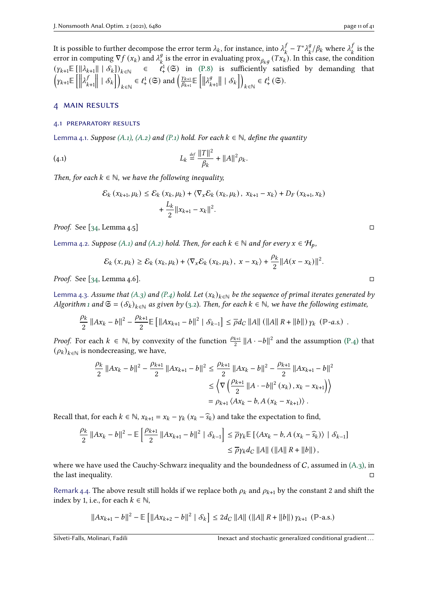It is possible to further decompose the error term  $\lambda_k,$  for instance, into  $\lambda^f_t$  $\frac{f}{k} - T^* \lambda_k^g$  $\frac{g}{k}/\beta_k$  where  $\lambda_k^j$ is the error term  $\lambda_k$ , for instance, into  $\lambda_k^f - T^* \lambda_k^g / \beta_k$  where  $\lambda_k^f$  is the error in computing  $\nabla f(x_k)$  and  $\lambda_k^g$  is the error in evaluating  $\max_{\beta_k g} (Tx_k)$ . In this case, the condition  $(y_{k+1} \mathbb{E} \left[ \|\lambda_{k+1}\| \mid \mathcal{S}_k \right])_{k \in \mathbb{N}} \in \ell^1_+(\mathfrak{S})$  in  $(P.8)$  is sufficiently satisfied by demanding that  $\left( \gamma_{k+1} \mathbb{E}\left[ \Big\Vert \right. \right.$  $\lambda_i^j$  $k+1$  $\Big\| \, | \, {\mathcal S}_k \Big\| \Big)$  $k \in \mathbb{N} \in \ell^1_+ (\mathfrak{S})$  and  $\left(\frac{\gamma_{k+1}}{\beta_{k+1}}\right)$  $\frac{\gamma_{k+1}}{\beta_{k+1}}\mathbb{E}\left[\left\Vert \lambda_{k}^{g}\right\Vert \right]$  $\left.\begin{array}{c} g \ g_{k+1} \end{array}\right| \mid \mathcal{S}_k \bigg] \bigg)$  $_{k\in\mathbb{N}}\in\ell_{+}^{1}\left( \mathfrak{S}\right) .$ 

# <span id="page-10-0"></span>4 main results

#### 4.1 preparatory results

<span id="page-10-1"></span>Lemma 4.1. Suppose [\(A.1\),](#page-7-1) [\(A.2\)](#page-7-2) and [\(P.1\)](#page-9-3) hold. For each  $k \in \mathbb{N}$ , define the quantity

(4.1) 
$$
L_k \stackrel{\text{def}}{=} \frac{\|T\|^2}{\beta_k} + \|A\|^2 \rho_k.
$$

Then, for each  $k \in \mathbb{N}$ , we have the following inequality,

<span id="page-10-3"></span>
$$
\mathcal{E}_{k}(x_{k+1}, \mu_{k}) \leq \mathcal{E}_{k}(x_{k}, \mu_{k}) + \langle \nabla_{x} \mathcal{E}_{k}(x_{k}, \mu_{k}), x_{k+1} - x_{k} \rangle + D_{F}(x_{k+1}, x_{k}) + \frac{L_{k}}{2} ||x_{k+1} - x_{k}||^{2}.
$$

*Proof.* See [\[34,](#page-40-0) Lemma 4.5]  $\Box$ 

<span id="page-10-2"></span>Lemma 4.2. Suppose [\(A.1\)](#page-7-1) and [\(A.2\)](#page-7-2) hold. Then, for each  $k \in \mathbb{N}$  and for every  $x \in \mathcal{H}_p$ ,

$$
\mathcal{E}_k(x,\mu_k) \geq \mathcal{E}_k(x_k,\mu_k) + \langle \nabla_x \mathcal{E}_k(x_k,\mu_k), x - x_k \rangle + \frac{\rho_k}{2} ||A(x - x_k)||^2.
$$

*Proof.* See [ $34$ , Lemma  $4.6$ ].

<span id="page-10-4"></span>Lemma 4.3. Assume that [\(A.3\)](#page-7-6) and [\(P.4\)](#page-9-4) hold. Let  $(x_k)_{k \in \mathbb{N}}$  be the sequence of primal iterates generated by Algorithm [1](#page-6-1) and  $\mathfrak{S} = (\mathcal{S}_k)_{k \in \mathbb{N}}$  as given by [\(3.2\)](#page-6-2). Then, for each  $k \in \mathbb{N}$ , we have the following estimate,

$$
\frac{\rho_k}{2} \|Ax_k - b\|^2 - \frac{\rho_{k+1}}{2} \mathbb{E} \left[ \|Ax_{k+1} - b\|^2 \mid \mathcal{S}_{k-1} \right] \leq \overline{\rho} d_C \|A\| \left( \|A\| R + \|b\| \right) \gamma_k \left( \mathbb{P}\text{-}a.s. \right) .
$$

*Proof.* For each  $k \in \mathbb{N}$ , by convexity of the function  $\frac{\rho_{k+1}}{2} ||A - b||^2$  and the assumption [\(P.4\)](#page-9-4) that  $(\rho_k)_{k \in \mathbb{N}}$  is nondecreasing, we have,

$$
\frac{\rho_k}{2} ||Ax_k - b||^2 - \frac{\rho_{k+1}}{2} ||Ax_{k+1} - b||^2 \le \frac{\rho_{k+1}}{2} ||Ax_k - b||^2 - \frac{\rho_{k+1}}{2} ||Ax_{k+1} - b||^2
$$
  

$$
\le \left\langle \nabla \left(\frac{\rho_{k+1}}{2} ||A - b||^2 (x_k), x_k - x_{k+1}\right) \right\rangle
$$
  

$$
= \rho_{k+1} \left\langle Ax_k - b, A (x_k - x_{k+1}) \right\rangle.
$$

Recall that, for each  $k \in \mathbb{N}$ ,  $x_{k+1} = x_k - \gamma_k (x_k - \hat{s}_k)$  and take the expectation to find,

$$
\frac{\rho_k}{2} \|Ax_k - b\|^2 - \mathbb{E} \left[ \frac{\rho_{k+1}}{2} \|Ax_{k+1} - b\|^2 \mid \mathcal{S}_{k-1} \right] \le \overline{\rho} \gamma_k \mathbb{E} \left[ \langle Ax_k - b, A(x_k - \widehat{s}_k) \rangle \mid \mathcal{S}_{k-1} \right]
$$
  

$$
\le \overline{\rho} \gamma_k d_C \|A\| \left( \|A\| R + \|b\| \right),
$$

where we have used the Cauchy-Schwarz inequality and the boundedness of  $C$ , assumed in  $(A_3)$ , in the last inequality.

<span id="page-10-5"></span>Remark 4.4. The above result still holds if we replace both  $\rho_k$  and  $\rho_{k+1}$  by the constant 2 and shift the index by 1, i.e., for each  $k \in \mathbb{N}$ ,

$$
||Ax_{k+1} - b||^2 - \mathbb{E} [||Ax_{k+2} - b||^2 | S_k] \le 2d_C ||A|| (||A|| R + ||b||) \gamma_{k+1} (P-a.s.)
$$

<span id="page-10-6"></span>Silveti-Falls, Molinari, Fadili **Inexact and stochastic generalized conditional gradient**...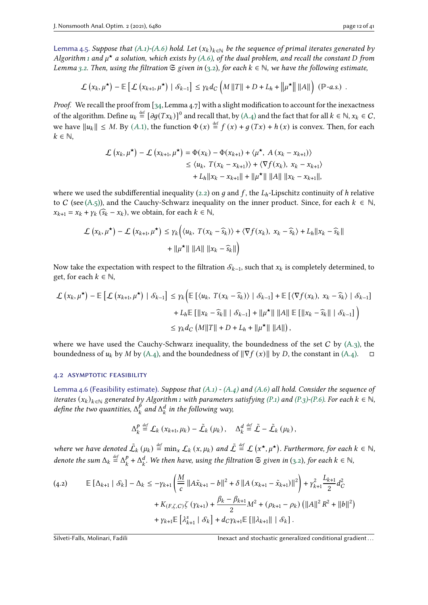$$
\mathcal{L}\left(x_k,\mu^{\star}\right)-\mathbb{E}\left[\mathcal{L}\left(x_{k+1},\mu^{\star}\right) \mid \mathcal{S}_{k-1}\right] \leq \gamma_k d_C \left(M\left\|T\right\|+D+L_h+\left\|\mu^{\star}\right\| \left\|A\right\|\right) \left(\mathbb{P}\text{-}a.s.\right) .
$$

Proof. We recall the proof from [\[34,](#page-40-0) Lemma 4.7] with a slight modification to account for the inexactness of the algorithm. Define  $u_k \stackrel{\text{def}}{=} [\partial g(Tx_k)]^0$  and recall that, by [\(A.4\)](#page-7-0) and the fact that for all  $k \in \mathbb{N}$ ,  $x_k \in C$ , we have  $||u_k|| \le M$ [.](#page-7-1) By  $(A.1)$ , the function  $\Phi(x) \stackrel{\text{def}}{=} f(x) + g(Tx) + h(x)$  is convex. Then, for each  $k \in \mathbb{N}$ ,

$$
\mathcal{L}(x_k, \mu^*) - \mathcal{L}(x_{k+1}, \mu^*) = \Phi(x_k) - \Phi(x_{k+1}) + \langle \mu^*, A (x_k - x_{k+1}) \rangle
$$
  
\n
$$
\leq \langle u_k, T(x_k - x_{k+1}) \rangle + \langle \nabla f(x_k), x_k - x_{k+1} \rangle
$$
  
\n
$$
+ L_h ||x_k - x_{k+1}|| + ||\mu^*|| ||A|| ||x_k - x_{k+1}||,
$$

where we used the subdifferential inequality [\(2.2\)](#page-4-4) on  $q$  and  $f$ , the  $L<sub>h</sub>$ -Lipschitz continuity of  $h$  relative to C (see [\(A.5\)\)](#page-7-8), and the Cauchy-Schwarz inequality on the inner product. Since, for each  $k \in \mathbb{N}$ ,  $x_{k+1} = x_k + \gamma_k (\widehat{s}_k - x_k)$ , we obtain, for each  $k \in \mathbb{N}$ ,

$$
\mathcal{L}\left(x_k, \mu^{\star}\right) - \mathcal{L}\left(x_{k+1}, \mu^{\star}\right) \leq \gamma_k \Big( \langle u_k, T(x_k - \widehat{s}_k) \rangle + \langle \nabla f(x_k), x_k - \widehat{s}_k \rangle + L_h ||x_k - \widehat{s}_k|| + ||\mu^{\star}|| \, ||A|| \, ||x_k - \widehat{s}_k|| \Big)
$$

Now take the expectation with respect to the filtration  $\mathcal{S}_{k-1}$ , such that  $x_k$  is completely determined, to get, for each  $k \in \mathbb{N}$ ,

$$
\mathcal{L}\left(x_{k},\mu^{\star}\right) - \mathbb{E}\left[\mathcal{L}\left(x_{k+1},\mu^{\star}\right) \mid \mathcal{S}_{k-1}\right] \leq \gamma_{k}\left(\mathbb{E}\left[\left\langle u_{k}, T(x_{k} - \widehat{s}_{k})\right\rangle \mid \mathcal{S}_{k-1}\right] + \mathbb{E}\left[\left\langle \nabla f(x_{k}), x_{k} - \widehat{s}_{k}\right\rangle \mid \mathcal{S}_{k-1}\right] + L_{h}\mathbb{E}\left[\left\|x_{k} - \widehat{s}_{k}\right\|\mid \mathcal{S}_{k-1}\right] + \|\mu^{\star}\| \left\|A\right\|\right] \mathbb{E}\left[\left\|x_{k} - \widehat{s}_{k}\right\|\mid \mathcal{S}_{k-1}\right]\right) \\
\leq \gamma_{k} d_{C}\left(M\|T\| + D + L_{h} + \|\mu^{\star}\| \left\|A\right\|\right),
$$

where we have used the Cauchy-Schwarz inequality, the boundedness of the set  $C$  by  $(A_3)$ , the boundedness of  $u_k$  by  $M$  by [\(A.4\),](#page-7-0) and the boundedness of  $\|\nabla f(x)\|$  by  $D$ , the constant in [\(A.4\).](#page-7-0) □

#### 4.2 asymptotic feasibility

<span id="page-11-1"></span>Lemma 4.6 (Feasibility estimate). Suppose that  $(A.1)$  -  $(A.4)$  and  $(A.6)$  all hold. Consider the sequence of iterates  $(x_k)_{k \in \mathbb{N}}$  generated by Algorithm [1](#page-6-1) with parameters satisfying [\(P.1\)](#page-9-3) and [\(P.3\)](#page-9-5)[-\(P.6\).](#page-9-0) For each  $k \in \mathbb{N}$ , define the two quantities,  $\Delta_k^{\vec{p}}$  $\frac{\dot{p}}{k}$  and  $\Delta_k^d$  $\frac{d}{k}$  in the following way,

$$
\Delta_k^p \stackrel{\text{def}}{=} \mathcal{L}_k(x_{k+1}, \mu_k) - \tilde{\mathcal{L}}_k(\mu_k), \quad \Delta_k^d \stackrel{\text{def}}{=} \tilde{\mathcal{L}} - \tilde{\mathcal{L}}_k(\mu_k),
$$

where we have denoted  $\tilde{\mathcal{L}}_k(\mu_k) \stackrel{\text{def}}{=} \min_x \mathcal{L}_k(x, \mu_k)$  and  $\tilde{\mathcal{L}} \stackrel{\text{def}}{=} \mathcal{L}(x^\star, \mu^\star)$ . Furthermore, for each  $k \in \mathbb{N}$ , denote the sum  $\Delta_k \stackrel{\text{def}}{=} \Delta_k^p$  $\frac{p}{k} + \Delta_k^d$  $k<sup>d</sup>$ . We then have, using the filtration  $\mathfrak S$  given in [\(3.2\)](#page-6-2), for each  $k \in \mathbb N$ ,

<span id="page-11-0"></span>
$$
\begin{split} \text{(4.2)} \qquad & \mathbb{E}\left[\Delta_{k+1} \mid \mathcal{S}_k\right] - \Delta_k \leq -\gamma_{k+1} \left(\frac{M}{c} \left\|A\tilde{x}_{k+1} - b\right\|^2 + \delta \left\|A\left(x_{k+1} - \tilde{x}_{k+1}\right)\right\|^2\right) + \gamma_{k+1}^2 \frac{L_{k+1}}{2} d_C^2 \\ &+ K_{(F,\zeta,C)} \zeta\left(\gamma_{k+1}\right) + \frac{\beta_k - \beta_{k+1}}{2} M^2 + \left(\rho_{k+1} - \rho_k\right) \left(\|A\|^2 R^2 + \|b\|^2\right) \\ &+ \gamma_{k+1} \mathbb{E}\left[\lambda_{k+1}^s \mid \mathcal{S}_k\right] + d_C \gamma_{k+1} \mathbb{E}\left[\left\|\lambda_{k+1}\right\| \mid \mathcal{S}_k\right]. \end{split}
$$

Silveti-Falls, Molinari, Fadili **Inexact and stochastic generalized conditional gradient**...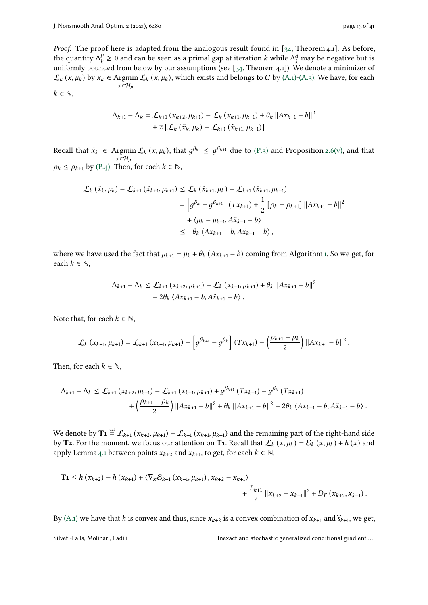Proof. The proof here is adapted from the analogous result found in [\[34,](#page-40-0) Theorem 4.1]. As before, the quantity  $\Delta_t^p$  $\frac{p}{k} \ge 0$  and can be seen as a primal gap at iteration k while  $\Delta_k^d$  may be negative but is uniformly bounded from below by our assumptions (see [\[34,](#page-40-0) Theorem 4.1]). We denote a minimizer of  $\mathcal{L}_k$  (x,  $\mu_k$ ) by  $\tilde{x}_k \in \text{Argmin} \ \mathcal{L}_k$  (x,  $\mu_k$ ), which exists and belongs to C by [\(A.1\)-](#page-7-1)[\(A.3\).](#page-7-6) We have, for each  $x \in \mathcal{H}_p$  $k \in \mathbb{N}$ ,

$$
\Delta_{k+1} - \Delta_k = \mathcal{L}_{k+1} (x_{k+2}, \mu_{k+1}) - \mathcal{L}_k (x_{k+1}, \mu_{k+1}) + \theta_k ||Ax_{k+1} - b||^2
$$
  
+ 2  $[\mathcal{L}_k (\tilde{x}_k, \mu_k) - \mathcal{L}_{k+1} (\tilde{x}_{k+1}, \mu_{k+1})].$ 

Recall that  $\tilde{x}_k \in \text{Argmin} \mathcal{L}_k(x, \mu_k)$ , that  $g^{\beta_k} \leq g^{\beta_{k+1}}$  due to  $(\text{P.3})$  and Proposition [2.6](#page-4-5)[\(v\),](#page-5-1) and that  $x \in \mathcal{H}_p$  $\rho_k \leq \rho_{k+1}$  by [\(P.4\).](#page-9-4) Then, for each  $k \in \mathbb{N}$ ,

$$
\mathcal{L}_{k}(\tilde{x}_{k}, \mu_{k}) - \mathcal{L}_{k+1}(\tilde{x}_{k+1}, \mu_{k+1}) \leq \mathcal{L}_{k}(\tilde{x}_{k+1}, \mu_{k}) - \mathcal{L}_{k+1}(\tilde{x}_{k+1}, \mu_{k+1})
$$
\n
$$
= \left[ g^{\beta_{k}} - g^{\beta_{k+1}} \right] (T\tilde{x}_{k+1}) + \frac{1}{2} \left[ \rho_{k} - \rho_{k+1} \right] ||A\tilde{x}_{k+1} - b||^{2}
$$
\n
$$
+ \langle \mu_{k} - \mu_{k+1}, A\tilde{x}_{k+1} - b \rangle
$$
\n
$$
\leq -\theta_{k} \langle Ax_{k+1} - b, A\tilde{x}_{k+1} - b \rangle,
$$

where we have used the fact that  $\mu_{k+1} = \mu_k + \theta_k (Ax_{k+1} - b)$  coming from Algorithm [1.](#page-6-1) So we get, for each  $k \in \mathbb{N}$ ,

$$
\Delta_{k+1} - \Delta_k \leq \mathcal{L}_{k+1} (x_{k+2}, \mu_{k+1}) - \mathcal{L}_k (x_{k+1}, \mu_{k+1}) + \theta_k ||Ax_{k+1} - b||^2
$$
  
- 2 $\theta_k \langle Ax_{k+1} - b, A\tilde{x}_{k+1} - b \rangle$ .

Note that, for each  $k \in \mathbb{N}$ ,

$$
\mathcal{L}_{k}(x_{k+1}, \mu_{k+1}) = \mathcal{L}_{k+1}(x_{k+1}, \mu_{k+1}) - \left[g^{\beta_{k+1}} - g^{\beta_{k}}\right](Tx_{k+1}) - \left(\frac{\rho_{k+1} - \rho_{k}}{2}\right) ||Ax_{k+1} - b||^{2}.
$$

Then, for each  $k \in \mathbb{N}$ ,

$$
\Delta_{k+1} - \Delta_k \leq \mathcal{L}_{k+1} (x_{k+2}, \mu_{k+1}) - \mathcal{L}_{k+1} (x_{k+1}, \mu_{k+1}) + g^{\beta_{k+1}} (Tx_{k+1}) - g^{\beta_k} (Tx_{k+1}) + \left(\frac{\rho_{k+1} - \rho_k}{2}\right) ||Ax_{k+1} - b||^2 + \theta_k ||Ax_{k+1} - b||^2 - 2\theta_k \langle Ax_{k+1} - b, A\tilde{x}_{k+1} - b \rangle.
$$

We denote by  ${\bf T_1}\stackrel{\rm def}{=}\cal L_{k+1}(x_{k+2},\mu_{k+1})-{\cal L}_{k+1}(x_{k+1},\mu_{k+1})$  and the remaining part of the right-hand side by **T2**. For the moment, we focus our attention on **T1**. Recall that  $\mathcal{L}_k(x, \mu_k) = \mathcal{E}_k(x, \mu_k) + h(x)$  and apply Lemma [4.1](#page-10-1) between points  $x_{k+2}$  and  $x_{k+1}$ , to get, for each  $k \in \mathbb{N}$ ,

$$
\mathbf{T_1} \leq h(x_{k+2}) - h(x_{k+1}) + \langle \nabla_x \mathcal{E}_{k+1}(x_{k+1}, \mu_{k+1}), x_{k+2} - x_{k+1} \rangle + \frac{L_{k+1}}{2} ||x_{k+2} - x_{k+1}||^2 + D_F(x_{k+2}, x_{k+1}).
$$

By [\(A.1\)](#page-7-1) we have that h is convex and thus, since  $x_{k+2}$  is a convex combination of  $x_{k+1}$  and  $\widehat{s}_{k+1}$ , we get,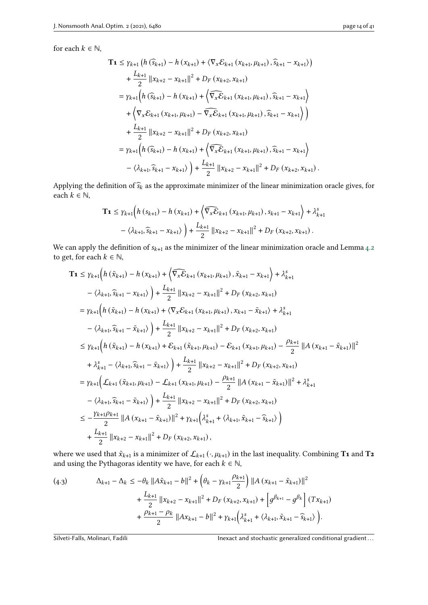for each  $k \in \mathbb{N}$ ,

$$
\mathbf{T_1} \leq \gamma_{k+1} \left( h \left( \hat{s}_{k+1} \right) - h \left( x_{k+1} \right) + \langle \nabla_x \mathcal{E}_{k+1} \left( x_{k+1}, \mu_{k+1} \right), \hat{s}_{k+1} - x_{k+1} \rangle \right) \n+ \frac{L_{k+1}}{2} ||x_{k+2} - x_{k+1}||^2 + D_F \left( x_{k+2}, x_{k+1} \right) \n= \gamma_{k+1} \left( h \left( \hat{s}_{k+1} \right) - h \left( x_{k+1} \right) + \langle \nabla_x \mathcal{E}_{k+1} \left( x_{k+1}, \mu_{k+1} \right), \hat{s}_{k+1} - x_{k+1} \rangle \right) \n+ \langle \nabla_x \mathcal{E}_{k+1} \left( x_{k+1}, \mu_{k+1} \right) - \overline{\nabla_x \mathcal{E}}_{k+1} \left( x_{k+1}, \mu_{k+1} \right), \hat{s}_{k+1} - x_{k+1} \rangle \right) \n+ \frac{L_{k+1}}{2} ||x_{k+2} - x_{k+1}||^2 + D_F \left( x_{k+2}, x_{k+1} \right) \n= \gamma_{k+1} \left( h \left( \hat{s}_{k+1} \right) - h \left( x_{k+1} \right) + \langle \nabla_x \mathcal{E}_{k+1} \left( x_{k+1}, \mu_{k+1} \right), \hat{s}_{k+1} - x_{k+1} \rangle \right) \n- \langle \lambda_{k+1}, \hat{s}_{k+1} - x_{k+1} \rangle \right) + \frac{L_{k+1}}{2} ||x_{k+2} - x_{k+1}||^2 + D_F \left( x_{k+2}, x_{k+1} \right).
$$

Applying the definition of  $\widehat{s}_k$  as the approximate minimizer of the linear minimization oracle gives, for each  $k \in \mathbb{N}$ ,

$$
\mathbf{T_1} \leq \gamma_{k+1} \Big( h \left( s_{k+1} \right) - h \left( x_{k+1} \right) + \left\langle \widehat{\nabla_x \mathcal{E}}_{k+1} \left( x_{k+1}, \mu_{k+1} \right), s_{k+1} - x_{k+1} \right\rangle + \lambda_{k+1}^s
$$

$$
- \left\langle \lambda_{k+1}, \widehat{s}_{k+1} - x_{k+1} \right\rangle + \frac{L_{k+1}}{2} ||x_{k+2} - x_{k+1}||^2 + D_F \left( x_{k+2}, x_{k+1} \right).
$$

We can apply the definition of  $s_{k+1}$  as the minimizer of the linear minimization oracle and Lemma [4.2](#page-10-2) to get, for each  $k \in \mathbb{N}$ ,

$$
\mathbf{T_1} \leq \gamma_{k+1} \Big( h\left(\tilde{x}_{k+1}\right) - h\left(x_{k+1}\right) + \Big(\widehat{\nabla_x \mathcal{E}}_{k+1}\left(x_{k+1}, \mu_{k+1}\right), \tilde{x}_{k+1} - x_{k+1}\Big) + \lambda_{k+1}^s
$$
  
\n
$$
- \langle \lambda_{k+1}, \widehat{x}_{k+1} - x_{k+1} \rangle \Big) + \frac{L_{k+1}}{2} ||x_{k+2} - x_{k+1}||^2 + D_F\left(x_{k+2}, x_{k+1}\right)
$$
  
\n
$$
= \gamma_{k+1} \Big( h\left(\tilde{x}_{k+1}\right) - h\left(x_{k+1}\right) + \Big(\nabla_x \mathcal{E}_{k+1}\left(x_{k+1}, \mu_{k+1}\right), x_{k+1} - \tilde{x}_{k+1}\Big) + \lambda_{k+1}^s
$$
  
\n
$$
- \langle \lambda_{k+1}, \widehat{x}_{k+1} - \tilde{x}_{k+1} \rangle \Big) + \frac{L_{k+1}}{2} ||x_{k+2} - x_{k+1}||^2 + D_F\left(x_{k+2}, x_{k+1}\right)
$$
  
\n
$$
\leq \gamma_{k+1} \Big( h\left(\tilde{x}_{k+1}\right) - h\left(x_{k+1}\right) + \mathcal{E}_{k+1}\left(\tilde{x}_{k+1}, \mu_{k+1}\right) - \mathcal{E}_{k+1}\left(x_{k+1}, \mu_{k+1}\right) - \frac{\rho_{k+1}}{2} ||A\left(x_{k+1} - \tilde{x}_{k+1}\right)||^2
$$
  
\n
$$
+ \lambda_{k+1}^s - \langle \lambda_{k+1}, \widehat{x}_{k+1} - \tilde{x}_{k+1} \rangle \Big) + \frac{L_{k+1}}{2} ||x_{k+2} - x_{k+1}||^2 + D_F\left(x_{k+2}, x_{k+1}\right)
$$
  
\n
$$
= \gamma_{k+1} \Big( \mathcal{L}_{k+1}\left(\tilde{x}_{k+1}, \mu_{k+1}\right) - \mathcal{L}_{k+1}\left(x_{k+1}, \mu_{k+1}\right) - \frac{\rho_{k+1}}{2} ||A\left(x_{k+1} - \
$$

where we used that  $\tilde{x}_{k+1}$  is a minimizer of  $\mathcal{L}_{k+1} \left( \cdot, \mu_{k+1} \right)$  in the last inequality. Combining  $\mathbf{T_1}$  and  $\mathbf{T_2}$ and using the Pythagoras identity we have, for each  $k \in \mathbb{N}$ ,

(4.3) 
$$
\Delta_{k+1} - \Delta_k \le -\theta_k \|A\tilde{x}_{k+1} - b\|^2 + \left(\theta_k - \gamma_{k+1} \frac{\rho_{k+1}}{2}\right) \|A\left(x_{k+1} - \tilde{x}_{k+1}\right)\|^2 + \frac{L_{k+1}}{2} \|x_{k+2} - x_{k+1}\|^2 + D_F\left(x_{k+2}, x_{k+1}\right) + \left[g^{\beta_{k+1}} - g^{\beta_k}\right] (Tx_{k+1}) + \frac{\rho_{k+1} - \rho_k}{2} \|Ax_{k+1} - b\|^2 + \gamma_{k+1} \left(\lambda_{k+1}^s + \langle \lambda_{k+1}, \tilde{x}_{k+1} - \tilde{s}_{k+1}\rangle\right).
$$

Silveti-Falls, Molinari, Fadili **Inexact and stochastic generalized conditional gradient...**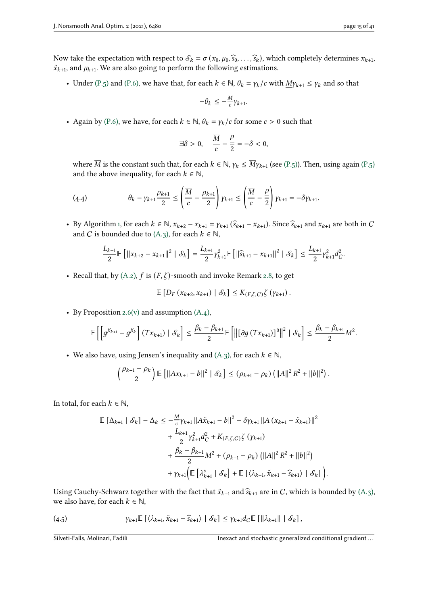Now take the expectation with respect to  $S_k = \sigma(x_0, \mu_0, \hat{s}_0, \dots, \hat{s}_k)$ , which completely determines  $x_{k+1}$ ,  $\tilde{x}_{k+1}$ , and  $\mu_{k+1}$ . We are also going to perform the following estimations.

• Under [\(P.5\)](#page-9-6) and [\(P.6\),](#page-9-0) we have that, for each  $k \in \mathbb{N}$ ,  $\theta_k = \gamma_k/c$  with  $M\gamma_{k+1} \leq \gamma_k$  and so that

$$
-\theta_k \leq -\frac{M}{c} \gamma_{k+1}.
$$

• Again by [\(P.6\),](#page-9-0) we have, for each  $k \in \mathbb{N}$ ,  $\theta_k = \gamma_k/c$  for some  $c > 0$  such that

$$
\exists \delta > 0, \quad \frac{\overline{M}}{c} - \frac{\rho}{2} = -\delta < 0,
$$

where  $\overline{M}$  is the constant such that, for each  $k \in \mathbb{N}$ ,  $\gamma_k \leq \overline{M} \gamma_{k+1}$  (see [\(P.5\)\)](#page-9-6). Then, using again [\(P.5\)](#page-9-6) and the above inequality, for each  $k \in \mathbb{N}$ ,

(4.4) 
$$
\theta_k - \gamma_{k+1} \frac{\rho_{k+1}}{2} \le \left( \frac{\overline{M}}{c} - \frac{\rho_{k+1}}{2} \right) \gamma_{k+1} \le \left( \frac{\overline{M}}{c} - \frac{\rho}{2} \right) \gamma_{k+1} = -\delta \gamma_{k+1}.
$$

• By Algorithm [1,](#page-6-1) for each  $k \in \mathbb{N}$ ,  $x_{k+2} - x_{k+1} = \gamma_{k+1} (\widehat{s}_{k+1} - x_{k+1})$ . Since  $\widehat{s}_{k+1}$  and  $x_{k+1}$  are both in C and *C* is bounded due to [\(A.3\),](#page-7-6) for each  $k \in \mathbb{N}$ ,

$$
\frac{L_{k+1}}{2} \mathbb{E} \left[ \left\| x_{k+2} - x_{k+1} \right\|^2 \mid \mathcal{S}_k \right] = \frac{L_{k+1}}{2} \gamma_{k+1}^2 \mathbb{E} \left[ \left\| \widehat{s}_{k+1} - x_{k+1} \right\|^2 \mid \mathcal{S}_k \right] \le \frac{L_{k+1}}{2} \gamma_{k+1}^2 d_{C}^2.
$$

• Recall that, by  $(A.2)$ ,  $f$  is  $(F, \zeta)$ -smooth and invoke Remark [2.8,](#page-5-5) to get

$$
\mathbb{E}\left[D_F\left(x_{k+2}, x_{k+1}\right) \mid \mathcal{S}_k\right] \le K_{(F,\zeta,C)} \zeta\left(\gamma_{k+1}\right).
$$

• By Proposition [2.6](#page-4-5)[\(v\)](#page-5-1) and assumption  $(A.4)$ ,

$$
\mathbb{E}\left[\left[ g^{\beta_{k+1}} - g^{\beta_{k}}\right](Tx_{k+1}) \mid \mathcal{S}_{k}\right] \leq \frac{\beta_{k} - \beta_{k+1}}{2} \mathbb{E}\left[\left\| \left[\partial g\left(Tx_{k+1}\right)\right]^{0}\right\|^{2} \mid \mathcal{S}_{k}\right] \leq \frac{\beta_{k} - \beta_{k+1}}{2} M^{2}.
$$

• We also have, using Jensen's inequality and  $(A,3)$ , for each  $k \in \mathbb{N}$ ,

$$
\left(\frac{\rho_{k+1}-\rho_k}{2}\right) \mathbb{E}\left[\|Ax_{k+1}-b\|^2 \mid \mathcal{S}_k\right] \leq (\rho_{k+1}-\rho_k)\left(\|A\|^2 R^2 + \|b\|^2\right).
$$

In total, for each  $k \in \mathbb{N}$ ,

$$
\mathbb{E} [\Delta_{k+1} | \mathcal{S}_k] - \Delta_k \le -\frac{M}{c} \gamma_{k+1} ||A\tilde{x}_{k+1} - b||^2 - \delta \gamma_{k+1} ||A(x_{k+1} - \tilde{x}_{k+1})||^2
$$
  
+  $\frac{L_{k+1}}{2} \gamma_{k+1}^2 d_C^2 + K_{(F,\zeta,C)} \zeta (\gamma_{k+1})$   
+  $\frac{\beta_k - \beta_{k+1}}{2} M^2 + (\rho_{k+1} - \rho_k) (||A||^2 R^2 + ||b||^2)$   
+  $\gamma_{k+1} ( \mathbb{E} [\lambda_{k+1}^s | \mathcal{S}_k] + \mathbb{E} [\langle \lambda_{k+1}, \tilde{x}_{k+1} - \hat{s}_{k+1} \rangle | \mathcal{S}_k ] )$ 

Using Cauchy-Schwarz together with the fact that  $\tilde{x}_{k+1}$  and  $\hat{s}_{k+1}$  are in C, which is bounded by [\(A.3\),](#page-7-6) we also have, for each  $k \in \mathbb{N}$ ,

$$
(4.5) \t\t \gamma_{k+1} \mathbb{E} \left[ \langle \lambda_{k+1}, \tilde{x}_{k+1} - \widehat{s}_{k+1} \rangle \mid \mathcal{S}_k \right] \leq \gamma_{k+1} d_C \mathbb{E} \left[ \|\lambda_{k+1}\| \mid \mathcal{S}_k \right],
$$

.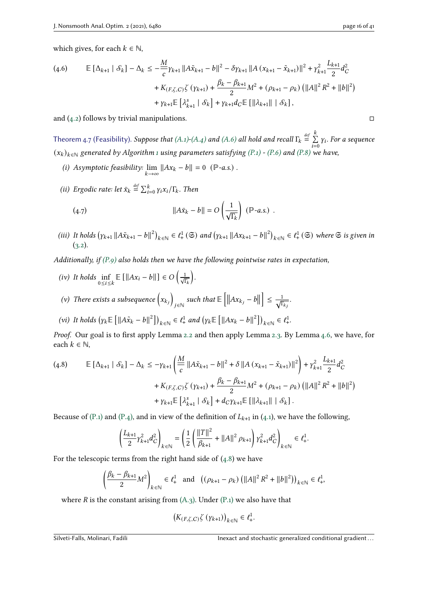which gives, for each  $k \in \mathbb{N}$ ,

$$
\begin{split} \text{(4.6)} \qquad & \mathbb{E}\left[\Delta_{k+1} \mid \mathcal{S}_{k}\right] - \Delta_{k} \leq -\frac{M}{c} \gamma_{k+1} \left\|A\tilde{x}_{k+1} - b\right\|^{2} - \delta \gamma_{k+1} \left\|A\left(x_{k+1} - \tilde{x}_{k+1}\right)\right\|^{2} + \gamma_{k+1}^{2} \frac{L_{k+1}}{2} d_{C}^{2} \\ &+ K_{(F,\zeta,C)} \zeta\left(\gamma_{k+1}\right) + \frac{\beta_{k} - \beta_{k+1}}{2} M^{2} + \left(\rho_{k+1} - \rho_{k}\right) \left(\|A\|^{2} R^{2} + \|b\|^{2}\right) \\ &+ \gamma_{k+1} \mathbb{E}\left[\lambda_{k+1}^{s} \mid \mathcal{S}_{k}\right] + \gamma_{k+1} d_{C} \mathbb{E}\left[\left\|\lambda_{k+1}\right\| \mid \mathcal{S}_{k}\right], \end{split}
$$

and  $(4.2)$  follows by trivial manipulations. □

<span id="page-15-4"></span>Theorem 4.7 (Feasibility). Suppose that [\(A.1\)-](#page-7-1)[\(A.4\)](#page-7-0) and [\(A.6\)](#page-7-7) all hold and recall  $\Gamma_k \stackrel{\text{def}}{=} \sum_{i=1}^{k}$  $\overline{k}$  $\overline{i=0}$  $y_i$ . For a sequence  $(x_k)_{k \in \mathbb{N}}$  generated by Algorithm [1](#page-6-1) using parameters satisfying [\(P.1\)](#page-9-3) - [\(P.6\)](#page-9-0) and [\(P.8\)](#page-9-2) we have,

- <span id="page-15-2"></span>(i) Asymptotic feasibility:  $\lim_{k \to \infty} ||Ax_k - b|| = 0$  ( $\mathbb{P}$ -a.s.).
- <span id="page-15-3"></span>(ii) Ergodic rate: let  $\bar{x}_k \stackrel{\text{def}}{=} \sum_{i=0}^k \gamma_i x_i / \Gamma_k$ . Then

<span id="page-15-5"></span>(4.7) 
$$
||A\bar{x}_k - b|| = O\left(\frac{1}{\sqrt{\Gamma_k}}\right) (\mathbb{P}\text{-}a.s.)
$$

<span id="page-15-1"></span>(iii) It holds  $(\gamma_{k+1} || A\tilde{x}_{k+1} - b||^2)_{k \in \mathbb{N}} \in \ell^1_+(\mathfrak{S})$  and  $(\gamma_{k+1} || A{x}_{k+1} - b||^2)_{k \in \mathbb{N}} \in \ell^1_+(\mathfrak{S})$  where  $\mathfrak{S}$  is given in  $(3.2).$  $(3.2).$ 

Additionally, if [\(P.9\)](#page-9-7) also holds then we have the following pointwise rates in expectation,

- (iv) It holds  $\inf_{0 \le i \le k} \mathbb{E} [||Ax_i b||] \in O \left( \frac{1}{\sqrt{\Gamma_k}} \right)$ .
- (v) There exists a subsequence  $(x_{k_i})$  $\left\| \begin{matrix} \sinh t \end{matrix} \right\| \in \left[ \begin{matrix} 1 \end{matrix} \right\| A x_{k_j} - b \right\|$  $\leq \frac{1}{6}$  $\frac{1}{\overline{\Gamma_{k}}_{i}}$ .
- (vi) It holds  $(\gamma_k \mathbb{E} [||A\tilde{x}_k b||^2])_{k \in \mathbb{N}} \in \ell^1_+$  and  $(\gamma_k \mathbb{E} [||Ax_k b||^2])_{k \in \mathbb{N}} \in \ell^1_+$ .

Proof. Our goal is to first apply Lemma [2.2](#page-3-0) and then apply Lemma [2.3.](#page-3-1) By Lemma [4.6,](#page-11-1) we have, for each  $k \in \mathbb{N}$ ,

<span id="page-15-0"></span>
$$
\begin{split} \text{(4.8)} \qquad & \mathbb{E}\left[\left.\Delta_{k+1} \mid \mathcal{S}_{k}\right] - \Delta_{k} \leq -\gamma_{k+1} \left(\frac{M}{c}\left\|A\tilde{x}_{k+1} - b\right\|^{2} + \delta\left\|A\left(x_{k+1} - \tilde{x}_{k+1}\right)\right\|^{2}\right) + \gamma_{k+1}^{2} \frac{L_{k+1}}{2} d_{C}^{2} \\ &+ K_{(F,\zeta,C)} \zeta\left(\gamma_{k+1}\right) + \frac{\beta_{k} - \beta_{k+1}}{2} M^{2} + \left(\rho_{k+1} - \rho_{k}\right) \left(\|A\|^{2} R^{2} + \|b\|^{2}\right) \\ &+ \gamma_{k+1} \mathbb{E}\left[\lambda_{k+1}^{s} \mid \mathcal{S}_{k}\right] + d_{C} \gamma_{k+1} \mathbb{E}\left[\left\|\lambda_{k+1}\right\| \mid \mathcal{S}_{k}\right]. \end{split}
$$

Because of [\(P.1\)](#page-9-3) and [\(P.4\),](#page-9-4) and in view of the definition of  $L_{k+1}$  in [\(4.1\)](#page-10-3), we have the following,

$$
\left(\frac{L_{k+1}}{2}\gamma_{k+1}^2d_C^2\right)_{k\in\mathbb{N}}=\left(\frac{1}{2}\left(\frac{\|T\|^2}{\beta_{k+1}}+\|A\|^2\,\rho_{k+1}\right)\gamma_{k+1}^2d_C^2\right)_{k\in\mathbb{N}}\in\ell^1_+.
$$

For the telescopic terms from the right hand side of  $(4.8)$  we have

$$
\left(\frac{\beta_k - \beta_{k+1}}{2} M^2\right)_{k \in \mathbb{N}} \in \ell^1_+ \text{ and } \left( (\rho_{k+1} - \rho_k) \left( ||A||^2 R^2 + ||b||^2 \right) \right)_{k \in \mathbb{N}} \in \ell^1_+,
$$

where  $R$  is the constant arising from  $(A.3)$ . Under  $(P.1)$  we also have that

$$
\left(K_{(F,\zeta,C)}\zeta\left(\gamma_{k+1}\right)\right)_{k\in\mathbb{N}}\in\ell^1_+.
$$

Silveti-Falls, Molinari, Fadili **International gradient** Inexact and stochastic generalized conditional gradient...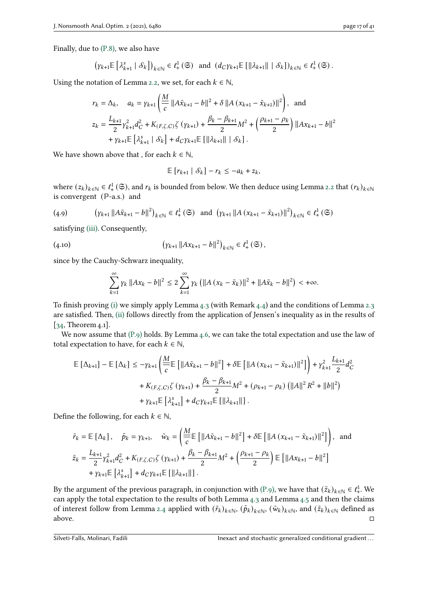Finally, due to [\(P.8\),](#page-9-2) we also have

 $\overline{ }$ 

$$
\left[\gamma_{k+1}\mathbb{E}\left[\lambda_{k+1}^s \mid \mathcal{S}_k\right]\right)_{k \in \mathbb{N}} \in \ell^1_+\left(\mathfrak{S}\right) \text{ and } \left(d_C \gamma_{k+1}\mathbb{E}\left[\|\lambda_{k+1}\| \mid \mathcal{S}_k\right]\right)_{k \in \mathbb{N}} \in \ell^1_+\left(\mathfrak{S}\right).
$$

Using the notation of Lemma [2.2,](#page-3-0) we set, for each  $k \in \mathbb{N}$ ,

$$
r_{k} = \Delta_{k}, \quad a_{k} = \gamma_{k+1} \left( \frac{M}{c} \left\| A \tilde{x}_{k+1} - b \right\|^{2} + \delta \left\| A \left( x_{k+1} - \tilde{x}_{k+1} \right) \right\|^{2} \right), \text{ and}
$$
  
\n
$$
z_{k} = \frac{L_{k+1}}{2} \gamma_{k+1}^{2} d_{C}^{2} + K_{(F, \zeta, C)} \zeta \left( \gamma_{k+1} \right) + \frac{\beta_{k} - \beta_{k+1}}{2} M^{2} + \left( \frac{\rho_{k+1} - \rho_{k}}{2} \right) \left\| A x_{k+1} - b \right\|^{2}
$$
  
\n
$$
+ \gamma_{k+1} \mathbb{E} \left[ \lambda_{k+1}^{s} \mid \mathcal{S}_{k} \right] + d_{C} \gamma_{k+1} \mathbb{E} \left[ \left\| \lambda_{k+1} \right\| \mid \mathcal{S}_{k} \right].
$$

We have shown above that , for each  $k \in \mathbb{N}$ ,

$$
\mathbb{E}\left[r_{k+1} \mid \mathcal{S}_k\right] - r_k \leq -a_k + z_k,
$$

where  $(z_k)_{k\in\mathbb{N}}\in\ell^1_+\left(\mathfrak{S}\right)$ , and  $r_k$  is bounded from below. We then deduce using Lemma [2.2](#page-3-0) that  $(r_k)_{k\in\mathbb{N}}$ is convergent (ℙ-a.s.) and

$$
(4.9) \qquad \left(\gamma_{k+1} \left\|A\tilde{x}_{k+1} - b\right\|^2\right)_{k \in \mathbb{N}} \in \ell^1_+ \left(\mathfrak{S}\right) \text{ and } \left(\gamma_{k+1} \left\|A\left(x_{k+1} - \tilde{x}_{k+1}\right)\right\|^2\right)_{k \in \mathbb{N}} \in \ell^1_+ \left(\mathfrak{S}\right)
$$

satisfying [\(iii\).](#page-15-1) Consequently,

(4.10) 
$$
\left(\gamma_{k+1} \|Ax_{k+1} - b\|^2\right)_{k \in \mathbb{N}} \in \ell^1_+(\mathfrak{S}),
$$

since by the Cauchy-Schwarz inequality,

$$
\sum_{k=1}^{\infty} \gamma_k \|Ax_k - b\|^2 \leq 2 \sum_{k=1}^{\infty} \gamma_k \left( \|A(x_k - \tilde{x}_k)\|^2 + \|A\tilde{x}_k - b\|^2 \right) < +\infty.
$$

To finish proving [\(i\)](#page-15-2) we simply apply Lemma [4.3](#page-10-4) (with Remark [4.4\)](#page-10-5) and the conditions of Lemma [2.3](#page-3-1) are satisfied. Then, [\(ii\)](#page-15-3) follows directly from the application of Jensen's inequality as in the results of [\[34,](#page-40-0) Theorem 4.1].

We now assume that  $(P, q)$  holds. By Lemma [4.6,](#page-11-1) we can take the total expectation and use the law of total expectation to have, for each  $k \in \mathbb{N}$ ,

$$
\mathbb{E} [\Delta_{k+1}] - \mathbb{E} [\Delta_k] \le -\gamma_{k+1} \left( \frac{M}{c} \mathbb{E} [\|A\tilde{x}_{k+1} - b\|^2] + \delta \mathbb{E} [\|A (x_{k+1} - \tilde{x}_{k+1})\|^2] \right) + \gamma_{k+1}^2 \frac{L_{k+1}}{2} d_C^2
$$
  
+  $K_{(F,\zeta,C)} \zeta (\gamma_{k+1}) + \frac{\beta_k - \beta_{k+1}}{2} M^2 + (\rho_{k+1} - \rho_k) (\|A\|^2 R^2 + \|b\|^2)$   
+  $\gamma_{k+1} \mathbb{E} [\lambda_{k+1}^s] + d_C \gamma_{k+1} \mathbb{E} [\| \lambda_{k+1} \| ]$ .

Define the following, for each  $k \in \mathbb{N}$ ,

$$
\tilde{r}_{k} = \mathbb{E} [\Delta_{k}], \quad \tilde{p}_{k} = \gamma_{k+1}, \quad \tilde{w}_{k} = \left( \frac{M}{c} \mathbb{E} [\|A\tilde{x}_{k+1} - b\|^{2}] + \delta \mathbb{E} [\|A(x_{k+1} - \tilde{x}_{k+1})\|^{2}] \right), \text{ and}
$$
\n
$$
\tilde{z}_{k} = \frac{L_{k+1}}{2} \gamma_{k+1}^{2} d_{C}^{2} + K_{(F, \zeta, C)} \zeta (\gamma_{k+1}) + \frac{\beta_{k} - \beta_{k+1}}{2} M^{2} + \left( \frac{\rho_{k+1} - \rho_{k}}{2} \right) \mathbb{E} [\|Ax_{k+1} - b\|^{2}]
$$
\n
$$
+ \gamma_{k+1} \mathbb{E} [\lambda_{k+1}^{s}] + d_{C} \gamma_{k+1} \mathbb{E} [\| \lambda_{k+1} \| ] .
$$

By the argument of the previous paragraph, in conjunction with [\(P.9\),](#page-9-7) we have that  $(\tilde{z}_k)_{k \in \mathbb{N}} \in \ell^1_+$ . We can apply the total expectation to the results of both Lemma [4.3](#page-10-4) and Lemma [4.5](#page-10-6) and then the claims of interest follow from Lemma [2.4](#page-3-2) applied with  $(\tilde{r}_k)_{k \in \mathbb{N}}$ ,  $(\tilde{p}_k)_{k \in \mathbb{N}}$ ,  $(\tilde{w}_k)_{k \in \mathbb{N}}$ , and  $(\tilde{z}_k)_{k \in \mathbb{N}}$  defined as above.  $\Box$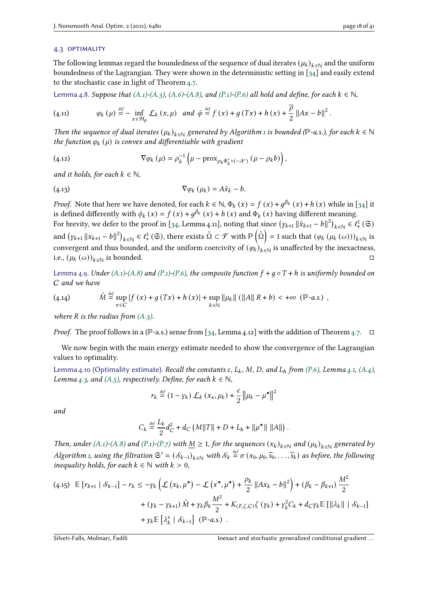#### 4.3 optimality

The following lemmas regard the boundedness of the sequence of dual iterates  $(\mu_k)_{k\in\mathbb{N}}$  and the uniform boundedness of the Lagrangian. They were shown in the deterministic setting in [\[34\]](#page-40-0) and easily extend to the stochastic case in light of Theorem [4.7.](#page-15-4)

<span id="page-17-3"></span>Lemma 4.8. Suppose that  $(A.1)$ - $(A.3)$ ,  $(A.6)$ - $(A.8)$ , and  $(P.1)$ - $(P.6)$  all hold and define, for each  $k \in \mathbb{N}$ ,

(4.11) 
$$
\varphi_k(\mu) \stackrel{\text{def}}{=} - \inf_{x \in \mathcal{H}_p} \mathcal{L}_k(x, \mu) \text{ and } \bar{\varphi} \stackrel{\text{def}}{=} f(x) + g(Tx) + h(x) + \frac{\overline{\rho}}{2} ||Ax - b||^2.
$$

Then the sequence of dual iterates  $(\mu_k)_{k \in \mathbb{N}}$  generated by Algorithm [1](#page-6-1) is bounded (P-a.s.), for each  $k \in \mathbb{N}$ the function  $\varphi_k(\mu)$  is convex and differentiable with gradient

<span id="page-17-4"></span>(4.12) 
$$
\nabla \varphi_k(\mu) = \rho_k^{-1} \left( \mu - \text{prox}_{\rho_k \Phi_k^* \circ (-A^*)} \left( \mu - \rho_k b \right) \right),
$$

and it holds, for each  $k \in \mathbb{N}$ ,

<span id="page-17-5"></span>
$$
\nabla \varphi_k \left( \mu_k \right) = A \tilde{x}_k - b.
$$

*Proof.* Note that here we have denoted, for each  $k \in \mathbb{N}$ ,  $\Phi_k(x) = f(x) + g^{\beta_k}(x) + h(x)$  while in [\[34\]](#page-40-0) it is defined differently with  $\phi_k(x) = f(x) + g^{\beta_k}(x) + h(x)$  and  $\Phi_k(x)$  having different meaning. For brevity, we defer to the proof in [\[34,](#page-40-0) Lemma 4.11], noting that since  $(y_{k+1} || \tilde{x}_{k+1} - b ||^2)_{k \in \mathbb{N}} \in \ell^1_+(\mathbb{G})$ and  $(\gamma_{k+1}||x_{k+1}-b||^2)_{k\in\mathbb{N}}\in\ell^1_+(\mathfrak{S}),$  there exists  $\tilde{\Omega}\subset\mathcal{F}$  with  $\mathbb{P}\left(\tilde{\Omega}\right)=1$  such that  $(\varphi_k\left(\mu_k\left(\omega\right)\right))_{k\in\mathbb{N}}$  is convergent and thus bounded, and the uniform coercivity of  $(\varphi_k)_{k \in \mathbb{N}}$  is unaffected by the inexactness, i.e.,  $(\mu_k(\omega))_{k \in \mathbb{N}}$  is bounded.

<span id="page-17-1"></span>Lemma 4.9. Under [\(A.1\)](#page-7-1)[-\(A.8\)](#page-7-9) and [\(P.1\)-](#page-9-3)[\(P.6\),](#page-9-0) the composite function  $f + g \circ T + h$  is uniformly bounded on C and we have

(4.14) 
$$
\tilde{M} \stackrel{\text{def}}{=} \sup_{x \in C} |f(x) + g(Tx) + h(x)| + \sup_{k \in \mathbb{N}} ||\mu_k|| (||A|| R + b) < +\infty \text{ (P-a.s.)}
$$

where  $R$  is the radius from  $(A.3)$ .

*Proof.* The proof follows in a (P-a.s.) sense from [\[34,](#page-40-0) Lemma 4.12] with the addition of Theorem [4.7.](#page-15-4)  $\Box$ 

We now begin with the main energy estimate needed to show the convergence of the Lagrangian values to optimality.

<span id="page-17-0"></span>Lemma 4.10 (Optimality estimate). Recall the constants c,  $L_k$ , M, D, and  $L_h$  from [\(P.6\),](#page-9-0) Lemma [4.1,](#page-10-1) [\(A.4\),](#page-7-0) Lemma [4.3,](#page-10-4) and [\(A.5\),](#page-7-8) respectively. Define, for each  $k \in \mathbb{N}$ ,

$$
r_k \stackrel{\text{def}}{=} (1 - \gamma_k) \mathcal{L}_k(x_x, \mu_k) + \frac{c}{2} ||\mu_k - \mu^\star||^2
$$

and

$$
C_k \stackrel{\text{\tiny def}}{=} \frac{L_k}{2} d_C^2 + d_C \left( M ||T|| + D + L_h + ||\mu^{\star}|| \, ||A|| \right).
$$

Then, under [\(A.1\)](#page-7-1)[-\(A.8\)](#page-7-9) and [\(P.1\)](#page-9-3)[-\(P.7\)](#page-9-1) with  $\underline{M} \geq 1$ , for the sequences  $(x_k)_{k \in \mathbb{N}}$  and  $(\mu_k)_{k \in \mathbb{N}}$  generated by Algorithm [1,](#page-6-1) using the filtration  $\mathfrak{S}' = (\mathcal{S}_{k-1})_{k \in \mathbb{N}}$  with  $\mathcal{S}_k \stackrel{\text{def}}{=} \sigma(x_0, \mu_0, \widehat{s}_0, \ldots, \widehat{s}_k)$  as before, the following inequality holds for each  $k \in \mathbb{N}$ , with  $k > 0$ . inequality holds, for each  $k \in \mathbb{N}$  with  $k > 0$ ,

<span id="page-17-2"></span>
$$
(4.15) \mathbb{E}\left[r_{k+1} | \mathcal{S}_{k-1}\right] - r_k \le -\gamma_k \left(\mathcal{L}\left(x_k, \mu^{\star}\right) - \mathcal{L}\left(x^{\star}, \mu^{\star}\right) + \frac{\rho_k}{2} ||Ax_k - b||^2\right) + (\beta_k - \beta_{k+1}) \frac{M^2}{2} + (\gamma_k - \gamma_{k+1}) \tilde{M} + \gamma_k \beta_k \frac{M^2}{2} + K_{(F,\zeta,C)} \zeta(\gamma_k) + \gamma_k^2 C_k + d_C \gamma_k \mathbb{E}\left[\|\lambda_k\| \mid \mathcal{S}_{k-1}\right] + \gamma_k \mathbb{E}\left[\lambda_k^s \mid \mathcal{S}_{k-1}\right] (\mathbb{P}^{-a.s.}) .
$$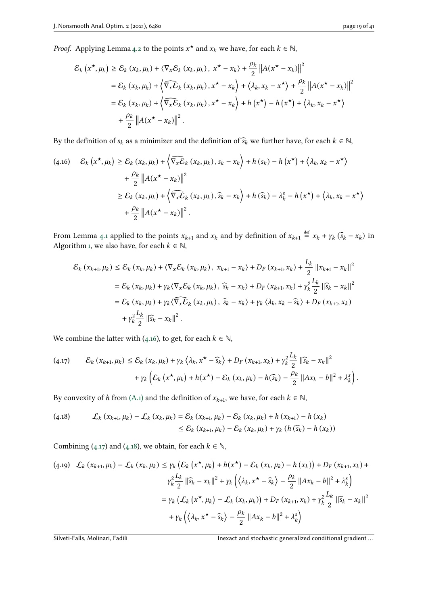*Proof.* Applying Lemma [4.2](#page-10-2) to the points  $x^*$  and  $x_k$  we have, for each  $k \in \mathbb{N}$ ,

$$
\mathcal{E}_{k}\left(x^{\star}, \mu_{k}\right) \geq \mathcal{E}_{k}\left(x_{k}, \mu_{k}\right) + \langle \nabla_{x} \mathcal{E}_{k}\left(x_{k}, \mu_{k}\right), x^{\star} - x_{k}\rangle + \frac{\rho_{k}}{2} \left\|A(x^{\star} - x_{k})\right\|^{2}
$$
\n
$$
= \mathcal{E}_{k}\left(x_{k}, \mu_{k}\right) + \left\langle\widehat{\nabla_{x} \mathcal{E}_{k}}\left(x_{k}, \mu_{k}\right), x^{\star} - x_{k}\right\rangle + \langle\lambda_{k}, x_{k} - x^{\star}\rangle + \frac{\rho_{k}}{2} \left\|A(x^{\star} - x_{k})\right\|^{2}
$$
\n
$$
= \mathcal{E}_{k}\left(x_{k}, \mu_{k}\right) + \left\langle\widehat{\nabla_{x} \mathcal{E}_{k}}\left(x_{k}, \mu_{k}\right), x^{\star} - x_{k}\right\rangle + h\left(x^{\star}\right) - h\left(x^{\star}\right) + \langle\lambda_{k}, x_{k} - x^{\star}\rangle
$$
\n
$$
+ \frac{\rho_{k}}{2} \left\|A(x^{\star} - x_{k})\right\|^{2}.
$$

By the definition of  $s_k$  as a minimizer and the definition of  $\widehat{s}_k$  we further have, for each  $k \in \mathbb{N}$ ,

<span id="page-18-0"></span>
$$
\begin{split} \text{(4.16)} \quad & \mathcal{E}_{k} \left( x^{\star}, \mu_{k} \right) \geq \mathcal{E}_{k} \left( x_{k}, \mu_{k} \right) + \left\langle \widehat{\nabla_{x} \mathcal{E}}_{k} \left( x_{k}, \mu_{k} \right), s_{k} - x_{k} \right\rangle + h \left( s_{k} \right) - h \left( x^{\star} \right) + \left\langle \lambda_{k}, x_{k} - x^{\star} \right\rangle \\ &+ \frac{\rho_{k}}{2} \left\| A(x^{\star} - x_{k}) \right\|^{2} \\ &\geq \mathcal{E}_{k} \left( x_{k}, \mu_{k} \right) + \left\langle \widehat{\nabla_{x} \mathcal{E}}_{k} \left( x_{k}, \mu_{k} \right), \widehat{s}_{k} - x_{k} \right\rangle + h \left( \widehat{s}_{k} \right) - \lambda_{k}^{s} - h \left( x^{\star} \right) + \left\langle \lambda_{k}, x_{k} - x^{\star} \right\rangle \\ &+ \frac{\rho_{k}}{2} \left\| A(x^{\star} - x_{k}) \right\|^{2} . \end{split}
$$

From Lemma [4.1](#page-10-1) applied to the points  $x_{k+1}$  and  $x_k$  and by definition of  $x_{k+1} \stackrel{\text{def}}{=} x_k + \gamma_k (\widehat{s}_k - x_k)$  in Algorithm [1,](#page-6-1) we also have, for each  $k \in \mathbb{N}$ ,

$$
\mathcal{E}_{k} (x_{k+1}, \mu_{k}) \leq \mathcal{E}_{k} (x_{k}, \mu_{k}) + \langle \nabla_{x} \mathcal{E}_{k} (x_{k}, \mu_{k}), x_{k+1} - x_{k} \rangle + D_{F} (x_{k+1}, x_{k}) + \frac{L_{k}}{2} ||x_{k+1} - x_{k}||^{2}
$$
  
=  $\mathcal{E}_{k} (x_{k}, \mu_{k}) + \gamma_{k} \langle \nabla_{x} \mathcal{E}_{k} (x_{k}, \mu_{k}), \hat{s}_{k} - x_{k} \rangle + D_{F} (x_{k+1}, x_{k}) + \gamma_{k}^{2} \frac{L_{k}}{2} ||\hat{s}_{k} - x_{k}||^{2}$   
=  $\mathcal{E}_{k} (x_{k}, \mu_{k}) + \gamma_{k} \langle \nabla_{x} \mathcal{E}_{k} (x_{k}, \mu_{k}), \hat{s}_{k} - x_{k} \rangle + \gamma_{k} \langle \lambda_{k}, x_{k} - \hat{s}_{k} \rangle + D_{F} (x_{k+1}, x_{k})$   
+  $\gamma_{k}^{2} \frac{L_{k}}{2} ||\hat{s}_{k} - x_{k}||^{2}$ .

We combine the latter with [\(4.16\)](#page-18-0), to get, for each  $k \in \mathbb{N}$ ,

<span id="page-18-1"></span>
$$
(4.17) \qquad \mathcal{E}_k(x_{k+1}, \mu_k) \leq \mathcal{E}_k(x_k, \mu_k) + \gamma_k \left\langle \lambda_k, x^\star - \widehat{s}_k \right\rangle + D_F(x_{k+1}, x_k) + \gamma_k^2 \frac{L_k}{2} \left\| \widehat{s}_k - x_k \right\|^2
$$

$$
+ \gamma_k \left( \mathcal{E}_k(x^\star, \mu_k) + h(x^\star) - \mathcal{E}_k(x_k, \mu_k) - h(\widehat{s}_k) - \frac{\rho_k}{2} \left\| Ax_k - b \right\|^2 + \lambda_k^s \right).
$$

By convexity of h from [\(A.1\)](#page-7-1) and the definition of  $x_{k+1}$ , we have, for each  $k \in \mathbb{N}$ ,

<span id="page-18-2"></span>(4.18) 
$$
\mathcal{L}_{k}(x_{k+1}, \mu_{k}) - \mathcal{L}_{k}(x_{k}, \mu_{k}) = \mathcal{E}_{k}(x_{k+1}, \mu_{k}) - \mathcal{E}_{k}(x_{k}, \mu_{k}) + h(x_{k+1}) - h(x_{k}) \leq \mathcal{E}_{k}(x_{k+1}, \mu_{k}) - \mathcal{E}_{k}(x_{k}, \mu_{k}) + \gamma_{k}(h(\widehat{s}_{k}) - h(x_{k}))
$$

Combining [\(4.17\)](#page-18-1) and [\(4.18\)](#page-18-2), we obtain, for each  $k \in \mathbb{N}$ ,

<span id="page-18-3"></span>
$$
(4.19) \quad \mathcal{L}_k \left( x_{k+1}, \mu_k \right) - \mathcal{L}_k \left( x_k, \mu_k \right) \le \gamma_k \left( \mathcal{E}_k \left( x^\star, \mu_k \right) + h(x^\star) - \mathcal{E}_k \left( x_k, \mu_k \right) - h \left( x_k \right) \right) + D_F \left( x_{k+1}, x_k \right) +
$$
\n
$$
\gamma_k^2 \frac{L_k}{2} \left\| \widehat{s}_k - x_k \right\|^2 + \gamma_k \left( \left\langle \lambda_k, x^\star - \widehat{s}_k \right\rangle - \frac{\rho_k}{2} \left\| A x_k - b \right\|^2 + \lambda_k^s \right)
$$
\n
$$
= \gamma_k \left( \mathcal{L}_k \left( x^\star, \mu_k \right) - \mathcal{L}_k \left( x_k, \mu_k \right) \right) + D_F \left( x_{k+1}, x_k \right) + \gamma_k^2 \frac{L_k}{2} \left\| \widehat{s}_k - x_k \right\|^2
$$
\n
$$
+ \gamma_k \left( \left\langle \lambda_k, x^\star - \widehat{s}_k \right\rangle - \frac{\rho_k}{2} \left\| A x_k - b \right\|^2 + \lambda_k^s \right)
$$

Silveti-Falls, Molinari, Fadili **Inexact and stochastic generalized conditional gradient...**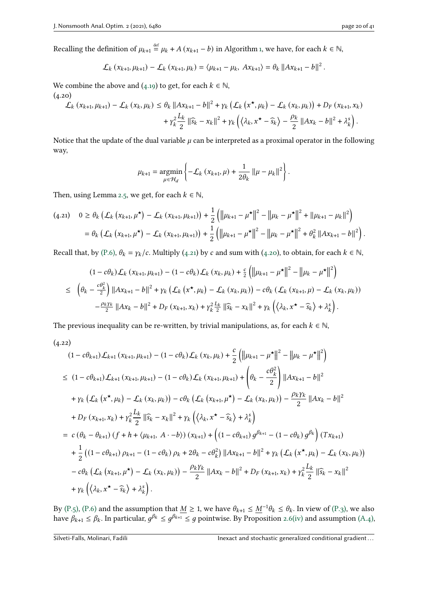Recalling the definition of  $\mu_{k+1} \stackrel{\text{def}}{=} \mu_k + A\left(x_{k+1} - b\right)$  in Algorithm [1,](#page-6-1) we have, for each  $k \in \mathbb{N}$ ,

$$
\mathcal{L}_{k}(x_{k+1}, \mu_{k+1}) - \mathcal{L}_{k}(x_{k+1}, \mu_{k}) = \langle \mu_{k+1} - \mu_{k}, Ax_{k+1} \rangle = \theta_{k} ||Ax_{k+1} - b||^{2}
$$

We combine the above and [\(4.19\)](#page-18-3) to get, for each  $k \in \mathbb{N}$ ,

 $(4.20)$ 

<span id="page-19-1"></span>
$$
\mathcal{L}_{k} (x_{k+1}, \mu_{k+1}) - \mathcal{L}_{k} (x_{k}, \mu_{k}) \leq \theta_{k} \|Ax_{k+1} - b\|^{2} + \gamma_{k} \left(\mathcal{L}_{k} (x^{\star}, \mu_{k}) - \mathcal{L}_{k} (x_{k}, \mu_{k})\right) + D_{F} (x_{k+1}, x_{k}) + \gamma_{k}^{2} \frac{L_{k}}{2} \|\widehat{s}_{k} - x_{k}\|^{2} + \gamma_{k} \left(\left\langle \lambda_{k}, x^{\star} - \widehat{s}_{k}\right\rangle - \frac{\rho_{k}}{2} \|Ax_{k} - b\|^{2} + \lambda_{k}^{s}\right).
$$

Notice that the update of the dual variable  $\mu$  can be interpreted as a proximal operator in the following way,

$$
\mu_{k+1} = \underset{\mu \in \mathcal{H}_d}{\text{argmin}} \left\{ -\mathcal{L}_k \left( x_{k+1}, \mu \right) + \frac{1}{2\theta_k} \left\| \mu - \mu_k \right\|^2 \right\}.
$$

Then, using Lemma [2.5,](#page-4-6) we get, for each  $k \in \mathbb{N}$ ,

<span id="page-19-0"></span>
$$
(4.21) \quad 0 \ge \theta_k \left( \mathcal{L}_k \left( x_{k+1}, \mu^{\star} \right) - \mathcal{L}_k \left( x_{k+1}, \mu_{k+1} \right) \right) + \frac{1}{2} \left( \left\| \mu_{k+1} - \mu^{\star} \right\|^2 - \left\| \mu_k - \mu^{\star} \right\|^2 + \left\| \mu_{k+1} - \mu_k \right\|^2 \right) = \theta_k \left( \mathcal{L}_k \left( x_{k+1}, \mu^{\star} \right) - \mathcal{L}_k \left( x_{k+1}, \mu_{k+1} \right) \right) + \frac{1}{2} \left( \left\| \mu_{k+1} - \mu^{\star} \right\|^2 - \left\| \mu_k - \mu^{\star} \right\|^2 + \theta_k^2 \left\| A x_{k+1} - b \right\|^2 \right).
$$

Recall that, by [\(P.6\),](#page-9-0)  $\theta_k = \gamma_k/c$ . Multiply [\(4.21\)](#page-19-0) by c and sum with [\(4.20\)](#page-19-1), to obtain, for each  $k \in \mathbb{N}$ ,

$$
(1 - c\theta_k)\mathcal{L}_k(x_{k+1}, \mu_{k+1}) - (1 - c\theta_k)\mathcal{L}_k(x_k, \mu_k) + \frac{c}{2}\left(\|\mu_{k+1} - \mu^\star\|^2 - \|\mu_k - \mu^\star\|^2\right)
$$
  

$$
\leq \left(\theta_k - \frac{c\theta_k^2}{2}\right) \|\mathbf{A}x_{k+1} - b\|^2 + \gamma_k \left(\mathcal{L}_k(x^\star, \mu_k) - \mathcal{L}_k(x_k, \mu_k)\right) - c\theta_k \left(\mathcal{L}_k(x_{k+1}, \mu) - \mathcal{L}_k(x_k, \mu_k)\right)
$$
  

$$
-\frac{\rho_k \gamma_k}{2} \|\mathbf{A}x_k - b\|^2 + D_F(x_{k+1}, x_k) + \gamma_k^2 \frac{L_k}{2} \|\widehat{s}_k - x_k\|^2 + \gamma_k \left(\langle \lambda_k, x^\star - \widehat{s}_k \rangle + \lambda_k^s\right).
$$

The previous inequality can be re-written, by trivial manipulations, as, for each  $k \in \mathbb{N}$ ,

 $(4.22)$ 

<span id="page-19-2"></span>
$$
(1 - c\theta_{k+1})\mathcal{L}_{k+1}(x_{k+1}, \mu_{k+1}) - (1 - c\theta_k)\mathcal{L}_k(x_k, \mu_k) + \frac{c}{2} (\|\mu_{k+1} - \mu^{\star}\|^2 - \|\mu_k - \mu^{\star}\|^2)
$$
  
\n
$$
\leq (1 - c\theta_{k+1})\mathcal{L}_{k+1}(x_{k+1}, \mu_{k+1}) - (1 - c\theta_k)\mathcal{L}_k(x_{k+1}, \mu_{k+1}) + \left(\theta_k - \frac{c\theta_k^2}{2}\right) \|\mathbf{A}x_{k+1} - b\|^2
$$
  
\n
$$
+ \gamma_k (\mathcal{L}_k(x^{\star}, \mu_k) - \mathcal{L}_k(x_k, \mu_k)) - c\theta_k (\mathcal{L}_k(x_{k+1}, \mu^{\star}) - \mathcal{L}_k(x_k, \mu_k)) - \frac{\rho_k \gamma_k}{2} \|\mathbf{A}x_k - b\|^2
$$
  
\n
$$
+ D_F(x_{k+1}, x_k) + \gamma_k^2 \frac{L_k}{2} \|\widehat{s}_k - x_k\|^2 + \gamma_k \left(\langle \lambda_k, x^{\star} - \widehat{s}_k \rangle + \lambda_k^s\right)
$$
  
\n
$$
= c(\theta_k - \theta_{k+1}) (f + h + \langle \mu_{k+1}, A \cdot -b \rangle) (x_{k+1}) + \left((1 - c\theta_{k+1}) g^{\beta_{k+1}} - (1 - c\theta_k) g^{\beta_k}\right) (Tx_{k+1})
$$
  
\n
$$
+ \frac{1}{2} ((1 - c\theta_{k+1}) \rho_{k+1} - (1 - c\theta_k) \rho_k + 2\theta_k - c\theta_k^2) \|\mathbf{A}x_{k+1} - b\|^2 + \gamma_k (\mathcal{L}_k(x^{\star}, \mu_k) - \mathcal{L}_k(x_k, \mu_k))
$$
  
\n
$$
- c\theta_k (\mathcal{L}_k(x_{k+1}, \mu^{\star}) - \mathcal{L}_k(x_k, \mu_k)) - \frac{\rho_k \gamma_k}{2} \|\mathbf{A}x_k - b\|^2 + D_F(x_{k+1}, x_k) + \gamma_k^2 \frac{L_k}{2} \|\widehat{s}_k - x_k\|^2
$$
  
\n
$$
+ \gamma_k (\langle \
$$

By [\(P.5\),](#page-9-6) [\(P.6\)](#page-9-0) and the assumption that  $\underline{M} \ge 1$ , we have  $\theta_{k+1} \le \underline{M}^{-1}\theta_k \le \theta_k$ . In view of [\(P.3\),](#page-9-5) we also have  $\beta_{k+1} \leq \beta_k$ . In particular,  $g^{\beta_k} \leq g^{\beta_{k+1}} \leq g$  pointwise. By Proposition [2.6](#page-4-5)[\(iv\)](#page-4-3) and assumption [\(A.4\),](#page-7-0)

.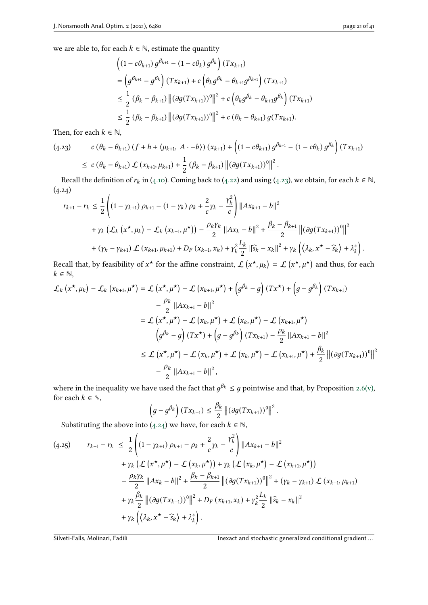we are able to, for each  $k \in \mathbb{N}$ , estimate the quantity

$$
\begin{aligned} &\left( (1 - c\theta_{k+1}) g^{\beta_{k+1}} - (1 - c\theta_k) g^{\beta_k} \right) (Tx_{k+1}) \\ &= \left( g^{\beta_{k+1}} - g^{\beta_k} \right) (Tx_{k+1}) + c \left( \theta_k g^{\beta_k} - \theta_{k+1} g^{\beta_{k+1}} \right) (Tx_{k+1}) \\ &\leq \frac{1}{2} \left( \beta_k - \beta_{k+1} \right) \left\| (\partial g (Tx_{k+1}))^0 \right\|^2 + c \left( \theta_k g^{\beta_k} - \theta_{k+1} g^{\beta_k} \right) (Tx_{k+1}) \\ &\leq \frac{1}{2} \left( \beta_k - \beta_{k+1} \right) \left\| (\partial g (Tx_{k+1}))^0 \right\|^2 + c \left( \theta_k - \theta_{k+1} \right) g (Tx_{k+1}). \end{aligned}
$$

Then, for each  $k \in \mathbb{N}$ ,

<span id="page-20-0"></span>
$$
(4.23) \qquad c \left(\theta_k - \theta_{k+1}\right) \left(f + h + \langle \mu_{k+1}, A \cdot -b \rangle\right) \left(x_{k+1}\right) + \left(\left(1 - c\theta_{k+1}\right) g^{\beta_{k+1}} - \left(1 - c\theta_k\right) g^{\beta_k}\right) \left(Tx_{k+1}\right)
$$
  

$$
\leq c \left(\theta_k - \theta_{k+1}\right) \mathcal{L} \left(x_{k+1}, \mu_{k+1}\right) + \frac{1}{2} \left(\beta_k - \beta_{k+1}\right) \left\| \left(\partial g(Tx_{k+1})\right)^0 \right\|^2.
$$

Recall the definition of  $r_k$  in [\(4.10\)](#page-17-0). Coming back to [\(4.22\)](#page-19-2) and using [\(4.23\)](#page-20-0), we obtain, for each  $k \in \mathbb{N}$ ,  $(4.24)$  $\overline{a}$ 

<span id="page-20-1"></span>
$$
r_{k+1} - r_k \leq \frac{1}{2} \left( \left( 1 - \gamma_{k+1} \right) \rho_{k+1} - \left( 1 - \gamma_k \right) \rho_k + \frac{2}{c} \gamma_k - \frac{\gamma_k^2}{c} \right) ||Ax_{k+1} - b||^2
$$
  
+  $\gamma_k \left( \mathcal{L}_k \left( x^{\star}, \mu_k \right) - \mathcal{L}_k \left( x_{k+1}, \mu^{\star} \right) \right) - \frac{\rho_k \gamma_k}{2} ||Ax_k - b||^2 + \frac{\beta_k - \beta_{k+1}}{2} ||(\partial g(Tx_{k+1}))^0||^2$   
+  $(\gamma_k - \gamma_{k+1}) \mathcal{L} \left( x_{k+1}, \mu_{k+1} \right) + D_F \left( x_{k+1}, x_k \right) + \gamma_k^2 \frac{L_k}{2} ||\widehat{s}_k - x_k||^2 + \gamma_k \left( \langle \lambda_k, x^{\star} - \widehat{s}_k \rangle + \lambda_k^s \right).$ 

Recall that, by feasibility of  $x^*$  for the affine constraint,  $\mathcal{L}(x^*, \mu_k) = \mathcal{L}(x^*, \mu^*)$  and thus, for each  $k \in \mathbb{N}$ ,

$$
\mathcal{L}_{k}\left(x^{\star}, \mu_{k}\right) - \mathcal{L}_{k}\left(x_{k+1}, \mu^{\star}\right) = \mathcal{L}\left(x^{\star}, \mu^{\star}\right) - \mathcal{L}\left(x_{k+1}, \mu^{\star}\right) + \left(g^{\beta_{k}} - g\right)(Tx^{\star}) + \left(g - g^{\beta_{k}}\right)(Tx_{k+1})
$$
\n
$$
- \frac{\rho_{k}}{2} ||Ax_{k+1} - b||^{2}
$$
\n
$$
= \mathcal{L}\left(x^{\star}, \mu^{\star}\right) - \mathcal{L}\left(x_{k}, \mu^{\star}\right) + \mathcal{L}\left(x_{k}, \mu^{\star}\right) - \mathcal{L}\left(x_{k+1}, \mu^{\star}\right)
$$
\n
$$
\left(g^{\beta_{k}} - g\right)(Tx^{\star}) + \left(g - g^{\beta_{k}}\right)(Tx_{k+1}) - \frac{\rho_{k}}{2} ||Ax_{k+1} - b||^{2}
$$
\n
$$
\leq \mathcal{L}\left(x^{\star}, \mu^{\star}\right) - \mathcal{L}\left(x_{k}, \mu^{\star}\right) + \mathcal{L}\left(x_{k}, \mu^{\star}\right) - \mathcal{L}\left(x_{k+1}, \mu^{\star}\right) + \frac{\beta_{k}}{2} ||(\partial g(Tx_{k+1}))^{0}||^{2}
$$
\n
$$
- \frac{\rho_{k}}{2} ||Ax_{k+1} - b||^{2},
$$

where in the inequality we have used the fact that  $g^{\beta_k} \leq g$  pointwise and that, by Proposition [2.6](#page-4-5)[\(v\),](#page-5-1) for each  $k \in \mathbb{N}$ ,

$$
\left(g-g^{\beta_k}\right)(Tx_{k+1}) \leq \frac{\beta_k}{2} \left\| \left(\partial g(Tx_{k+1})\right)^0 \right\|^2.
$$

Substituting the above into [\(4.24\)](#page-20-1) we have, for each  $k \in \mathbb{N}$ ,

$$
(4.25) \t r_{k+1} - r_k \leq \frac{1}{2} \left( (1 - \gamma_{k+1}) \rho_{k+1} - \rho_k + \frac{2}{c} \gamma_k - \frac{\gamma_k^2}{c} \right) ||Ax_{k+1} - b||^2
$$
  
+  $\gamma_k (\mathcal{L} (x^*, \mu^*) - \mathcal{L} (x_k, \mu^*)) + \gamma_k (\mathcal{L} (x_k, \mu^*) - \mathcal{L} (x_{k+1}, \mu^*))$   
-  $\frac{\rho_k \gamma_k}{2} ||Ax_k - b||^2 + \frac{\beta_k - \beta_{k+1}}{2} ||(\partial g(Tx_{k+1}))^0||^2 + (\gamma_k - \gamma_{k+1}) \mathcal{L} (x_{k+1}, \mu_{k+1})$   
+  $\gamma_k \frac{\beta_k}{2} ||(\partial g(Tx_{k+1}))^0||^2 + D_F (x_{k+1}, x_k) + \gamma_k^2 \frac{L_k}{2} ||\hat{s}_k - x_k||^2$   
+  $\gamma_k ((\lambda_k, x^* - \hat{s}_k) + \lambda_k^s).$ 

Silveti-Falls, Molinari, Fadili **Inexact and stochastic generalized conditional gradient...**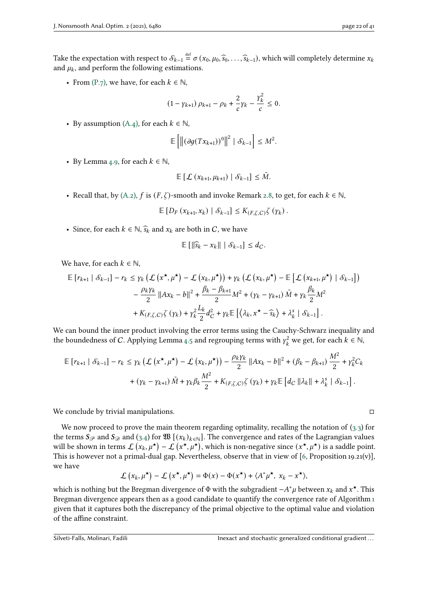Take the expectation with respect to  $S_{k-1} \stackrel{\text{def}}{=} \sigma(x_0, \mu_0, \widehat{s}_0, \ldots, \widehat{s}_{k-1})$ , which will completely determine  $x_k$ and  $\mu_k$ , and perform the following estimations.

• From [\(P.7\),](#page-9-1) we have, for each  $k \in \mathbb{N}$ ,

$$
(1 - \gamma_{k+1}) \rho_{k+1} - \rho_k + \frac{2}{c} \gamma_k - \frac{\gamma_k^2}{c} \leq 0.
$$

• By assumption  $(A.4)$ , for each  $k \in \mathbb{N}$ ,

$$
\mathbb{E}\left[\left\| \left(\partial g(Tx_{k+1})\right)^0\right\|^2 \mid \mathcal{S}_{k-1}\right] \leq M^2.
$$

• By Lemma [4.9,](#page-17-1) for each  $k \in \mathbb{N}$ ,

$$
\mathbb{E}\left[\mathcal{L}\left(x_{k+1}, \mu_{k+1}\right) \mid \mathcal{S}_{k-1}\right] \leq \tilde{M}.
$$

• Recall that, by [\(A.2\),](#page-7-2) f is  $(F, \zeta)$ -smooth and invoke Remark [2.8,](#page-5-5) to get, for each  $k \in \mathbb{N}$ ,

 $\mathbb{E}[D_F(x_{k+1}, x_k) | S_{k-1}] \leq K_{(F,\zeta,C)} \zeta(y_k).$ 

• Since, for each  $k \in \mathbb{N}$ ,  $\widehat{s}_k$  and  $x_k$  are both in C, we have

$$
\mathbb{E}\left[\left\|\widehat{s}_{k}-x_{k}\right\|\mid\mathcal{S}_{k-1}\right]\leq d_{C}.
$$

We have, for each  $k \in \mathbb{N}$ ,

$$
\mathbb{E}\left[r_{k+1} | \mathcal{S}_{k-1}\right] - r_k \leq \gamma_k \left(\mathcal{L}\left(x^\star, \mu^\star\right) - \mathcal{L}\left(x_k, \mu^\star\right)\right) + \gamma_k \left(\mathcal{L}\left(x_k, \mu^\star\right) - \mathbb{E}\left[\mathcal{L}\left(x_{k+1}, \mu^\star\right) | \mathcal{S}_{k-1}\right]\right) - \frac{\rho_k \gamma_k}{2} ||Ax_k - b||^2 + \frac{\beta_k - \beta_{k+1}}{2} M^2 + \left(\gamma_k - \gamma_{k+1}\right) \tilde{M} + \gamma_k \frac{\beta_k}{2} M^2 + K_{(F, \zeta, C)} \zeta\left(\gamma_k\right) + \gamma_k^2 \frac{L_k}{2} d_C^2 + \gamma_k \mathbb{E}\left[\left\langle \lambda_k, x^\star - \widehat{s}_k \right\rangle + \lambda_k^s | \mathcal{S}_{k-1}\right].
$$

We can bound the inner product involving the error terms using the Cauchy-Schwarz inequality and the boundedness of C. Applying Lemma [4.5](#page-10-6) and regrouping terms with  $\gamma_{\nu}^2$  $w_k^2$  we get, for each  $k \in \mathbb{N}$ ,

$$
\mathbb{E}\left[r_{k+1} | \mathcal{S}_{k-1}\right] - r_k \leq \gamma_k \left(\mathcal{L}\left(x^\star, \mu^\star\right) - \mathcal{L}\left(x_k, \mu^\star\right)\right) - \frac{\rho_k \gamma_k}{2} \|Ax_k - b\|^2 + (\beta_k - \beta_{k+1}) \frac{M^2}{2} + \gamma_k^2 C_k
$$
  
+ 
$$
\left(\gamma_k - \gamma_{k+1}\right) \tilde{M} + \gamma_k \beta_k \frac{M^2}{2} + K_{(F,\zeta,C)} \zeta\left(\gamma_k\right) + \gamma_k \mathbb{E}\left[d_C \left\|\lambda_k\right\| + \lambda_k^s \left\|\mathcal{S}_{k-1}\right\| \right].
$$

We conclude by trivial manipulations.

We now proceed to prove the main theorem regarding optimality, recalling the notation of [\(3.3\)](#page-6-3) for the terms  $S_{\mathcal{P}}$  and  $S_{\mathcal{P}}$  and  $(3.4)$  for  $\mathfrak{W}$  [ $(x_k)_{k \in \mathbb{N}}$ ]. The convergence and rates of the Lagrangian values will be shown in terms  $\mathcal{L}(x_k, \mu^*) - \mathcal{L}(x^*, \mu^*)$ , which is non-negative since  $(x^*, \mu^*)$  is a saddle point. This is however not a primal-dual gap. Nevertheless, observe that in view of [\[6,](#page-38-7) Proposition 19.21(v)], we have

$$
\mathcal{L}(x_k, \mu^{\star}) - \mathcal{L}(x^{\star}, \mu^{\star}) = \Phi(x) - \Phi(x^{\star}) + \langle A^* \mu^{\star}, x_k - x^{\star} \rangle,
$$

<span id="page-21-0"></span>which is nothing but the Bregman divergence of  $\Phi$  with the subgradient  $-A^*\mu$  between  $x_k$  and  $x^\star$ . This Bregman divergence appears then as a good candidate to quantify the convergence rate of Algorithm [1](#page-6-1) given that it captures both the discrepancy of the primal objective to the optimal value and violation of the affine constraint.

$$
\Box
$$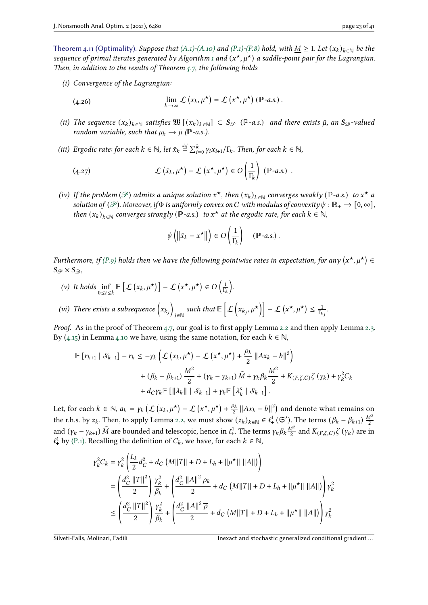Theorem 4.11 (Optimality). Suppose that [\(A.1\)-](#page-7-1)[\(A.10\)](#page-7-5) and [\(P.1\)](#page-9-3)[-\(P.8\)](#page-9-2) hold, with  $\underline{M} \geq 1$ . Let  $(x_k)_{k \in \mathbb{N}}$  be the sequence of primal iterates generated by Algorithm [1](#page-6-1) and  $(x^*, \mu^*)$  a saddle-point pair for the Lagrangian. Then, in addition to the results of Theorem [4.7,](#page-15-4) the following holds

<span id="page-22-0"></span>(i) Convergence of the Lagrangian:

(4.26) 
$$
\lim_{k\to\infty}\mathcal{L}\left(x_k,\mu^{\star}\right)=\mathcal{L}\left(x^{\star},\mu^{\star}\right)\left(\mathbb{P}\text{-}a.s.\right).
$$

- <span id="page-22-1"></span>(ii) The sequence  $(x_k)_{k\in\mathbb{N}}$  satisfies  $\mathfrak{W}[(x_k)_{k\in\mathbb{N}}] \subset S_{\mathcal{P}}$  ( $\mathbb{P}$ -a.s.) and there exists  $\bar{\mu}$ , an  $S_{\mathcal{D}}$ -valued random variable, such that  $\mu_k \to \bar{\mu}$  ( $\mathbb{P}$ -a.s.).
- <span id="page-22-2"></span>(iii) Ergodic rate: for each  $k \in \mathbb{N}$ , let  $\bar{x}_k \stackrel{\text{def}}{=} \sum_{i=0}^k \gamma_i x_{i+1} / \Gamma_k$ . Then, for each  $k \in \mathbb{N}$ ,

<span id="page-22-4"></span>(4.27) 
$$
\mathcal{L}(\bar{x}_k, \mu^{\star}) - \mathcal{L}(x^{\star}, \mu^{\star}) \in O\left(\frac{1}{\Gamma_k}\right) (\mathbb{P} - a.s.)
$$

<span id="page-22-3"></span>(iv) If the problem ( $\mathscr P$ ) admits a unique solution  $x^\star$ , then  $(x_k)_{k\in\mathbb N}$  converges weakly ( $\mathbb P$ -a.s.) to  $x^\star$  a solution of ( $\mathcal{P}$ ). Moreover, if $\Phi$  is uniformly convex on C with modulus of convexity  $\psi : \mathbb{R}_+ \to [0, \infty]$ , then  $(x_k)_{k \in \mathbb{N}}$  converges strongly (P-a.s.) to  $x^*$  at the ergodic rate, for each  $k \in \mathbb{N}$ ,

$$
\psi\left(\left\|\bar{x}_k - x^{\star}\right\|\right) \in O\left(\frac{1}{\Gamma_k}\right) \quad (\mathbb{P}\text{-}a.s.)
$$

Furthermore, if [\(P.9\)](#page-9-7) holds then we have the following pointwise rates in expectation, for any  $(x^\star, \mu^\star) \in$  $S_{\mathscr{P}}\times S_{\mathscr{D}}$ 

\n- (v) It holds 
$$
\inf_{0 \le i \le k} \mathbb{E} \left[ \mathcal{L} \left( x_k, \mu^\star \right) \right] - \mathcal{L} \left( x^\star, \mu^\star \right) \in O \left( \frac{1}{\Gamma_k} \right).
$$
\n- (vi) There exists a subsequence  $\left( x_k \right)_{j \in \mathbb{N}}$  such that  $\mathbb{E} \left[ \mathcal{L} \left( x_k, \mu^\star \right) \right] - \mathcal{L} \left( x^\star, \mu^\star \right) \leq \frac{1}{\Gamma_k}.$
\n

Proof. As in the proof of Theorem [4.7,](#page-15-4) our goal is to first apply Lemma [2.2](#page-3-0) and then apply Lemma [2.3.](#page-3-1) By [\(4.15\)](#page-17-2) in Lemma [4.10](#page-17-0) we have, using the same notation, for each  $k \in \mathbb{N}$ ,

$$
\mathbb{E}\left[r_{k+1} | \mathcal{S}_{k-1}\right] - r_k \leq -\gamma_k \left(\mathcal{L}\left(x_k, \mu^{\star}\right) - \mathcal{L}\left(x^{\star}, \mu^{\star}\right) + \frac{\rho_k}{2} ||Ax_k - b||^2\right) + (\beta_k - \beta_{k+1}) \frac{M^2}{2} + (\gamma_k - \gamma_{k+1}) \tilde{M} + \gamma_k \beta_k \frac{M^2}{2} + K_{(F,\zeta,C)} \zeta(\gamma_k) + \gamma_k^2 C_k + d_C \gamma_k \mathbb{E}\left[\|\lambda_k\| \mid \mathcal{S}_{k-1}\right] + \gamma_k \mathbb{E}\left[\lambda_k^s \mid \mathcal{S}_{k-1}\right].
$$

Let, for each  $k \in \mathbb{N}$ ,  $a_k = \gamma_k (\mathcal{L} \left( x_k, \mu^{\star} \right) - \mathcal{L} \left( x^{\star}, \mu^{\star} \right) + \frac{\rho_k}{2} ||Ax_k - b||^2)$  and denote what remains on the r.h.s. by  $z_k$ . Then, to apply Lemma [2.2,](#page-3-0) we must show  $(z_k)_{k \in \mathbb{N}} \in \ell^1_+(\mathfrak{S}')$ . The terms  $(\beta_k - \beta_{k+1}) \frac{M^2}{2}$ and  $(\gamma_k - \gamma_{k+1}) \tilde{M}$  are bounded and telescopic, hence in  $\ell^1_+$ . The terms  $\gamma_k \beta_k \frac{M^2}{2}$  and  $K_{(F,\zeta,C)} \zeta(\gamma_k)$  are in  $\ell_+^1$  by [\(P.1\).](#page-9-3) Recalling the definition of  $C_k$ , we have, for each  $k \in \mathbb{N}$ ,

$$
\gamma_k^2 C_k = \gamma_k^2 \left( \frac{L_k}{2} d_C^2 + d_C \left( M ||T|| + D + L_h + ||\mu^{\star}|| \, ||A|| \right) \right)
$$
  
= 
$$
\left( \frac{d_C^2 ||T||^2}{2} \right) \frac{\gamma_k^2}{\beta_k} + \left( \frac{d_C^2 ||A||^2 \, \rho_k}{2} + d_C \left( M ||T|| + D + L_h + ||\mu^{\star}|| \, ||A|| \right) \right) \gamma_k^2
$$
  

$$
\leq \left( \frac{d_C^2 ||T||^2}{2} \right) \frac{\gamma_k^2}{\beta_k} + \left( \frac{d_C^2 ||A||^2 \, \overline{\rho}}{2} + d_C \left( M ||T|| + D + L_h + ||\mu^{\star}|| \, ||A|| \right) \right) \gamma_k^2
$$

1

Silveti-Falls, Molinari, Fadili **Inexact and stochastic generalized conditional gradient**...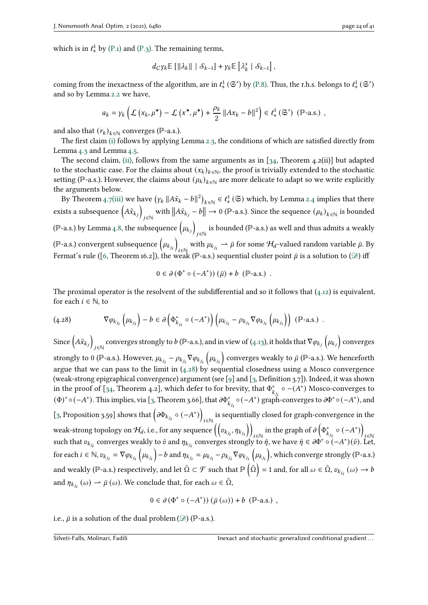which is in  $\ell_+^1$  by [\(P.1\)](#page-9-3) and [\(P.3\).](#page-9-5) The remaining terms,

$$
d_C \gamma_k \mathbb{E} \left[ \left\| \lambda_k \right\| \, \big| \, \mathcal{S}_{k-1} \right] + \gamma_k \mathbb{E} \left[ \lambda_k^s \, \big| \, \mathcal{S}_{k-1} \right],
$$

coming from the inexactness of the algorithm, are in  $\ell^1_+$  ( $\mathfrak{S}'$ ) by [\(P.8\).](#page-9-2) Thus, the r.h.s. belongs to  $\ell^1_+$  ( $\mathfrak{S}'$ ) and so by Lemma [2.2](#page-3-0) we have,

$$
a_k = \gamma_k \left( \mathcal{L} \left( x_k, \mu^{\star} \right) - \mathcal{L} \left( x^{\star}, \mu^{\star} \right) + \frac{\rho_k}{2} \| A x_k - b \|^2 \right) \in \ell^1_+ \left( \mathfrak{S}' \right) \; (\mathbb{P}\text{-a.s.}) ,
$$

and also that  $(r_k)_{k \in \mathbb{N}}$  converges (P-a.s.).

The first claim [\(i\)](#page-22-0) follows by applying Lemma [2.3,](#page-3-1) the conditions of which are satisfied directly from Lemma [4.3](#page-10-4) and Lemma [4.5.](#page-10-6)

The second claim, [\(ii\),](#page-22-1) follows from the same arguments as in  $[34,$  Theorem  $4.2(ii)]$  but adapted to the stochastic case. For the claims about  $(x_k)_{k \in \mathbb{N}}$ , the proof is trivially extended to the stochastic setting (P-a.s.). However, the claims about  $(\mu_k)_{k \in \mathbb{N}}$  are more delicate to adapt so we write explicitly the arguments below.

By Theorem [4.7](#page-15-4)[\(iii\)](#page-15-1) we have  $(\gamma_k || A\tilde{x}_k - b||^2)_{k \in \mathbb{N}} \in \ell^1_+(\mathfrak{S})$  which, by Lemma [2.4](#page-3-2) implies that there exists a subsequence  $\left(A\tilde{x}_{k_{j}}\right)$  ∈ℕ with  $||A\tilde{x}_{k_j} - b|| \to 0$  (P-a.s.). Since the sequence  $(\mu_k)_{k \in \mathbb{N}}$  is bounded (ℙ-a.s.) by Lemma  $_{4}.8$ , the subsequence  $\big(\mu_{k_{j}}\big)$ is bounded (ℙ-a.s.) as well and thus admits a weakly (ℙ-a.s.) convergent subsequence  $\left(\mu_{k_{j_{i}}}\right)$ with  $\mu_{k_{j_i}} \to \bar{\mu}$  for some  $\mathcal{H}_d$ -valued random variable  $\bar{\mu}$ . By Fermat's rule ([\[6,](#page-38-7) Theorem 16.2]), the weak (P-a.s.) sequential cluster point  $\bar{\mu}$  is a solution to ( $\mathcal{D}$ ) iff

$$
0 \in \partial (\Phi^* \circ (-A^*)) (\bar{\mu}) + b \; (\mathbb{P}\text{-a.s.}) \; .
$$

The proximal operator is the resolvent of the subdifferential and so it follows that  $(4.12)$  is equivalent, for each  $i \in \mathbb{N}$ , to

<span id="page-23-0"></span>
$$
(4.28) \t\nabla \varphi_{k_{j_i}}\left(\mu_{k_{j_i}}\right) - b \in \partial \left(\Phi_{k_{j_i}}^* \circ (-A^*)\right)\left(\mu_{k_{j_i}} - \rho_{k_{j_i}} \nabla \varphi_{k_{j_i}}\left(\mu_{k_{j_i}}\right)\right) \; (\mathbb{P}\text{-a.s.}) .
$$

Since  $\left(A\tilde{x}_{k_{i}}\right)$ converges strongly to  $b$  (P-a.s.), and in view of [\(4.13\)](#page-17-5), it holds that  $\nabla\varphi_{k_j}\left(\mu_{k_j}\right)$  converges strongly to 0 (ℙ-a.s.). However,  $\mu_{k_{j_i}}-\rho_{k_{j_i}}\nabla\varphi_{k_{j_i}}\left(\mu_{k_{j_i}}\right)$  converges weakly to  $\bar\mu$  (ℙ-a.s.). We henceforth argue that we can pass to the limit in [\(4.28\)](#page-23-0) by sequential closedness using a Mosco convergence (weak-strong epigraphical convergence) argument (see [\[9\]](#page-38-10) and [\[3,](#page-38-8) Definition 3.7]). Indeed, it was shown in the proof of [\[34,](#page-40-0) Theorem 4.2], which defer to for brevity, that  $\Phi^*_{k_{j_i}} \circ -(A^*)$  Mosco-converges to (Φ)\*  $\circ$  (−A\*). This implies, via [\[3,](#page-38-8) Theorem 3.66], that  $\partial \Phi_{k_{j_i}}^* \circ (-A^*)$  graph-converges to  $\partial \Phi^* \circ (-A^*)$ , and [\[3,](#page-38-8) Proposition 3.59] shows that  $\left(\partial \Phi_{k_{j_i}}\circ (-A^*)\right)$  ∈ℕ is sequentially closed for graph-convergence in the weak-strong topology on  $\mathcal{H}_d$ , i.e., for any sequence  $\left(\left(v_{k_{j_i}},\eta_{k_{j_i}}\right)\right)$  ∈ℕ in the graph of  $\partial\left(\Phi_{k_{j_i}}^*\circ(-A^*)\right)$ such that  $v_{k_{j_i}}$  converges weakly to  $\bar{v}$  and  $\eta_{k_{j_i}}$  converges strongly to  $\bar{\eta}$ , we have  $\bar{\eta} \in \partial \Phi^* \circ (-A^*)(\bar{v})$ . Let, for each  $i \in \mathbb{N}$ ,  $v_{k_{j_i}} = \nabla \varphi_{k_{j_i}} \left( \mu_{k_{j_i}} \right) - b$  and  $\eta_{k_{j_i}} = \mu_{k_{j_i}} - \rho_{k_{j_i}} \nabla \varphi_{k_{j_i}} \left( \mu_{k_{j_i}} \right)$ , which converge strongly (P-a.s.) and weakly (ℙ-a.s.) respectively, and let  $\tilde{\Omega}\subset\mathcal{F}$  such that  $\mathbb{P}\left(\tilde{\Omega}\right)=1$  and, for all  $\omega\in\tilde{\Omega},$   $v_{k_{j_i}}\left(\omega\right)\rightarrow b$ and  $\eta_{k_{j_i}}(\omega) \to \bar{\mu}(\omega)$ . We conclude that, for each  $\omega \in \tilde{\Omega}$ ,

$$
0 \in \partial (\Phi^* \circ (-A^*)) (\bar{\mu}(\omega)) + b (\mathbb{P}\text{-a.s.}) ,
$$

i.e.,  $\bar{\mu}$  is a solution of the dual problem ( $\mathcal{D}$ ) (P-a.s.).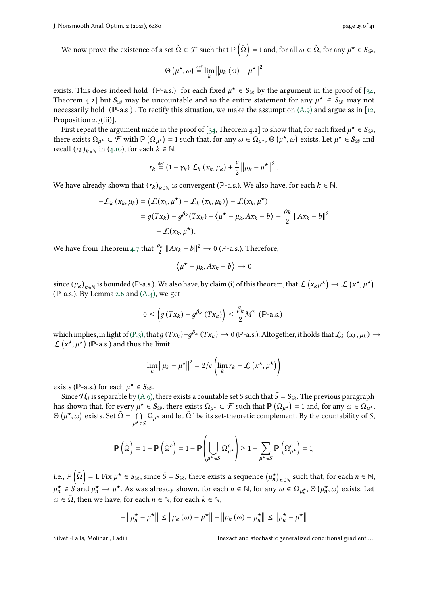We now prove the existence of a set  $\tilde{\Omega}\subset\mathcal{F}$  such that  $\mathbb{P}\left(\tilde{\Omega}\right)=1$  and, for all  $\omega\in\tilde{\Omega},$  for any  $\mu^{\star}\in\mathcal{S}_{\mathscr{D}},$ 

$$
\Theta\left(\boldsymbol{\mu^\star}, \boldsymbol{\omega}\right) \stackrel{\text{def}}{=} \lim_k \left\|\boldsymbol{\mu}_k\left(\boldsymbol{\omega}\right) - \boldsymbol{\mu^\star}\right\|^2
$$

exists. This does indeed hold (P-a.s.) for each fixed  $\mu^{\star} \in S_{\mathcal{D}}$  by the argument in the proof of [\[34,](#page-40-0) Theorem 4.2] but  $S_2$  may be uncountable and so the entire statement for any  $\mu^* \in S_2$  may not necessarily hold ( $\mathbb{P}\text{-a.s.}$ ). To rectify this situation, we make the assumption [\(A.9\)](#page-7-11) and argue as in [\[12,](#page-39-14) Proposition 2.3(iii)].

First repeat the argument made in the proof of [\[34,](#page-40-0) Theorem 4.2] to show that, for each fixed  $\mu^* \in S_{\mathcal{D}}$ , there exists  $\Omega_{\mu^*} \subset \mathcal{F}$  with  $\mathbb{P}(\Omega_{\mu^*}) = 1$  such that, for any  $\omega \in \Omega_{\mu^*}, \Theta(\mu^*, \omega)$  exists. Let  $\mu^* \in S_{\mathcal{D}}$  and recall  $(r_k)_{k \in \mathbb{N}}$  in [\(4.10\)](#page-17-0), for each  $k \in \mathbb{N}$ ,

$$
r_k \stackrel{\text{def}}{=} (1 - \gamma_k) \mathcal{L}_k(x_k, \mu_k) + \frac{c}{2} ||\mu_k - \mu^{\star}||^2.
$$

We have already shown that  $(r_k)_{k \in \mathbb{N}}$  is convergent (P-a.s.). We also have, for each  $k \in \mathbb{N}$ ,

$$
-\mathcal{L}_k(x_k, \mu_k) = (\mathcal{L}(x_k, \mu^*) - \mathcal{L}_k(x_k, \mu_k)) - \mathcal{L}(x_k, \mu^*)
$$
  
=  $g(Tx_k) - g^{\beta_k}(Tx_k) + \langle \mu^* - \mu_k, Ax_k - b \rangle - \frac{\rho_k}{2} ||Ax_k - b||^2$   
 $- \mathcal{L}(x_k, \mu^*).$ 

We have from Theorem [4.7](#page-15-4) that  $\frac{\rho_k}{2} ||Ax_k - b||^2 \to 0$  (P-a.s.). Therefore,

$$
\left\langle \mu^{\star} - \mu_k, Ax_k - b \right\rangle \to 0
$$

since  $(\mu_k)_{k\in\mathbb{N}}$  is bounded (P-a.s.). We also have, by claim (i) of this theorem, that  $\mathcal{L}\left(x_k\mu^{\star}\right)\to\mathcal{L}\left(x^{\star},\mu^{\star}\right)$ (ℙ-a.s.). By Lemma [2.6](#page-4-5) and [\(A.4\),](#page-7-0) we get

$$
0 \le \left( g\left(Tx_k\right) - g^{\beta_k}\left(Tx_k\right) \right) \le \frac{\beta_k}{2} M^2 \quad (\mathbb{P}\text{-a.s.})
$$

which implies, in light of [\(P.3\),](#page-9-5) that  $g(Tx_k)-g^{\beta_k}(Tx_k) \to 0$  (P-a.s.). Altogether, it holds that  $\mathcal{L}_k(x_k,\mu_k) \to$  $\mathcal{L}$   $(x^{\star}, \mu^{\star})$  (P-a.s.) and thus the limit

$$
\lim_{k} \left\| \mu_k - \mu^{\star} \right\|^2 = 2/c \left( \lim_{k} r_k - \mathcal{L} \left( x^{\star}, \mu^{\star} \right) \right)
$$

exists (P-a.s.) for each  $\mu^{\star} \in S_{\mathcal{D}}$ .

Since  $\mathcal{H}_d$  is separable by [\(A.9\),](#page-7-11) there exists a countable set S such that  $\bar{S} = S_{\mathcal{D}}$ . The previous paragraph has shown that, for every  $\mu^* \in S_{\mathcal{D}}$ , there exists  $\Omega_{\mu^*} \subset \mathcal{F}$  such that  $\mathbb{P}(\Omega_{\mu^*}) = 1$  and, for any  $\omega \in \Omega_{\mu^*}$ ,  $\Theta$  (μ<sup>\*</sup>, ω) exists. Set  $\tilde{\Omega} = \bigcap$  $\mu^{\star} \in S$  $\Omega_{\mu^*}$  and let  $\tilde{\Omega}^c$  be its set-theoretic complement. By the countability of S,

$$
\mathbb{P}\left(\tilde{\Omega}\right) = 1 - \mathbb{P}\left(\tilde{\Omega}^c\right) = 1 - \mathbb{P}\left(\bigcup_{\mu^{\star} \in S} \Omega^c_{\mu^{\star}}\right) \ge 1 - \sum_{\mu^{\star} \in S} \mathbb{P}\left(\Omega^c_{\mu^{\star}}\right) = 1,
$$

i.e.,  $\mathbb{P}\left(\tilde{\Omega}\right)=1$ . Fix  $\mu^{\star}\in\mathcal{S}_{\mathscr{D}};$  since  $\bar{S}=\mathcal{S}_{\mathscr{D}},$  there exists a sequence  $\left(\mu_n^{\star}\right)_{n\in\mathbb{N}}$  such that, for each  $n\in\mathbb{N},$  $\mu_n^{\star} \in S$  and  $\mu_n^{\star} \to \mu^{\star}$ . As was already shown, for each  $n \in \mathbb{N}$ , for any  $\omega \in \Omega_{\mu_n^{\star}}, \Theta\left(\mu_n^{\star}, \omega\right)$  exists. Let  $\omega \in \tilde{\Omega}$ , then we have, for each  $n \in \mathbb{N}$ , for each  $k \in \mathbb{N}$ ,

$$
-\left\|\mu_n^{\star} - \mu^{\star}\right\| \le \left\|\mu_k\left(\omega\right) - \mu^{\star}\right\| - \left\|\mu_k\left(\omega\right) - \mu_n^{\star}\right\| \le \left\|\mu_n^{\star} - \mu^{\star}\right\|
$$

Silveti-Falls, Molinari, Fadili **Inexact and stochastic generalized conditional gradient**...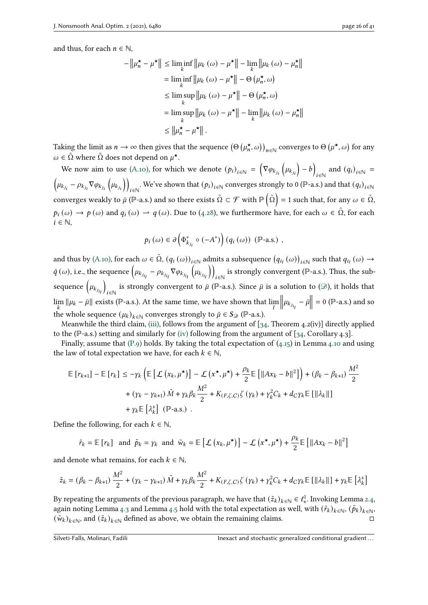and thus, for each  $n \in \mathbb{N}$ ,

$$
-\left\|\mu_n^{\star} - \mu^{\star}\right\| \le \liminf_{k} \left\|\mu_k\left(\omega\right) - \mu^{\star}\right\| - \lim_{k} \left\|\mu_k\left(\omega\right) - \mu_n^{\star}\right\|
$$
  
\n
$$
= \liminf_{k} \left\|\mu_k\left(\omega\right) - \mu^{\star}\right\| - \Theta\left(\mu_n^{\star}, \omega\right)
$$
  
\n
$$
\le \limsup_{k} \left\|\mu_k\left(\omega\right) - \mu^{\star}\right\| - \Theta\left(\mu_n^{\star}, \omega\right)
$$
  
\n
$$
= \limsup_{k} \left\|\mu_k\left(\omega\right) - \mu^{\star}\right\| - \lim_{k} \left\|\mu_k\left(\omega\right) - \mu_n^{\star}\right\|
$$
  
\n
$$
\le \left\|\mu_n^{\star} - \mu^{\star}\right\|.
$$

Taking the limit as  $n \to \infty$  then gives that the sequence  $(\Theta \left(\mu_n^{\star}, \omega\right))_{n \in \mathbb{N}}$  converges to  $\Theta \left(\mu^{\star}, \omega\right)$  for any  $\omega \in \tilde{\Omega}$  where  $\tilde{\Omega}$  does not depend on  $\mu^{\star}$ .

We now aim to use [\(A.10\),](#page-7-5) for which we denote  $(p_i)_{i \in \mathbb{N}} = (\nabla \varphi_{k_{j_i}}(\mu_{k_{j_i}}) - b)$  $\sum_{i \in \mathbb{N}}$  and  $(q_i)_{i \in \mathbb{N}}$  =  $\left(\mu_{k_{j_i}} - \rho_{k_{j_i}} \nabla \varphi_{k_{j_i}}\left(\mu_{k_{j_i}}\right)\right)$ . We've shown that  $(p_i)_{i \in \mathbb{N}}$  converges strongly to 0 (P-a.s.) and that  $(q_i)_{i \in \mathbb{N}}$ converges weakly to  $\bar\mu$  (ℙ-a.s.) and so there exists  $\tilde\Omega\subset\mathcal F$  with  $\mathbb P\left(\tilde\Omega\right)=1$  such that, for any  $\omega\in\tilde\Omega,$  $p_i(\omega) \to p(\omega)$  and  $q_i(\omega) \to q(\omega)$ . Due to [\(4.28\)](#page-23-0), we furthermore have, for each  $\omega \in \tilde{\Omega}$ , for each  $i \in \mathbb{N}$ ,

$$
p_i(\omega) \in \partial \left( \Phi_{k_{j_i}}^* \circ (-A^*) \right) (q_i(\omega)) \, (\mathbb{P}\text{-a.s.}) ,
$$

and thus by [\(A.10\),](#page-7-5) for each  $\omega \in \tilde{\Omega}$ ,  $(q_i(\omega))_{i \in \mathbb{N}}$  admits a subsequence  $(q_{i_l}(\omega))_{i \in \mathbb{N}}$  such that  $q_{i_l}(\omega) \to$  $\bar{q}\left(\omega\right)$ , i.e., the sequence  $\left(\mu_{k_{j_{i_l}}} - \rho_{k_{j_{i_l}}}\nabla\varphi_{k_{j_{i_l}}} \right)$  $\left(\mu_{k_{j_{i}}}\right)$  $\mathcal{L}$ is strongly convergent (ℙ-a.s.). Thus, the subsequence  $\left(\mu_{k_{j_{i_l}}} \right)$  $\backslash$ is strongly convergent to  $\bar{\mu}$  (P-a.s.). Since  $\bar{\mu}$  is a solution to ( $\mathscr{D}$ ), it holds that  $\lim_{k} ||\mu_k - \bar{\mu}||$  exists (P-a.s.). At the same time, we have shown that  $\lim_{l}$  $\left\| \mu_{k_{j_{i_l}}} - \bar{\mu} \right\| = 0$  (P-a.s.) and so the whole sequence  $(\mu_k)_{k \in \mathbb{N}}$  converges strongly to  $\bar{\mu} \in S_{\mathcal{D}}$  (P-a.s.).

Meanwhile the third claim, [\(iii\),](#page-22-2) follows from the argument of  $[34,$  Theorem 4.2(iv)] directly applied to the (ℙ-a.s.) setting and similarly for [\(iv\)](#page-22-3) following from the argument of [\[34,](#page-40-0) Corollary 4.3].

Finally, assume that  $(P,9)$  holds. By taking the total expectation of  $(4.15)$  in Lemma [4.10](#page-17-0) and using the law of total expectation we have, for each  $k \in \mathbb{N}$ ,

$$
\mathbb{E}\left[r_{k+1}\right] - \mathbb{E}\left[r_k\right] \le -\gamma_k \left(\mathbb{E}\left[\mathcal{L}\left(x_k, \mu^{\star}\right)\right] - \mathcal{L}\left(x^{\star}, \mu^{\star}\right) + \frac{\rho_k}{2} \mathbb{E}\left[\|Ax_k - b\|^2\right]\right) + (\beta_k - \beta_{k+1}) \frac{M^2}{2} + (\gamma_k - \gamma_{k+1}) \tilde{M} + \gamma_k \beta_k \frac{M^2}{2} + K_{(F,\zeta,C)} \zeta\left(\gamma_k\right) + \gamma_k^2 C_k + d_C \gamma_k \mathbb{E}\left[\|\lambda_k\|\right] + \gamma_k \mathbb{E}\left[\lambda_k^s\right] (\mathbb{P}\text{-a.s.}) .
$$

Define the following, for each  $k \in \mathbb{N}$ ,

$$
\tilde{r}_k = \mathbb{E}[r_k]
$$
 and  $\tilde{p}_k = \gamma_k$  and  $\tilde{w}_k = \mathbb{E}[L(x_k, \mu^{\star})] - L(x^{\star}, \mu^{\star}) + \frac{\rho_k}{2} \mathbb{E}[||Ax_k - b||^2]$ 

and denote what remains, for each  $k \in \mathbb{N}$ ,

$$
\tilde{z}_k = \left(\beta_k - \beta_{k+1}\right)\frac{M^2}{2} + \left(\gamma_k - \gamma_{k+1}\right)\tilde{M} + \gamma_k\beta_k\frac{M^2}{2} + K_{(F,\zeta,C)}\zeta\left(\gamma_k\right) + \gamma_k^2C_k + d_C\gamma_k\mathbb{E}\left[\left\|\lambda_k\right\|\right] + \gamma_k\mathbb{E}\left[\lambda_k^s\right]
$$

By repeating the arguments of the previous paragraph, we have that  $(\tilde{z}_k)_{k\in\mathbb{N}}\in\ell^1_+$ . Invoking Lemma [2.4,](#page-3-2) again noting Lemma [4.3](#page-10-4) and Lemma [4.5](#page-10-6) hold with the total expectation as well, with  $(\tilde{r}_k)_{k \in \mathbb{N}}, (\tilde{p}_k)_{k \in \mathbb{N}}$  $(\tilde{w}_k)_{k \in \mathbb{N}}$ , and  $(\tilde{z}_k)_{k \in \mathbb{N}}$  defined as above, we obtain the remaining claims.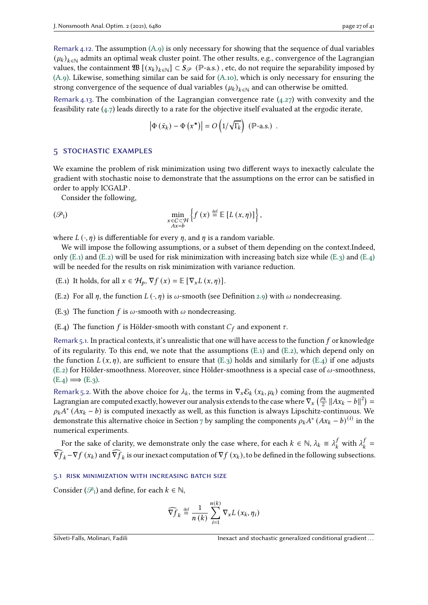Remark 4.13. The combination of the Lagrangian convergence rate  $(4.27)$  with convexity and the feasibility rate  $(4.7)$  leads directly to a rate for the objective itself evaluated at the ergodic iterate,

$$
\left|\Phi\left(\bar{x}_k\right) - \Phi\left(x^\star\right)\right| = O\left(1/\sqrt{\Gamma_k}\right) \, \left(\mathbb{P}\text{-a.s.}\right) \, .
$$

#### <span id="page-26-0"></span>5 stochastic examples

We examine the problem of risk minimization using two different ways to inexactly calculate the gradient with stochastic noise to demonstrate that the assumptions on the error can be satisfied in order to apply ICGALP .

Consider the following,

<span id="page-26-5"></span>
$$
\min_{\substack{x \in C \subset \mathcal{H} \\ Ax = b}} \left\{ f(x) \stackrel{\text{def}}{=} \mathbb{E} \left[ L(x, \eta) \right] \right\},
$$

where  $L(\cdot, \eta)$  is differentiable for every  $\eta$ , and  $\eta$  is a random variable.

We will impose the following assumptions, or a subset of them depending on the context.Indeed, only [\(E.1\)](#page-26-1) and [\(E.2\)](#page-26-2) will be used for risk minimization with increasing batch size while [\(E.3\)](#page-26-3) and [\(E.4\)](#page-26-4) will be needed for the results on risk minimization with variance reduction.

- <span id="page-26-1"></span>(E.1) It holds, for all  $x \in H_p$ ,  $\nabla f(x) = \mathbb{E} [\nabla_x L(x, \eta)].$
- <span id="page-26-2"></span>(E.2) For all  $\eta$ , the function  $L(\cdot, \eta)$  is  $\omega$ -smooth (see Definition [2.9\)](#page-5-6) with  $\omega$  nondecreasing.
- <span id="page-26-3"></span>(E.3) The function f is  $\omega$ -smooth with  $\omega$  nondecreasing.
- <span id="page-26-4"></span>(E.4) The function f is Hölder-smooth with constant  $C_f$  and exponent  $\tau$ .

<span id="page-26-6"></span>Remark 5.1. In practical contexts, it's unrealistic that one will have access to the function  $f$  or knowledge of its regularity. To this end, we note that the assumptions  $(E_1)$  and  $(E_2)$ , which depend only on the function  $L(x, \eta)$ , are sufficient to ensure that  $(E_3)$  holds and similarly for  $(E.4)$  if one adjusts [\(E.2\)](#page-26-2) for Hölder-smoothness. Moreover, since Hölder-smoothness is a special case of  $\omega$ -smoothness,  $(E.4) \Longrightarrow (E.3)$  $(E.4) \Longrightarrow (E.3)$ .

<span id="page-26-7"></span>Remark 5.2. With the above choice for  $\lambda_k$ , the terms in  $\nabla_x \mathcal{E}_k(x_k, \mu_k)$  coming from the augmented Lagrangian are computed exactly, however our analysis extends to the case where  $\nabla_x \left( \frac{\rho_k}{2} ||Ax_k - b||^2 \right) =$  $\rho_k A^* (Ax_k - b)$  is computed inexactly as well, as this function is always Lipschitz-continuous. We demonstrate this alternative choice in Section [7](#page-34-0) by sampling the components  $\rho_k A^* (Ax_k - b)^{(i)}$  in the numerical experiments.

For the sake of clarity, we demonstrate only the case where, for each  $k \in \mathbb{N}$ ,  $\lambda_k \equiv \lambda_k^j$  $\int_k^f$  with  $\lambda_k^j$  $\frac{f}{k}$  =  $\widehat{\nabla f}_k - \nabla f(x_k)$  and  $\widehat{\nabla f}_k$  is our inexact computation of  $\nabla f(x_k)$ , to be defined in the following subsections.

#### 5.1 risk minimization with increasing batch size

Consider  $(\mathcal{P}_1)$  and define, for each  $k \in \mathbb{N}$ ,

$$
\widehat{\nabla f}_k \stackrel{\text{def}}{=} \frac{1}{n(k)} \sum_{i=1}^{n(k)} \nabla_x L(x_k, \eta_i)
$$

Silveti-Falls, Molinari, Fadili **International gradient** Inexact and stochastic generalized conditional gradient...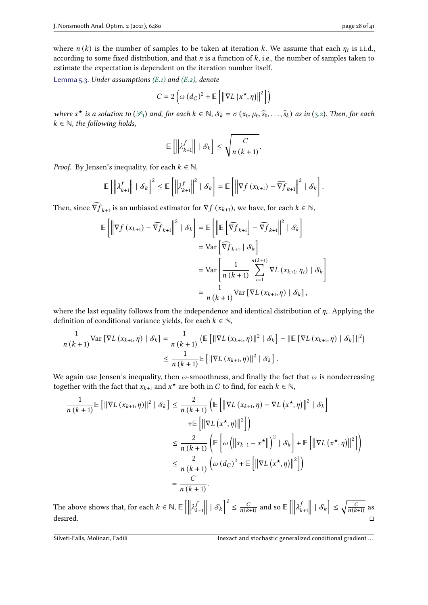where  $n(k)$  is the number of samples to be taken at iteration k. We assume that each  $\eta_i$  is i.i.d., according to some fixed distribution, and that  $n$  is a function of  $k$ , i.e., the number of samples taken to estimate the expectation is dependent on the iteration number itself.

<span id="page-27-0"></span>Lemma 5.3. Under assumptions  $(E.1)$  and  $(E.2)$ , denote

$$
C = 2\left(\omega\left(d_C\right)^2 + \mathbb{E}\left[\left\|\nabla L\left(x^{\star}, \eta\right)\right\|^2\right]\right)
$$

where  $x^*$  is a solution to  $(\mathcal{P}_1)$  and, for each  $k \in \mathbb{N}$ ,  $\mathcal{S}_k = \sigma(x_0, \mu_0, \widehat{s}_0, \ldots, \widehat{s}_k)$  as in [\(3.2\)](#page-6-2). Then, for each  $k \in \mathbb{N}$  the following holds  $k \in \mathbb{N}$ , the following holds,

$$
\mathbb{E}\left[\left\|\lambda_{k+1}^f\right\| \mid \mathcal{S}_k\right] \leq \sqrt{\frac{C}{n\left(k+1\right)}}.
$$

*Proof.* By Jensen's inequality, for each  $k \in \mathbb{N}$ ,

$$
\mathbb{E}\left[\left\|\lambda_{k+1}^f\right\| \mid \mathcal{S}_k\right]^2 \leq \mathbb{E}\left[\left\|\lambda_{k+1}^f\right\|^2 \mid \mathcal{S}_k\right] = \mathbb{E}\left[\left\|\nabla f\left(x_{k+1}\right) - \widehat{\nabla f}_{k+1}\right\|^2 \mid \mathcal{S}_k\right].
$$

Then, since  $\widehat{\nabla f}_{k+1}$  is an unbiased estimator for  $\nabla f(x_{k+1})$ , we have, for each  $k \in \mathbb{N}$ ,

$$
\mathbb{E}\left[\left\|\nabla f\left(x_{k+1}\right) - \widehat{\nabla f}_{k+1}\right\|^2 \mid \mathcal{S}_k\right] = \mathbb{E}\left[\left\|\mathbb{E}\left[\widehat{\nabla f}_{k+1}\right] - \widehat{\nabla f}_{k+1}\right\|^2 \mid \mathcal{S}_k\right]
$$

$$
= \text{Var}\left[\widehat{\nabla f}_{k+1} \mid \mathcal{S}_k\right]
$$

$$
= \text{Var}\left[\frac{1}{n\left(k+1\right)} \sum_{i=1}^{n\left(k+1\right)} \nabla L\left(x_{k+1}, \eta_i\right) \mid \mathcal{S}_k\right]
$$

$$
= \frac{1}{n\left(k+1\right)} \text{Var}\left[\nabla L\left(x_{k+1}, \eta\right) \mid \mathcal{S}_k\right],
$$

where the last equality follows from the independence and identical distribution of  $\eta_i$ . Applying the definition of conditional variance yields, for each  $k \in \mathbb{N}$ ,

$$
\frac{1}{n (k+1)} \text{Var} \left[ \nabla L \left( x_{k+1}, \eta \right) \mid \mathcal{S}_k \right] = \frac{1}{n (k+1)} \left( \mathbb{E} \left[ \left\| \nabla L \left( x_{k+1}, \eta \right) \right\|^2 \mid \mathcal{S}_k \right] - \left\| \mathbb{E} \left[ \nabla L \left( x_{k+1}, \eta \right) \mid \mathcal{S}_k \right] \right\|^2 \right)
$$
\n
$$
\leq \frac{1}{n (k+1)} \mathbb{E} \left[ \left\| \nabla L \left( x_{k+1}, \eta \right) \right\|^2 \mid \mathcal{S}_k \right].
$$

We again use Jensen's inequality, then  $\omega$ -smoothness, and finally the fact that  $\omega$  is nondecreasing together with the fact that  $x_{k+1}$  and  $x^*$  are both in C to find, for each  $k \in \mathbb{N}$ ,

$$
\frac{1}{n (k+1)} \mathbb{E} \left[ \left\| \nabla L \left( x_{k+1}, \eta \right) \right\|^2 \mid \mathcal{S}_k \right] \leq \frac{2}{n (k+1)} \left( \mathbb{E} \left[ \left\| \nabla L \left( x_{k+1}, \eta \right) - \nabla L \left( x^{\star}, \eta \right) \right\|^2 \mid \mathcal{S}_k \right] \right)
$$
  
 
$$
+ \mathbb{E} \left[ \left\| \nabla L \left( x^{\star}, \eta \right) \right\|^2 \right] \right)
$$
  
 
$$
\leq \frac{2}{n (k+1)} \left( \mathbb{E} \left[ \omega \left( \left\| x_{k+1} - x^{\star} \right\| \right)^2 \mid \mathcal{S}_k \right] + \mathbb{E} \left[ \left\| \nabla L \left( x^{\star}, \eta \right) \right\|^2 \right] \right)
$$
  
 
$$
\leq \frac{2}{n (k+1)} \left( \omega (d_C)^2 + \mathbb{E} \left[ \left\| \nabla L \left( x^{\star}, \eta \right) \right\|^2 \right] \right)
$$
  
 
$$
= \frac{C}{n (k+1)}.
$$

The above shows that, for each  $k \in \mathbb{N}, \mathbb{E}\left[ \left\| \right. \right. \right]$  $\lambda_i^j$  $k+1$  $\|\cdot\|$  $\Big| \Big|^2 \leq \frac{C}{n(k+1)}$  and so  $\mathbb{E} \Big[ \Big\|$  $\lambda_i^j$  $k+1$  $\left| \ \mid \mathcal{S}_k \right| \leq \sqrt{\frac{C}{n(k+1)}}$  as desired. □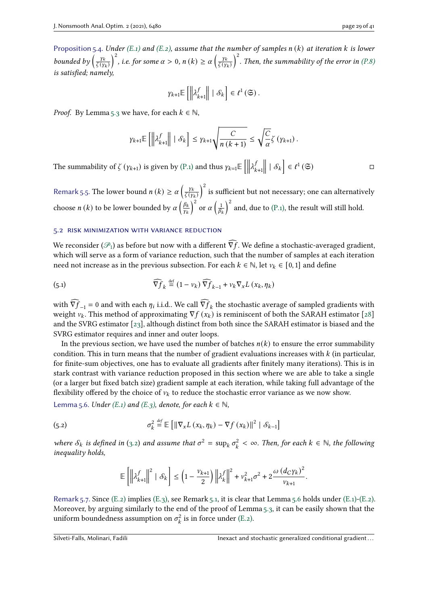Proposition 5.4. Under [\(E.1\)](#page-26-1) and [\(E.2\),](#page-26-2) assume that the number of samples  $n(k)$  at iteration k is lower bounded by  $\left(\frac{y_k}{\zeta(y_k)}\right)$  $\left(\frac{y_k}{\zeta(y_k)}\right)^2$ , i.e. for some  $\alpha > 0$ ,  $n(k) \ge \alpha \left(\frac{y_k}{\zeta(y_k)}\right)^2$  $\left(\frac{y_k}{\zeta(y_k)}\right)^2$ . Then, the summability of the error in [\(P.8\)](#page-9-2) is satisfied; namely,

$$
\gamma_{k+1}\mathbb{E}\left[\left\|\lambda_{k+1}^{f}\right\| \mid \mathcal{S}_{k}\right] \in \ell^{1}\left(\mathfrak{S}\right).
$$

*Proof.* By Lemma [5.3](#page-27-0) we have, for each  $k \in \mathbb{N}$ ,

$$
\gamma_{k+1} \mathbb{E}\left[\left\|\lambda_{k+1}^f\right\| \mid \mathcal{S}_k\right] \leq \gamma_{k+1} \sqrt{\frac{C}{n\left(k+1\right)}} \leq \sqrt{\frac{C}{\alpha}} \zeta\left(\gamma_{k+1}\right).
$$

The summability of  $\zeta$  ( $\gamma_{k+1}$ ) is given by [\(P.1\)](#page-9-3) and thus  $\gamma_{k=1} \mathbb{E} \left[ \left\| \frac{d\zeta_{k+1}}{dt} \right\| \right]$  $\lambda_i^j$  $k+1$  $\left| \begin{array}{c} | \\ | \delta_k \end{array} \right| \in \ell^1(\mathfrak{S})$ 

Remark 5.5. The lower bound  $n(k) \ge \alpha \left(\frac{y_k}{\zeta(\kappa)}\right)$  $\left(\frac{\gamma_k}{\zeta(\gamma_k)}\right)^2$  is sufficient but not necessary; one can alternatively choose *n* (*k*) to be lower bounded by  $\alpha$   $\left(\frac{\beta_k}{n}\right)$  $\left(\frac{\beta_k}{\gamma_k}\right)^2$  or  $\alpha\left(\frac{1}{\beta_k}\right)$  $\left(\frac{1}{\beta_k}\right)^2$  and, due to [\(P.1\),](#page-9-3) the result will still hold.

#### 5.2 risk minimization with variance reduction

We reconsider ( $\mathcal{P}_1$ ) as before but now with a different  $\widehat{\nabla f}$ . We define a stochastic-averaged gradient, which will serve as a form of variance reduction, such that the number of samples at each iteration need not increase as in the previous subsection. For each  $k \in \mathbb{N}$ , let  $\nu_k \in [0,1]$  and define

<span id="page-28-2"></span>(5.1) 
$$
\widehat{\nabla f}_k \stackrel{\text{def}}{=} (1 - \nu_k) \widehat{\nabla f}_{k-1} + \nu_k \nabla_x L(x_k, \eta_k)
$$

with  $\widehat{\nabla f}_{-1} = 0$  and with each  $\eta_i$  i.i.d.. We call  $\widehat{\nabla f}_k$  the stochastic average of sampled gradients with weight  $v_k$ . This method of approximating  $\nabla f(x_k)$  is reminiscent of both the SARAH estimator [\[28\]](#page-39-15) and the SVRG estimator [\[23\]](#page-39-16), although distinct from both since the SARAH estimator is biased and the SVRG estimator requires and inner and outer loops.

In the previous section, we have used the number of batches  $n(k)$  to ensure the error summability condition. This in turn means that the number of gradient evaluations increases with  $k$  (in particular, for finite-sum objectives, one has to evaluate all gradients after finitely many iterations). This is in stark contrast with variance reduction proposed in this section where we are able to take a single (or a larger but fixed batch size) gradient sample at each iteration, while taking full advantage of the flexibility offered by the choice of  $v_k$  to reduce the stochastic error variance as we now show.

<span id="page-28-0"></span>Lemma 5.6. Under [\(E.1\)](#page-26-1) and [\(E.3\),](#page-26-3) denote, for each  $k \in \mathbb{N}$ ,

(5.2) 
$$
\sigma_k^2 \stackrel{\text{def}}{=} \mathbb{E} \left[ \left\| \nabla_x L \left( x_k, \eta_k \right) - \nabla f \left( x_k \right) \right\|^2 \mid \mathcal{S}_{k-1} \right]
$$

where  $S_k$  is defined in [\(3.2\)](#page-6-2) and assume that  $\sigma^2 = \sup_k \sigma_k^2$  $c_k^2 < \infty$ . Then, for each  $k \in \mathbb{N}$ , the following inequality holds,

<span id="page-28-1"></span>
$$
\mathbb{E}\left[\left\|\lambda_{k+1}^{f}\right\|^{2} \mid \mathcal{S}_{k}\right] \leq\left(1-\frac{\nu_{k+1}}{2}\right)\left\|\lambda_{k}^{f}\right\|^{2} + \nu_{k+1}^{2}\sigma^{2} + 2\frac{\omega\left(d_{C}\gamma_{k}\right)^{2}}{\nu_{k+1}}.
$$

Remark 5.7. Since  $(E.2)$  implies  $(E.3)$ , see Remark [5.1,](#page-26-6) it is clear that Lemma [5.6](#page-28-0) holds under  $(E.1)$ - $(E.2)$ . Moreover, by arguing similarly to the end of the proof of Lemma [5.3,](#page-27-0) it can be easily shown that the uniform boundedness assumption on  $\sigma_t^2$  $\kappa_k^2$  is in force under [\(E.2\).](#page-26-2)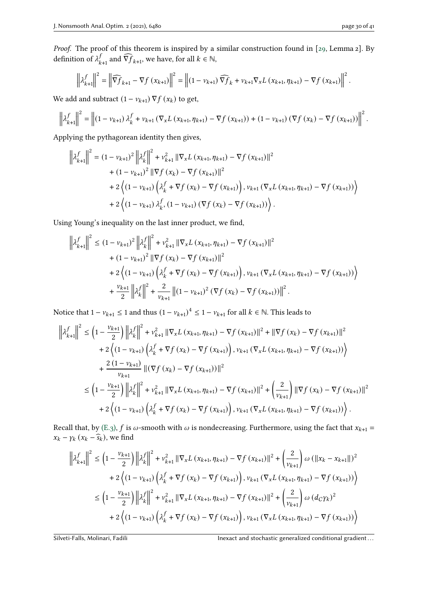Proof. The proof of this theorem is inspired by a similar construction found in [\[29,](#page-40-5) Lemma 2]. By definition of  $\lambda^f$ .  $_{k+1}^f$  and  $\widehat{\nabla f}_{k+1}$ , we have, for all  $k \in \mathbb{N}$ ,

$$
\left\| \lambda_{k+1}^f \right\|^2 = \left\| \widehat{\nabla f}_{k+1} - \nabla f_{k+1} \right\|^2 = \left\| (1 - \nu_{k+1}) \widehat{\nabla f}_k + \nu_{k+1} \nabla_x L_{k+1}, \eta_{k+1} \right\|^2 - \nabla f_{k+1} \left\|^2.
$$

We add and subtract  $(1 - v_{k+1}) \nabla f(x_k)$  to get,

$$
\left\| \lambda_{k+1}^f \right\|^2 = \left\| \left( 1 - v_{k+1} \right) \lambda_k^f + v_{k+1} \left( \nabla_x L \left( x_{k+1}, \eta_{k+1} \right) - \nabla f \left( x_{k+1} \right) \right) + \left( 1 - v_{k+1} \right) \left( \nabla f \left( x_k \right) - \nabla f \left( x_{k+1} \right) \right) \right\|^2.
$$

Applying the pythagorean identity then gives,

$$
\left\| \lambda_{k+1}^{f} \right\|^{2} = (1 - v_{k+1})^{2} \left\| \lambda_{k}^{f} \right\|^{2} + v_{k+1}^{2} \left\| \nabla_{x} L \left( x_{k+1}, \eta_{k+1} \right) - \nabla f \left( x_{k+1} \right) \right\|^{2} + (1 - v_{k+1})^{2} \left\| \nabla f \left( x_{k} \right) - \nabla f \left( x_{k+1} \right) \right\|^{2} + 2 \left\langle (1 - v_{k+1}) \left( \lambda_{k}^{f} + \nabla f \left( x_{k} \right) - \nabla f \left( x_{k+1} \right) \right), v_{k+1} \left( \nabla_{x} L \left( x_{k+1}, \eta_{k+1} \right) - \nabla f \left( x_{k+1} \right) \right) \right\rangle + 2 \left\langle (1 - v_{k+1}) \lambda_{k}^{f}, (1 - v_{k+1}) \left( \nabla f \left( x_{k} \right) - \nabla f \left( x_{k+1} \right) \right) \right\rangle.
$$

Using Young's inequality on the last inner product, we find,

$$
\left\| \lambda_{k+1}^f \right\|^2 \le (1 - v_{k+1})^2 \left\| \lambda_k^f \right\|^2 + v_{k+1}^2 \left\| \nabla_x L \left( x_{k+1}, \eta_{k+1} \right) - \nabla f \left( x_{k+1} \right) \right\|^2
$$
  
+ 
$$
(1 - v_{k+1})^2 \left\| \nabla f \left( x_k \right) - \nabla f \left( x_{k+1} \right) \right\|^2
$$
  
+ 
$$
2 \left\langle (1 - v_{k+1}) \left( \lambda_k^f + \nabla f \left( x_k \right) - \nabla f \left( x_{k+1} \right) \right), v_{k+1} \left( \nabla_x L \left( x_{k+1}, \eta_{k+1} \right) - \nabla f \left( x_{k+1} \right) \right) \right\rangle
$$
  
+ 
$$
\frac{v_{k+1}}{2} \left\| \lambda_k^f \right\|^2 + \frac{2}{v_{k+1}} \left\| (1 - v_{k+1})^2 \left( \nabla f \left( x_k \right) - \nabla f \left( x_{k+1} \right) \right) \right\|^2.
$$

Notice that  $1 - v_{k+1} \le 1$  and thus  $(1 - v_{k+1})^4 \le 1 - v_{k+1}$  for all  $k \in \mathbb{N}$ . This leads to

$$
\left\| \lambda_{k+1}^{f} \right\|^{2} \leq \left( 1 - \frac{\nu_{k+1}}{2} \right) \left\| \lambda_{k}^{f} \right\|^{2} + \nu_{k+1}^{2} \left\| \nabla_{x} L \left( x_{k+1}, \eta_{k+1} \right) - \nabla f \left( x_{k+1} \right) \right\|^{2} + \left\| \nabla f \left( x_{k} \right) - \nabla f \left( x_{k+1} \right) \right\|^{2}
$$
  
+ 
$$
2 \left\langle \left( 1 - \nu_{k+1} \right) \left( \lambda_{k}^{f} + \nabla f \left( x_{k} \right) - \nabla f \left( x_{k+1} \right) \right), \nu_{k+1} \left( \nabla_{x} L \left( x_{k+1}, \eta_{k+1} \right) - \nabla f \left( x_{k+1} \right) \right) \right\rangle
$$
  
+ 
$$
\frac{2 \left( 1 - \nu_{k+1} \right)}{\nu_{k+1}} \left\| \left( \nabla f \left( x_{k} \right) - \nabla f \left( x_{k+1} \right) \right) \right\|^{2}
$$
  

$$
\leq \left( 1 - \frac{\nu_{k+1}}{2} \right) \left\| \lambda_{k}^{f} \right\|^{2} + \nu_{k+1}^{2} \left\| \nabla_{x} L \left( x_{k+1}, \eta_{k+1} \right) - \nabla f \left( x_{k+1} \right) \right\|^{2} + \left( \frac{2}{\nu_{k+1}} \right) \left\| \nabla f \left( x_{k} \right) - \nabla f \left( x_{k+1} \right) \right\|^{2}
$$
  
+ 
$$
2 \left\langle \left( 1 - \nu_{k+1} \right) \left( \lambda_{k}^{f} + \nabla f \left( x_{k} \right) - \nabla f \left( x_{k+1} \right) \right), \nu_{k+1} \left( \nabla_{x} L \left( x_{k+1}, \eta_{k+1} \right) - \nabla f \left( x_{k+1} \right) \right) \right\rangle.
$$

Recall that, by [\(E.3\),](#page-26-3) f is  $\omega$ -smooth with  $\omega$  is nondecreasing. Furthermore, using the fact that  $x_{k+1} =$  $x_k - \gamma_k (x_k - \widehat{s}_k)$ , we find

$$
\left\| \lambda_{k+1}^{f} \right\|^{2} \leq \left( 1 - \frac{v_{k+1}}{2} \right) \left\| \lambda_{k}^{f} \right\|^{2} + v_{k+1}^{2} \left\| \nabla_{x} L \left( x_{k+1}, \eta_{k+1} \right) - \nabla f \left( x_{k+1} \right) \right\|^{2} + \left( \frac{2}{v_{k+1}} \right) \omega \left( \left\| x_{k} - x_{k+1} \right\| \right)^{2} + 2 \left( (1 - v_{k+1}) \left( \lambda_{k}^{f} + \nabla f \left( x_{k} \right) - \nabla f \left( x_{k+1} \right) \right), v_{k+1} \left( \nabla_{x} L \left( x_{k+1}, \eta_{k+1} \right) - \nabla f \left( x_{k+1} \right) \right) \right) \n\leq \left( 1 - \frac{v_{k+1}}{2} \right) \left\| \lambda_{k}^{f} \right\|^{2} + v_{k+1}^{2} \left\| \nabla_{x} L \left( x_{k+1}, \eta_{k+1} \right) - \nabla f \left( x_{k+1} \right) \right\|^{2} + \left( \frac{2}{v_{k+1}} \right) \omega \left( d_{C} \gamma_{k} \right)^{2} + 2 \left( (1 - v_{k+1}) \left( \lambda_{k}^{f} + \nabla f \left( x_{k} \right) - \nabla f \left( x_{k+1} \right) \right), v_{k+1} \left( \nabla_{x} L \left( x_{k+1}, \eta_{k+1} \right) - \nabla f \left( x_{k+1} \right) \right) \right)
$$

Silveti-Falls, Molinari, Fadili **Inexact and stochastic generalized conditional gradient...**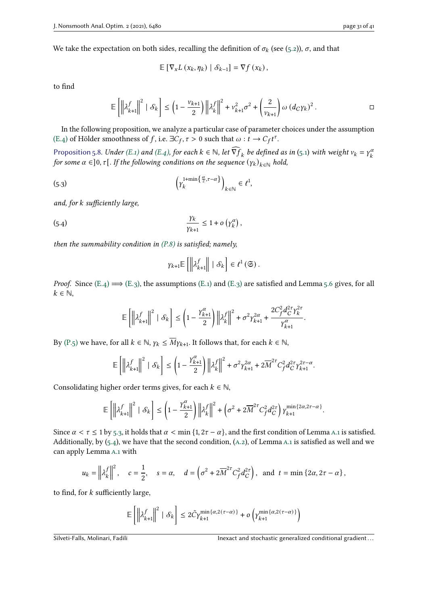We take the expectation on both sides, recalling the definition of  $\sigma_k$  (see [\(5.2\)](#page-28-1)),  $\sigma$ , and that

$$
\mathbb{E}\left[\nabla_x L\left(x_k, \eta_k\right) \mid \mathcal{S}_{k-1}\right] = \nabla f\left(x_k\right),\
$$

to find

$$
\mathbb{E}\left[\left\|\lambda_{k+1}^{f}\right\|^{2} \mid \mathcal{S}_{k}\right] \leq\left(1-\frac{v_{k+1}}{2}\right)\left\|\lambda_{k}^{f}\right\|^{2}+v_{k+1}^{2}\sigma^{2}+\left(\frac{2}{v_{k+1}}\right)\omega\left(d_{C}\gamma_{k}\right)^{2}.\hspace{1cm}\square
$$

In the following proposition, we analyze a particular case of parameter choices under the assumption [\(E.4\)](#page-26-4) of Hölder smoothness of f, i.e.  $\exists C_f, \tau > 0$  such that  $\omega : t \to C_f t^{\tau}$ .

<span id="page-30-2"></span>Proposition 5.8. Under [\(E.1\)](#page-26-1) and [\(E.4\),](#page-26-4) for each  $k \in \mathbb{N}$ , let  $\widehat{\nabla f}_k$  be defined as in [\(5.1\)](#page-28-2) with weight  $v_k = \gamma_k^a$ k for some  $\alpha \in ]0,\tau[$  . If the following conditions on the sequence  $(y_k)_{k\in\mathbb{N}}$  hold,

(5.3) 
$$
\left(\gamma_k^{1+\min\left\{\frac{\alpha}{2},\tau-\alpha\right\}}\right)_{k\in\mathbb{N}}\in\ell^1,
$$

and, for  $k$  sufficiently large,

(5.4) 
$$
\frac{\gamma_k}{\gamma_{k+1}} \leq 1 + o\left(\gamma_k^{\alpha}\right),
$$

then the summability condition in  $(P.8)$  is satisfied; namely,

<span id="page-30-1"></span><span id="page-30-0"></span>
$$
\gamma_{k+1} \mathbb{E}\left[\left\|\lambda_{k+1}^f\right\| \mid \mathcal{S}_k\right] \in \ell^1\left(\mathfrak{S}\right).
$$

*Proof.* Since  $(E.4) \implies (E.3)$  $(E.4) \implies (E.3)$  $(E.4) \implies (E.3)$ , the assumptions  $(E.1)$  and  $(E.3)$  are satisfied and Lemma [5.6](#page-28-0) gives, for all  $k \in \mathbb{N}$ ,

$$
\mathbb{E}\left[\left\|\lambda_{k+1}^f\right\|^2 \mid \mathcal{S}_k\right] \leq \left(1-\frac{\gamma_{k+1}^{\alpha}}{2}\right)\left\|\lambda_{k}^f\right\|^2 + \sigma^2\gamma_{k+1}^{2\alpha} + \frac{2C_f^2d_C^{2\tau}\gamma_k^{2\tau}}{\gamma_{k+1}^{\alpha}}.
$$

By [\(P.5\)](#page-9-6) we have, for all  $k \in \mathbb{N}$ ,  $\gamma_k \leq \overline{M} \gamma_{k+1}$ . It follows that, for each  $k \in \mathbb{N}$ ,

$$
\mathbb{E}\left[\left\|\lambda_{k+1}^f\right\|^2 \mid \mathcal{S}_k\right] \le \left(1-\frac{Y_{k+1}^{\alpha}}{2}\right) \left\|\lambda_{k}^f\right\|^2 + \sigma^2 \gamma_{k+1}^{2\alpha} + 2\overline{M}^{2\tau} C_f^2 d_C^{2\tau} \gamma_{k+1}^{2\tau-\alpha}.
$$

Consolidating higher order terms gives, for each  $k \in \mathbb{N}$ ,

$$
\mathbb{E}\left[\left\|\lambda_{k+1}^f\right\|^2 \mid \mathcal{S}_k\right] \le \left(1 - \frac{\gamma_{k+1}^{\alpha}}{2}\right) \left\|\lambda_{k}^f\right\|^2 + \left(\sigma^2 + 2\overline{M}^{2\tau} C_f^2 d_C^{2\tau}\right) \gamma_{k+1}^{\min\{2\alpha, 2\tau - \alpha\}}.
$$

Since  $\alpha < \tau \le 1$  by [5.3,](#page-30-0) it holds that  $\alpha < \min\{1, 2\tau - \alpha\}$ , and the first condition of Lemma A.1 is satisfied. Additionally, by  $(5.4)$ , we have that the second condition,  $(A.2)$ , of Lemma A.1 is satisfied as well and we can apply Lemma [a.1](#page-37-1) with

$$
u_k = \left\| \lambda_k^f \right\|^2, \quad c = \frac{1}{2}, \quad s = \alpha, \quad d = \left( \sigma^2 + 2 \overline{M}^{2\tau} C_f^2 d_C^{2\tau} \right), \text{ and } t = \min \left\{ 2\alpha, 2\tau - \alpha \right\},\
$$

to find, for  $k$  sufficiently large,

$$
\mathbb{E}\left[\left\|\lambda_{k+1}^f\right\|^2 \mid \mathcal{S}_k\right] \leq 2 \tilde{C} \gamma_{k+1}^{\min\{\alpha, 2\left(\tau-\alpha\right)\}}+o\left(\gamma_{k+1}^{\min\{\alpha, 2\left(\tau-\alpha\right)\}}\right)
$$

Silveti-Falls, Molinari, Fadili **Inexact and stochastic generalized conditional gradient**...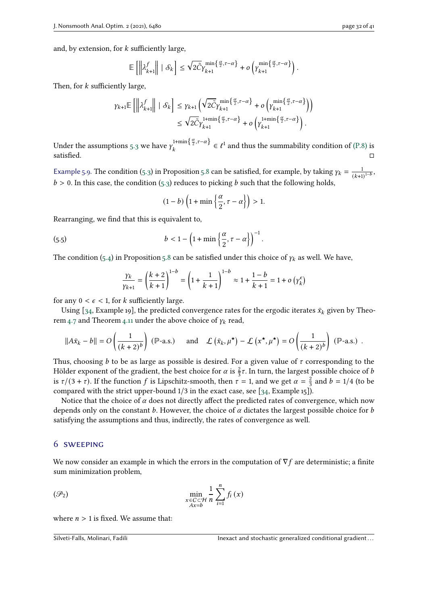and, by extension, for  $k$  sufficiently large,

$$
\mathbb{E}\left[\left\|\lambda_{k+1}^f\right\| \mid \mathcal{S}_k\right] \leq \sqrt{2\tilde{C}}\gamma_{k+1}^{\min\left\{\frac{\alpha}{2},\tau-\alpha\right\}} + o\left(\gamma_{k+1}^{\min\left\{\frac{\alpha}{2},\tau-\alpha\right\}}\right).
$$

Then, for  $k$  sufficiently large,

$$
\gamma_{k+1} \mathbb{E} \left[ \left\| \lambda_{k+1}^f \right\| \mid \mathcal{S}_k \right] \leq \gamma_{k+1} \left( \sqrt{2 \tilde{C}} \gamma_{k+1}^{\min \{ \frac{\alpha}{2}, \tau - \alpha \}} + o \left( \gamma_{k+1}^{\min \{ \frac{\alpha}{2}, \tau - \alpha \}} \right) \right) \leq \sqrt{2 \tilde{C}} \gamma_{k+1}^{1 + \min \{ \frac{\alpha}{2}, \tau - \alpha \}} + o \left( \gamma_{k+1}^{1 + \min \{ \frac{\alpha}{2}, \tau - \alpha \}} \right).
$$

Under the assumptions [5.3](#page-30-0) we have  $\gamma$ ,  $\frac{1+\min\{\frac{\alpha}{2},\tau-\alpha\}}{1+\min\{\frac{\alpha}{2},\frac{\alpha}{2}\}}$  $\sum_{k=1}^{\infty} \frac{1+\min\left\{\frac{\alpha}{2},\tau-\alpha\right\}}{k} \in \ell^1$  and thus the summability condition of [\(P.8\)](#page-9-2) is satisfied.  $\Box$ 

<span id="page-31-1"></span>Example 5.9. The condition [\(5.3\)](#page-30-0) in Proposition [5.8](#page-30-2) can be satisfied, for example, by taking  $\gamma_k = \frac{1}{\sqrt{1.15}}$  $\frac{1}{(k+1)^{1-b}},$  $b > 0$ . In this case, the condition [\(5.3\)](#page-30-0) reduces to picking b such that the following holds,

$$
(1-b)\left(1+\min\left\{\frac{\alpha}{2},\tau-\alpha\right\}\right)>1.
$$

Rearranging, we find that this is equivalent to,

(5.5) 
$$
b < 1 - \left(1 + \min\left\{\frac{\alpha}{2}, \tau - \alpha\right\}\right)^{-1}.
$$

The condition [\(5.4\)](#page-30-1) in Proposition [5.8](#page-30-2) can be satisfied under this choice of  $\gamma_k$  as well. We have,

$$
\frac{\gamma_k}{\gamma_{k+1}} = \left(\frac{k+2}{k+1}\right)^{1-b} = \left(1 + \frac{1}{k+1}\right)^{1-b} \approx 1 + \frac{1-b}{k+1} = 1 + o\left(\gamma_k^{\epsilon}\right)
$$

for any  $0 < \epsilon < 1$ , for k sufficiently large.

Using [\[34,](#page-40-0) Example 19], the predicted convergence rates for the ergodic iterates  $\bar{x}_k$  given by Theo-rem [4.7](#page-15-4) and Theorem [4.11](#page-21-0) under the above choice of  $\gamma_k$  read,

$$
||A\bar{x}_k - b|| = O\left(\frac{1}{(k+2)^b}\right) \, (\mathbb{P}\text{-a.s.}) \quad \text{and} \quad \mathcal{L}\left(\bar{x}_k, \mu^{\star}\right) - \mathcal{L}\left(x^{\star}, \mu^{\star}\right) = O\left(\frac{1}{(k+2)^b}\right) \, (\mathbb{P}\text{-a.s.}) \; .
$$

Thus, choosing *b* to be as large as possible is desired. For a given value of  $\tau$  corresponding to the Hölder exponent of the gradient, the best choice for  $\alpha$  is  $\frac{2}{3}\tau$ . In turn, the largest possible choice of b is  $\tau/(3 + \tau)$ . If the function f is Lipschitz-smooth, then  $\tau = 1$ , and we get  $\alpha = \frac{2}{3}$  $\frac{2}{3}$  and  $b = 1/4$  (to be compared with the strict upper-bound 1/3 in the exact case, see [\[34,](#page-40-0) Example 15]).

Notice that the choice of  $\alpha$  does not directly affect the predicted rates of convergence, which now depends only on the constant b. However, the choice of  $\alpha$  dictates the largest possible choice for b satisfying the assumptions and thus, indirectly, the rates of convergence as well.

## <span id="page-31-0"></span>6 sweeping

We now consider an example in which the errors in the computation of  $\nabla f$  are deterministic; a finite sum minimization problem,

$$
\min_{\substack{x \in C \subset \mathcal{H} \\ Ax = b}} \frac{1}{n} \sum_{i=1}^{n} f_i(x)
$$

where  $n > 1$  is fixed. We assume that: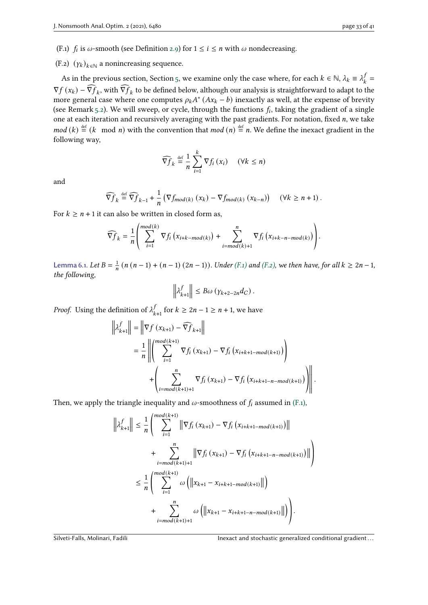- <span id="page-32-0"></span>(F.1)  $f_i$  is  $\omega$ -smooth (see Definition [2.9\)](#page-5-6) for  $1 \le i \le n$  with  $\omega$  nondecreasing.
- <span id="page-32-1"></span>(F.2)  $(\gamma_k)_{k \in \mathbb{N}}$  a nonincreasing sequence.

As in the previous section, Section [5,](#page-26-0) we examine only the case where, for each  $k \in \mathbb{N}$ ,  $\lambda_k \equiv \lambda_k^j$  $\frac{J}{k}$  =  $\nabla f(x_k) - \widehat{\nabla f}_k$ , with  $\widehat{\nabla f}_k$  to be defined below, although our analysis is straightforward to adapt to the more general case where one computes  $\rho_k A^* (Ax_k - b)$  inexactly as well, at the expense of brevity (see Remark [5.2\)](#page-26-7). We will sweep, or cycle, through the functions  $f_i$ , taking the gradient of a single one at each iteration and recursively averaging with the past gradients. For notation, fixed  $n$ , we take  $mod (k) \stackrel{\text{def}}{=} (k \mod n)$  with the convention that  $mod (n) \stackrel{\text{def}}{=} n$ . We define the inexact gradient in the following way,

$$
\widehat{\nabla f}_k \stackrel{\text{def}}{=} \frac{1}{n} \sum_{i=1}^k \nabla f_i(x_i) \quad (\forall k \leq n)
$$

and

$$
\widehat{\nabla f}_k \stackrel{\text{def}}{=} \widehat{\nabla f}_{k-1} + \frac{1}{n} \left( \nabla f_{mod(k)} \left( x_k \right) - \nabla f_{mod(k)} \left( x_{k-n} \right) \right) \quad (\forall k \geq n+1) \, .
$$

For  $k \ge n + 1$  it can also be written in closed form as,

$$
\widehat{\nabla f}_k = \frac{1}{n} \left( \sum_{i=1}^{mod(k)} \nabla f_i \left( x_{i+k-mod(k)} \right) + \sum_{i=mod(k)+1}^{n} \nabla f_i \left( x_{i+k-n-mod(k)} \right) \right).
$$

<span id="page-32-2"></span>Lemma 6.1. Let  $B = \frac{1}{n}$  $\frac{1}{n}$  (n (n – 1) + (n – 1) (2n – 1)). Under [\(F.1\)](#page-32-0) and [\(F.2\),](#page-32-1) we then have, for all  $k \ge 2n-1$ , the following,

$$
\left\|\lambda_{k+1}^f\right\| \leq B\omega\left(\gamma_{k+2-2n}d_C\right).
$$

*Proof.* Using the definition of  $\lambda_k^f$  $\int_{k+1}^{f}$  for  $k \ge 2n - 1 \ge n + 1$ , we have

$$
\left\| \lambda_{k+1}^{f} \right\| = \left\| \nabla f(x_{k+1}) - \widehat{\nabla f}_{k+1} \right\|
$$
  
=  $\frac{1}{n} \left\| \left( \sum_{i=1}^{mod(k+1)} \nabla f_i(x_{k+1}) - \nabla f_i(x_{i+k+1-mod(k+1)}) \right) + \left( \sum_{i=mod(k+1)+1}^{n} \nabla f_i(x_{k+1}) - \nabla f_i(x_{i+k+1-n-mod(k+1)}) \right) \right\|.$ 

Then, we apply the triangle inequality and  $\omega$ -smoothness of  $f_i$  assumed in [\(F.1\),](#page-32-0)

 $\mathbf{1}_{11}$ 

$$
\left\| \lambda_{k+1}^{f} \right\| \leq \frac{1}{n} \left( \sum_{i=1}^{mod(k+1)} \left\| \nabla f_i \left( x_{k+1} \right) - \nabla f_i \left( x_{i+k+1-mod(k+1)} \right) \right\| + \sum_{i=mod(k+1)+1}^{n} \left\| \nabla f_i \left( x_{k+1} \right) - \nabla f_i \left( x_{i+k+1-n-mod(k+1)} \right) \right\| \leq \frac{1}{n} \left( \sum_{i=1}^{mod(k+1)} \omega \left( \left\| x_{k+1} - x_{i+k+1-mod(k+1)} \right\| \right) + \sum_{i=mod(k+1)+1}^{n} \omega \left( \left\| x_{k+1} - x_{i+k+1-n-mod(k+1)} \right\| \right) \right).
$$

Silveti-Falls, Molinari, Fadili **Indianalized conditional gradient**...

ª  $\overline{ }$  $^{\prime}$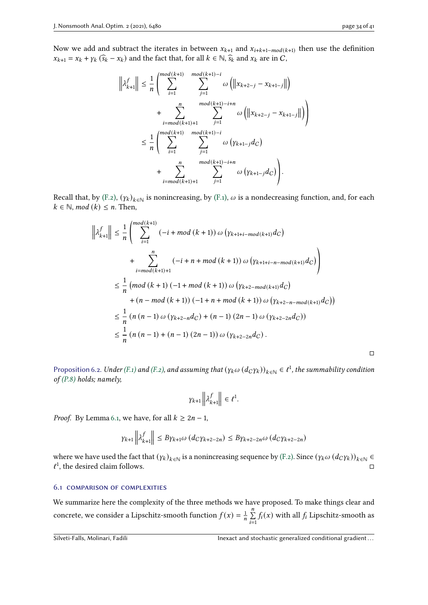Now we add and subtract the iterates in between  $x_{k+1}$  and  $x_{i+k+1-mod(k+1)}$  then use the definition  $x_{k+1} = x_k + \gamma_k (\widehat{s}_k - x_k)$  and the fact that, for all  $k \in \mathbb{N}$ ,  $\widehat{s}_k$  and  $x_k$  are in C,

$$
\left\| \lambda_{k+1}^{f} \right\| \leq \frac{1}{n} \left( \sum_{i=1}^{mod(k+1)} \sum_{j=1}^{mod(k+1)-i} \omega \left( \left\| x_{k+2-j} - x_{k+1-j} \right\| \right) + \sum_{i=mod(k+1)+1}^{n} \sum_{j=1}^{mod(k+1)-i+n} \omega \left( \left\| x_{k+2-j} - x_{k+1-j} \right\| \right) \right) \leq \frac{1}{n} \left( \sum_{i=1}^{mod(k+1)} \sum_{j=1}^{mod(k+1)-i} \omega \left( \gamma_{k+1-j} d_C \right) + \sum_{i=mod(k+1)+1}^{n} \sum_{j=1}^{mod(k+1)-i+n} \omega \left( \gamma_{k+1-j} d_C \right) \right).
$$

Recall that, by [\(F.2\),](#page-32-1)  $(\gamma_k)_{k \in \mathbb{N}}$  is nonincreasing, by [\(F.1\),](#page-32-0)  $\omega$  is a nondecreasing function, and, for each  $k \in \mathbb{N}$ , mod  $(k) \leq n$ . Then,

 $\ddot{\phantom{0}}$ 

$$
\left\| \lambda_{k+1}^{f} \right\| \leq \frac{1}{n} \left( \sum_{i=1}^{mod(k+1)} (-i + mod(k+1)) \omega \left( \gamma_{k+1+i-mod(k+1)} d_C \right) \right.
$$
  
+ 
$$
\sum_{i=mod(k+1)+1}^{n} (-i + n + mod(k+1)) \omega \left( \gamma_{k+1+i-n-mod(k+1)} d_C \right)
$$
  

$$
\leq \frac{1}{n} \left( mod(k+1) (-1 + mod(k+1)) \omega \left( \gamma_{k+2-mod(k+1)} d_C \right) \right.
$$
  
+ 
$$
\left( n - mod(k+1) \right) (-1 + n + mod(k+1)) \omega \left( \gamma_{k+2-n-mod(k+1)} d_C \right)
$$
  

$$
\leq \frac{1}{n} \left( n (n-1) \omega \left( \gamma_{k+2-n} d_C \right) + (n-1) (2n-1) \omega \left( \gamma_{k+2-2n} d_C \right) \right)
$$
  

$$
\leq \frac{1}{n} \left( n (n-1) + (n-1) (2n-1) \right) \omega \left( \gamma_{k+2-2n} d_C \right).
$$

Proposition 6.2. Under [\(F.1\)](#page-32-0) and [\(F.2\),](#page-32-1) and assuming that  $(\gamma_k \omega (d_C \gamma_k))_{k \in \mathbb{N}} \in \ell^1$ , the summability condition of  $(P.8)$  holds; namely,

$$
\gamma_{k+1}\left\|\lambda_{k+1}^f\right\| \in \ell^1.
$$

*Proof.* By Lemma [6.1,](#page-32-2) we have, for all  $k \ge 2n - 1$ ,

$$
\gamma_{k+1} \left\| \lambda_{k+1}^f \right\| \le B \gamma_{k+1} \omega \left( d_C \gamma_{k+2-2n} \right) \le B \gamma_{k+2-2n} \omega \left( d_C \gamma_{k+2-2n} \right)
$$

where we have used the fact that  $(y_k)_{k\in\mathbb{N}}$  is a nonincreasing sequence by [\(F.2\).](#page-32-1) Since  $(y_k\omega (d_Cy_k))_{k\in\mathbb{N}}$  $\ell^1$ , the desired claim follows.  $\Box$ 

#### 6.1 comparison of complexities

We summarize here the complexity of the three methods we have proposed. To make things clear and concrete, we consider a Lipschitz-smooth function  $f(x) = \frac{1}{x}$  $\frac{1}{n}$  $\sum_{n=1}^{n}$  $\sum_{i=1}$  $f_i(x)$  with all  $f_i$  Lipschitz-smooth as

□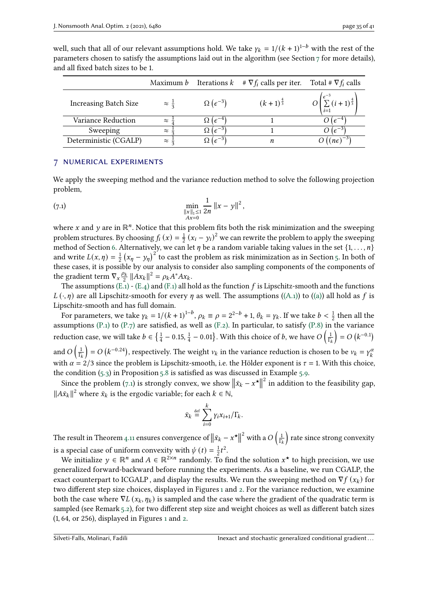|                              |                       |                              | Maximum b Iterations $k \neq \nabla f_i$ calls per iter. Total # $\nabla f_i$ calls |             |
|------------------------------|-----------------------|------------------------------|-------------------------------------------------------------------------------------|-------------|
| <b>Increasing Batch Size</b> | $\approx \frac{1}{2}$ | $\Omega(\epsilon^{-3})$      | $(k+1)^{\frac{4}{3}}$                                                               |             |
| <b>Variance Reduction</b>    | $\approx$             | $\alpha$ ( $\epsilon^{-4}$ ) |                                                                                     |             |
| Sweeping                     | $\approx$             | $\Omega$ ( $\epsilon^{-3}$   |                                                                                     |             |
| Deterministic (CGALP)        | $\approx$             | $\Omega$ ( $\epsilon^{-3}$   | n                                                                                   | $n\epsilon$ |

well, such that all of our relevant assumptions hold. We take  $\gamma_k = 1/(k+1)^{1-b}$  with the rest of the parameters chosen to satisfy the assumptions laid out in the algorithm (see Section [7](#page-34-0) for more details), and all fixed batch sizes to be 1.

# <span id="page-34-0"></span>7 numerical experiments

We apply the sweeping method and the variance reduction method to solve the following projection problem,

<span id="page-34-1"></span>(7.1) 
$$
\min_{\substack{\|x\|_1 \leq 1\\Ax=0}} \frac{1}{2n} \|x - y\|^2,
$$

where x and y are in  $\mathbb{R}^n$ . Notice that this problem fits both the risk minimization and the sweeping problem structures. By choosing  $f_i(x) = \frac{1}{2}$  $\frac{1}{2}(x_i - y_i)^2$  we can rewrite the problem to apply the sweeping method of Section [6.](#page-31-0) Alternatively, we can let  $\eta$  be a random variable taking values in the set  $\{1, \ldots, n\}$ and write  $L(x, \eta) = \frac{1}{2}$  $\frac{1}{2}(x_n - y_n)^2$  to cast the problem as risk minimization as in Section [5.](#page-26-0) In both of these cases, it is possible by our analysis to consider also sampling components of the components of the gradient term  $\nabla_x \frac{\rho_k}{2} ||Ax_k||^2 = \rho_k A^* A x_k$ .

The assumptions  $(E.1)$  -  $(E.4)$  and  $(F.1)$  all hold as the function f is Lipschitz-smooth and the functions  $L(\cdot, \eta)$  are all Lipschitz-smooth for every  $\eta$  as well. The assumptions [\(\(A.1\)\)](#page-7-1) to [\(\(a\)\)](#page-7-12) all hold as f is Lipschitz-smooth and has full domain.

For parameters, we take  $\gamma_k = 1/(k+1)^{1-b}$ ,  $\rho_k \equiv \rho = 2^{2-b} + 1$ ,  $\theta_k = \gamma_k$ . If we take  $b < \frac{1}{2}$  $\frac{1}{2}$  then all the assumptions [\(P.1\)](#page-9-3) to [\(P.7\)](#page-9-1) are satisfied, as well as [\(F.2\).](#page-32-1) In particular, to satisfy [\(P.8\)](#page-9-2) in the variance reduction case, we will take  $b \in \{\frac{1}{4}\}$  $\frac{1}{4}$  – 0.15,  $\frac{1}{4}$  $\frac{1}{4}$  – 0.01}. With this choice of *b*, we have O  $\Big(\frac{1}{10}\Big)$  $\frac{1}{\Gamma_k}$  = O  $(k^{-0.1})$ and  $O\left(\frac{1}{R}\right)$  $\frac{1}{\Gamma_k}$ ) = O (k<sup>-0.24</sup>), respectively. The weight  $v_k$  in the variance reduction is chosen to be  $v_k = \gamma_k^a$ k with  $\alpha = 2/3$  since the problem is Lipschitz-smooth, i.e. the Hölder exponent is  $\tau = 1$ . With this choice, the condition [\(5.3\)](#page-30-0) in Proposition [5.8](#page-30-2) is satisfied as was discussed in Example [5.9.](#page-31-1)

Since the problem [\(7.1\)](#page-34-1) is strongly convex, we show  $\left\|\bar{x}_k - x^{\star}\right\|$  $\frac{1}{2}$  in addition to the feasibility gap.  $||A\bar{x}_k||^2$  where  $\bar{x}_k$  is the ergodic variable; for each  $k \in \mathbb{N}$ ,

$$
\bar{x}_k \stackrel{\text{def}}{=} \sum_{i=0}^k \gamma_i x_{i+1} / \Gamma_k.
$$

The result in Theorem [4.11](#page-21-0) ensures convergence of  $\|\bar{x}_k - x^\star\|$ <sup>2</sup> with a  $O\left(\frac{1}{R}\right)$  $\frac{1}{\Gamma_k}\Big)$  rate since strong convexity is a special case of uniform convexity with  $\psi(t) = \frac{1}{2}$  $\frac{1}{2}t^2$ .

We initialize  $y \in \mathbb{R}^n$  and  $A \in \mathbb{R}^{2 \times n}$  randomly. To find the solution  $x^*$  to high precision, we use generalized forward-backward before running the experiments. As a baseline, we run CGALP, the exact counterpart to ICGALP, and display the results. We run the sweeping method on  $\nabla f(x_k)$  for two different step size choices, displayed in Figures [1](#page-35-0) and [2.](#page-36-0) For the variance reduction, we examine both the case where  $\nabla L(x_k, \eta_k)$  is sampled and the case where the gradient of the quadratic term is sampled (see Remark [5.2\)](#page-26-7), for two different step size and weight choices as well as different batch sizes  $(1, 64, \text{ or } 256)$  $(1, 64, \text{ or } 256)$  $(1, 64, \text{ or } 256)$ , displayed in Figures 1 and [2.](#page-36-0)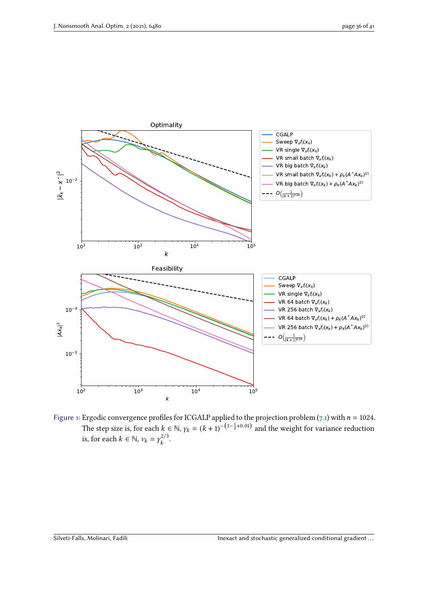<span id="page-35-0"></span>

Figure 1: Ergodic convergence profiles for ICGALP applied to the projection problem  $(7.1)$  with  $n = 1024$ . The step size is, for each  $k \in \mathbb{N}$ ,  $\gamma_k = (k+1)^{-(1-\frac{1}{4}+0.01)}$  and the weight for variance reduction is, for each  $k \in \mathbb{N}$ ,  $v_k = \gamma_k^{2/3}$  $\frac{k^{2/3}}{k}$ .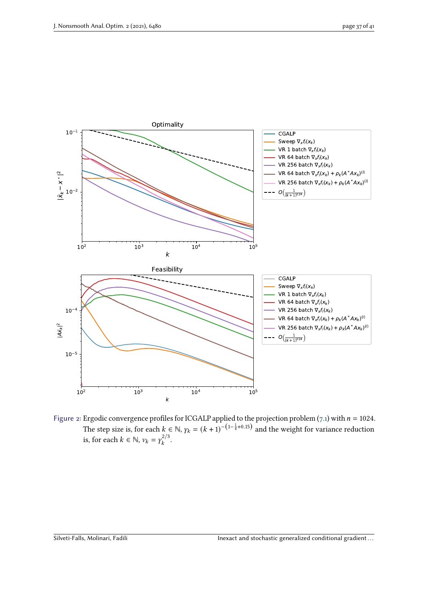<span id="page-36-0"></span>

Figure 2: Ergodic convergence profiles for ICGALP applied to the projection problem  $(7.1)$  with  $n = 1024$ . The step size is, for each  $k \in \mathbb{N}$ ,  $\gamma_k = (k+1)^{-(1-\frac{1}{4}+0.15)}$  and the weight for variance reduction is, for each  $k \in \mathbb{N}$ ,  $v_k = \gamma_k^{2/3}$  $\frac{k^{2/3}}{k}$ .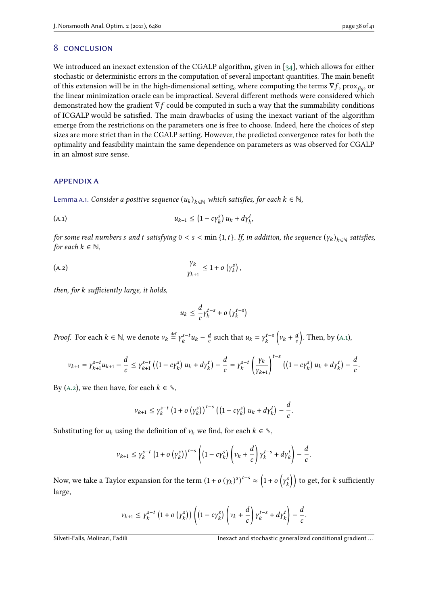# <span id="page-37-0"></span>8 conclusion

We introduced an inexact extension of the CGALP algorithm, given in [\[34\]](#page-40-0), which allows for either stochastic or deterministic errors in the computation of several important quantities. The main benefit of this extension will be in the high-dimensional setting, where computing the terms  $\nabla f$ , prox $_{\beta\alpha}$ , or the linear minimization oracle can be impractical. Several different methods were considered which demonstrated how the gradient  $\nabla f$  could be computed in such a way that the summability conditions of ICGALP would be satisfied. The main drawbacks of using the inexact variant of the algorithm emerge from the restrictions on the parameters one is free to choose. Indeed, here the choices of step sizes are more strict than in the CGALP setting. However, the predicted convergence rates for both the optimality and feasibility maintain the same dependence on parameters as was observed for CGALP in an almost sure sense.

## appendix a

<span id="page-37-1"></span>Lemma A.1. Consider a positive sequence  $(u_k)_{k \in \mathbb{N}}$  which satisfies, for each  $k \in \mathbb{N}$ ,

(A.1) 
$$
u_{k+1} \le (1 - c \gamma_k^s) u_k + d \gamma_k^t,
$$

for some real numbers  $s$  and  $t$  satisfying  $0 < s < \min\{1, t\}$ . If, in addition, the sequence  $(\gamma_k)_{k \in \mathbb{N}}$  satisfies, for each  $k \in \mathbb{N}$ ,

$$
\frac{\gamma_k}{\gamma_{k+1}} \leq 1 + o\left(\gamma_k^s\right),\,
$$

then, for  $k$  sufficiently large, it holds,

<span id="page-37-3"></span><span id="page-37-2"></span>
$$
u_k \leq \frac{d}{c} \gamma_k^{t-s} + o\left(\gamma_k^{t-s}\right)
$$

*Proof.* For each  $k \in \mathbb{N}$ , we denote  $v_k \stackrel{\text{def}}{=} \gamma_k^{s-t} u_k - \frac{a}{c}$  $\frac{d}{c}$  such that  $u_k = \gamma_k^{t-s} \left( v_k + \frac{d}{c} \right)$  $\left(\frac{d}{c}\right)$ . Then, by (A.1),

$$
\nu_{k+1} = \gamma_{k+1}^{s-t} u_{k+1} - \frac{d}{c} \leq \gamma_{k+1}^{s-t} \left( \left( 1 - c \gamma_k^s \right) u_k + d \gamma_k^t \right) - \frac{d}{c} = \gamma_k^{s-t} \left( \frac{\gamma_k}{\gamma_{k+1}} \right)^{t-s} \left( \left( 1 - c \gamma_k^s \right) u_k + d \gamma_k^t \right) - \frac{d}{c}.
$$

By (A.2), we then have, for each  $k \in \mathbb{N}$ ,

$$
v_{k+1} \leq \gamma_k^{s-t} (1 + o\left(\gamma_k^s\right))^{t-s} \left((1 - c\gamma_k^s) u_k + d\gamma_k^t\right) - \frac{d}{c}.
$$

Substituting for  $u_k$  using the definition of  $v_k$  we find, for each  $k \in \mathbb{N}$ ,

$$
\nu_{k+1} \leq \gamma_k^{s-t} \left(1 + o\left(\gamma_k^s\right)\right)^{t-s} \left(\left(1 - c\gamma_k^s\right)\left(v_k + \frac{d}{c}\right)\gamma_k^{t-s} + d\gamma_k^t\right) - \frac{d}{c}.
$$

Now, we take a Taylor expansion for the term  $(1+o(\gamma_k)^s)^{t-s}\approx \left(1+o\left(\gamma_k^s\right)\right)$  $\binom{s}{k}$  to get, for  $k$  sufficiently large,

$$
\nu_{k+1} \leq \gamma_k^{s-t} \left(1+o\left(\gamma_k^s\right)\right) \left( \left(1-c\gamma_k^s\right) \left(v_k+\frac{d}{c}\right) \gamma_k^{t-s} + d\gamma_k^t \right) - \frac{d}{c}.
$$

Silveti-Falls, Molinari, Fadili **Inexact and stochastic generalized conditional gradient**...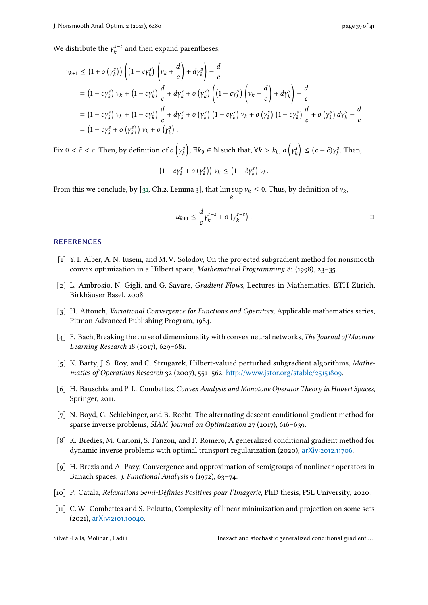We distribute the  $\gamma_k^{s-t}$  and then expand parentheses,

$$
v_{k+1} \le (1 + o(y_k^s)) \left( (1 - c\gamma_k^s) \left( v_k + \frac{d}{c} \right) + d\gamma_k^s \right) - \frac{d}{c}
$$
  
=  $(1 - c\gamma_k^s) v_k + (1 - c\gamma_k^s) \frac{d}{c} + d\gamma_k^s + o(y_k^s) \left( (1 - c\gamma_k^s) \left( v_k + \frac{d}{c} \right) + d\gamma_k^s \right) - \frac{d}{c}$   
=  $(1 - c\gamma_k^s) v_k + (1 - c\gamma_k^s) \frac{d}{c} + d\gamma_k^s + o(y_k^s) (1 - c\gamma_k^s) v_k + o(y_k^s) (1 - c\gamma_k^s) \frac{d}{c} + o(y_k^s) d\gamma_k^s - \frac{d}{c}$   
=  $(1 - c\gamma_k^s + o(y_k^s)) v_k + o(y_k^s).$ 

Fix  $0 < \tilde{c} < c$ . Then, by definition of  $o\left(\gamma\right)$  $\mathcal{L}_k^s$ ), ∃ $k_0 \in \mathbb{N}$  such that, ∀ $k > k_0$ , o  $\left(\gamma_k^s\right)$  $\left(\begin{matrix} s \\ k \end{matrix}\right) \leq (c - \tilde{c}) \gamma_k^s$  $\gamma_k^s$ . Then,

$$
(1-c\gamma_k^s + o\left(\gamma_k^s\right)) v_k \leq (1-\tilde{c}\gamma_k^s) v_k.
$$

From this we conclude, by [\[31,](#page-40-6) Ch.2, Lemma 3], that  $\limsup v_k \leq 0$ . Thus, by definition of  $v_k$ ,  $\overline{k}$ 

$$
u_{k+1} \leq \frac{d}{c} \gamma_k^{t-s} + o\left(\gamma_k^{t-s}\right).
$$

## **REFERENCES**

- <span id="page-38-6"></span>[1] Y. I. Alber, A. N. Iusem, and M. V. Solodov, On the projected subgradient method for nonsmooth convex optimization in a Hilbert space, Mathematical Programming 81 (1998), 23–35.
- <span id="page-38-9"></span>[2] L. Ambrosio, N. Gigli, and G. Savare, Gradient Flows, Lectures in Mathematics. ETH Zürich, Birkhäuser Basel, 2008.
- <span id="page-38-8"></span>[3] H. Attouch, *Variational Convergence for Functions and Operators*, Applicable mathematics series, Pitman Advanced Publishing Program, 1984.
- <span id="page-38-3"></span>[4] F. Bach, Breaking the curse of dimensionality with convex neural networks, The Journal of Machine Learning Research 18 (2017), 629–681.
- <span id="page-38-5"></span>[5] K. Barty, J. S. Roy, and C. Strugarek, Hilbert-valued perturbed subgradient algorithms, Mathematics of Operations Research 32 (2007), 551–562, <http://www.jstor.org/stable/25151809>.
- <span id="page-38-7"></span>[6] H. Bauschke and P. L. Combettes, Convex Analysis and Monotone Operator Theory in Hilbert Spaces, Springer, 2011.
- <span id="page-38-2"></span>[7] N. Boyd, G. Schiebinger, and B. Recht, The alternating descent conditional gradient method for sparse inverse problems, SIAM Journal on Optimization 27 (2017), 616–639.
- <span id="page-38-4"></span>[8] K. Bredies, M. Carioni, S. Fanzon, and F. Romero, A generalized conditional gradient method for dynamic inverse problems with optimal transport regularization (2020), [arXiv:2012.11706](https://arxiv.org/abs/2012.11706).
- <span id="page-38-10"></span>[9] H. Brezis and A. Pazy, Convergence and approximation of semigroups of nonlinear operators in Banach spaces, *J. Functional Analysis* 9 (1972), 63-74.
- <span id="page-38-1"></span>[10] P. Catala, Relaxations Semi-Définies Positives pour l'Imagerie, PhD thesis, PSL University, 2020.
- <span id="page-38-0"></span>[11] C.W. Combettes and S. Pokutta, Complexity of linear minimization and projection on some sets (2021), [arXiv:2101.10040](https://arxiv.org/abs/2101.10040).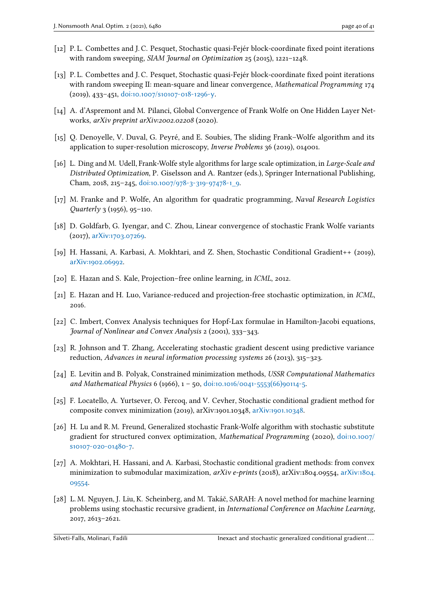- <span id="page-39-14"></span>[12] P. L. Combettes and J. C. Pesquet, Stochastic quasi-Fejér block-coordinate fixed point iterations with random sweeping, SIAM Journal on Optimization 25 (2015), 1221-1248.
- <span id="page-39-12"></span>[13] P. L. Combettes and J. C. Pesquet, Stochastic quasi-Fejér block-coordinate fixed point iterations with random sweeping II: mean-square and linear convergence, Mathematical Programming 174 (2019), 433–451, [doi:10.1007/s10107-018-1296-y](https://dx.doi.org/10.1007/s10107-018-1296-y).
- <span id="page-39-11"></span>[14] A. d'Aspremont and M. Pilanci, Global Convergence of Frank Wolfe on One Hidden Layer Networks, arXiv preprint arXiv:2002.02208 (2020).
- <span id="page-39-10"></span>[15] Q. Denoyelle, V. Duval, G. Peyré, and E. Soubies, The sliding Frank–Wolfe algorithm and its application to super-resolution microscopy, Inverse Problems 36 (2019), 014001.
- <span id="page-39-5"></span>[16] L. Ding and M. Udell, Frank-Wolfe style algorithms for large scale optimization, in Large-Scale and Distributed Optimization, P. Giselsson and A. Rantzer (eds.), Springer International Publishing, Cham, 2018, 215–245, [doi:10.1007/978-3-319-97478-1\\_9](https://dx.doi.org/10.1007/978-3-319-97478-1_9).
- <span id="page-39-0"></span>[17] M. Franke and P. Wolfe, An algorithm for quadratic programming, Naval Research Logistics Quarterly 3 (1956), 95–110.
- <span id="page-39-4"></span>[18] D. Goldfarb, G. Iyengar, and C. Zhou, Linear convergence of stochastic Frank Wolfe variants (2017), [arXiv:1703.07269](https://arxiv.org/abs/1703.07269).
- <span id="page-39-7"></span>[19] H. Hassani, A. Karbasi, A. Mokhtari, and Z. Shen, Stochastic Conditional Gradient++ (2019), [arXiv:1902.06992](https://arxiv.org/abs/1902.06992).
- <span id="page-39-2"></span>[20] E. Hazan and S. Kale, Projection–free online learning, in ICML, 2012.
- <span id="page-39-3"></span>[21] E. Hazan and H. Luo, Variance-reduced and projection-free stochastic optimization, in ICML, 2016.
- <span id="page-39-13"></span>[22] C. Imbert, Convex Analysis techniques for Hopf-Lax formulae in Hamilton-Jacobi equations, Journal of Nonlinear and Convex Analysis 2 (2001), 333–343.
- <span id="page-39-16"></span>[23] R. Johnson and T. Zhang, Accelerating stochastic gradient descent using predictive variance reduction, Advances in neural information processing systems 26 (2013), 315–323.
- <span id="page-39-1"></span>[24] E. Levitin and B. Polyak, Constrained minimization methods, USSR Computational Mathematics and Mathematical Physics 6 (1966), 1 – 50, [doi:10.1016/0041-5553\(66\)90114-5](https://dx.doi.org/10.1016/0041-5553(66)90114-5).
- <span id="page-39-9"></span>[25] F. Locatello, A. Yurtsever, O. Fercoq, and V. Cevher, Stochastic conditional gradient method for composite convex minimization (2019), arXiv:1901.10348, [arXiv:1901.10348](https://arxiv.org/abs/1901.10348).
- <span id="page-39-8"></span>[26] H. Lu and R. M. Freund, Generalized stochastic Frank-Wolfe algorithm with stochastic substitute gradient for structured convex optimization, Mathematical Programming (2020), [doi:10.1007/](https://dx.doi.org/10.1007/s10107-020-01480-7) [s10107-020-01480-7](https://dx.doi.org/10.1007/s10107-020-01480-7).
- <span id="page-39-6"></span>[27] A. Mokhtari, H. Hassani, and A. Karbasi, Stochastic conditional gradient methods: from convex minimization to submodular maximization, arXiv e-prints (2018), [arXiv:1804.](https://arxiv.org/abs/1804.09554)09554, arXiv:1804. [09554](https://arxiv.org/abs/1804.09554).
- <span id="page-39-15"></span>[28] L. M. Nguyen, J. Liu, K. Scheinberg, and M. Takáč, SARAH: A novel method for machine learning problems using stochastic recursive gradient, in International Conference on Machine Learning, 2017, 2613–2621.